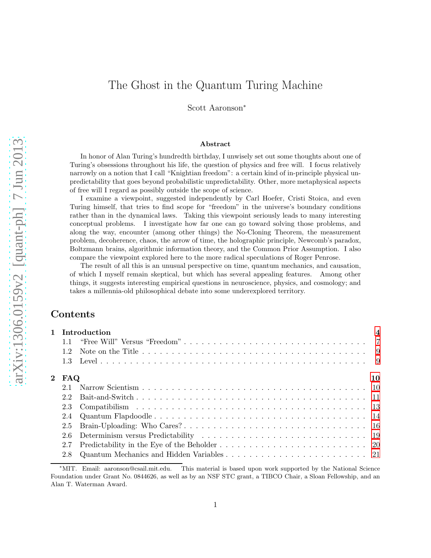# The Ghost in the Quantum Turing Machine

Scott Aaronson<sup>∗</sup>

#### Abstract

In honor of Alan Turing's hundredth birthday, I unwisely set out some thoughts about one of Turing's obsessions throughout his life, the question of physics and free will. I focus relatively narrowly on a notion that I call "Knightian freedom": a certain kind of in-principle physical unpredictability that goes beyond probabilistic unpredictability. Other, more metaphysical aspects of free will I regard as possibly outside the scope of science.

I examine a viewpoint, suggested independently by Carl Hoefer, Cristi Stoica, and even Turing himself, that tries to find scope for "freedom" in the universe's boundary conditions rather than in the dynamical laws. Taking this viewpoint seriously leads to many interesting conceptual problems. I investigate how far one can go toward solving those problems, and along the way, encounter (among other things) the No-Cloning Theorem, the measurement problem, decoherence, chaos, the arrow of time, the holographic principle, Newcomb's paradox, Boltzmann brains, algorithmic information theory, and the Common Prior Assumption. I also compare the viewpoint explored here to the more radical speculations of Roger Penrose.

The result of all this is an unusual perspective on time, quantum mechanics, and causation, of which I myself remain skeptical, but which has several appealing features. Among other things, it suggests interesting empirical questions in neuroscience, physics, and cosmology; and takes a millennia-old philosophical debate into some underexplored territory.

# Contents

|       | 1 Introduction | $\overline{4}$ |
|-------|----------------|----------------|
| 1.1   |                |                |
|       |                |                |
|       |                |                |
| 2 FAQ |                | 10             |
| 2.1   |                |                |
| 2.2   |                |                |
|       |                |                |
|       |                |                |
| 2.5   |                |                |
| 2.6   |                |                |
| 2.7   |                |                |
| 2.8   |                |                |
|       |                |                |

<sup>∗</sup>MIT. Email: aaronson@csail.mit.edu. This material is based upon work supported by the National Science Foundation under Grant No. 0844626, as well as by an NSF STC grant, a TIBCO Chair, a Sloan Fellowship, and an Alan T. Waterman Award.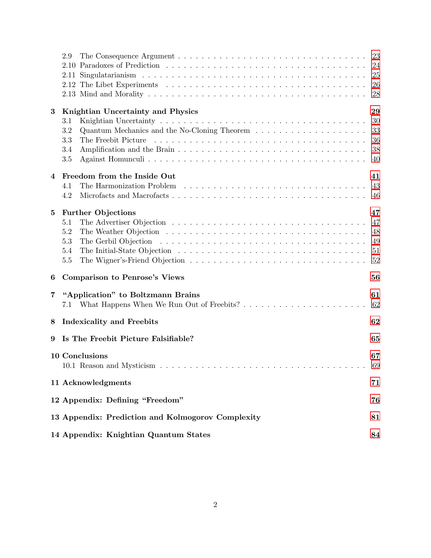|   | 2.9                                                                                                                                                                                                     | 23<br>24<br>25<br>26<br>28       |  |  |
|---|---------------------------------------------------------------------------------------------------------------------------------------------------------------------------------------------------------|----------------------------------|--|--|
| 3 | Knightian Uncertainty and Physics<br>3.1<br>3.2<br>Quantum Mechanics and the No-Cloning Theorem $\dots \dots \dots \dots \dots \dots \dots$<br>3.3<br>The Freebit Picture<br>3.4<br>3.5                 | 29<br>30<br>33<br>36<br>38<br>40 |  |  |
| 4 | Freedom from the Inside Out<br>4.1<br>4.2                                                                                                                                                               | 41<br>43<br>46                   |  |  |
| 5 | <b>Further Objections</b><br>5.1<br>5.2<br>5.3<br>The Gerbil Objection<br>the contract of the contract of the contract of the contract of the contract of the contract of the contract of<br>5.4<br>5.5 | 47<br>47<br>48<br>49<br>51<br>52 |  |  |
| 6 | <b>Comparison to Penrose's Views</b>                                                                                                                                                                    | 56                               |  |  |
| 7 | "Application" to Boltzmann Brains<br>7.1                                                                                                                                                                | 61<br>62                         |  |  |
| 8 | Indexicality and Freebits                                                                                                                                                                               | 62                               |  |  |
| 9 | Is The Freebit Picture Falsifiable?                                                                                                                                                                     | 65                               |  |  |
|   | 10 Conclusions                                                                                                                                                                                          | 67<br>69                         |  |  |
|   | 11 Acknowledgments                                                                                                                                                                                      |                                  |  |  |
|   | 12 Appendix: Defining "Freedom"                                                                                                                                                                         |                                  |  |  |
|   | 13 Appendix: Prediction and Kolmogorov Complexity                                                                                                                                                       |                                  |  |  |
|   | 14 Appendix: Knightian Quantum States                                                                                                                                                                   |                                  |  |  |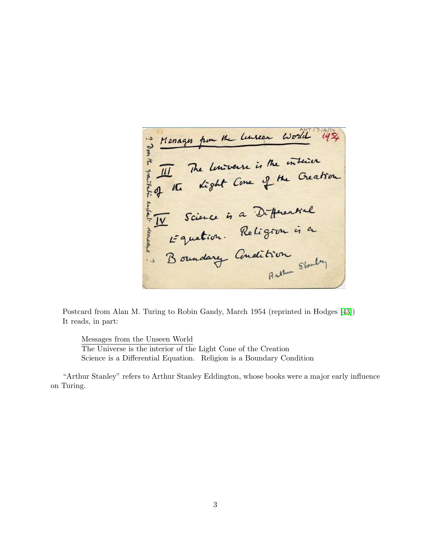Menages from the linear World 1434<br>III The lineare is the interior<br>IV Science is a Differential<br>IV Science is a Differential<br>Equation. Religion is a<br>Boundary Condition storly Ook the grantfultion Mada

Postcard from Alan M. Turing to Robin Gandy, March 1954 (reprinted in Hodges [\[43\]](#page-72-0)) It reads, in part:

Messages from the Unseen World The Universe is the interior of the Light Cone of the Creation Science is a Differential Equation. Religion is a Boundary Condition

"Arthur Stanley" refers to Arthur Stanley Eddington, whose books were a major early influence on Turing.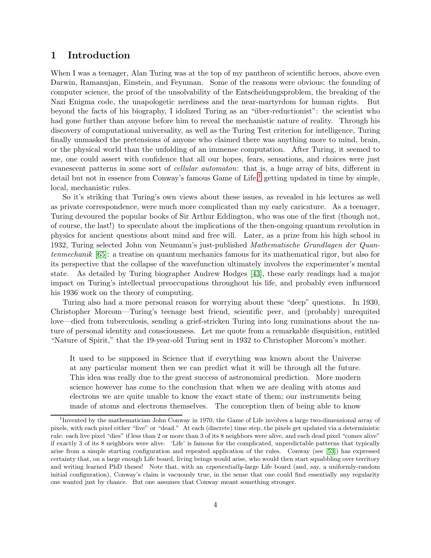# <span id="page-3-0"></span>1 Introduction

When I was a teenager, Alan Turing was at the top of my pantheon of scientific heroes, above even Darwin, Ramanujan, Einstein, and Feynman. Some of the reasons were obvious: the founding of computer science, the proof of the unsolvability of the Entscheidungsproblem, the breaking of the Nazi Enigma code, the unapologetic nerdiness and the near-martyrdom for human rights. But beyond the facts of his biography, I idolized Turing as an "über-reductionist": the scientist who had gone further than anyone before him to reveal the mechanistic nature of reality. Through his discovery of computational universality, as well as the Turing Test criterion for intelligence, Turing finally unmasked the pretensions of anyone who claimed there was anything more to mind, brain, or the physical world than the unfolding of an immense computation. After Turing, it seemed to me, one could assert with confidence that all our hopes, fears, sensations, and choices were just evanescent patterns in some sort of *cellular automaton*: that is, a huge array of bits, different in detail but not in essence from Conway's famous Game of Life, $\frac{1}{2}$  $\frac{1}{2}$  $\frac{1}{2}$  getting updated in time by simple, local, mechanistic rules.

So it's striking that Turing's own views about these issues, as revealed in his lectures as well as private correspondence, were much more complicated than my early caricature. As a teenager, Turing devoured the popular books of Sir Arthur Eddington, who was one of the first (though not, of course, the last!) to speculate about the implications of the then-ongoing quantum revolution in physics for ancient questions about mind and free will. Later, as a prize from his high school in 1932, Turing selected John von Neumann's just-published Mathematische Grundlagen der Quantenmechanik [\[65\]](#page-73-0): a treatise on quantum mechanics famous for its mathematical rigor, but also for its perspective that the collapse of the wavefunction ultimately involves the experimenter's mental state. As detailed by Turing biographer Andrew Hodges [\[43\]](#page-72-0), these early readings had a major impact on Turing's intellectual preoccupations throughout his life, and probably even influenced his 1936 work on the theory of computing.

Turing also had a more personal reason for worrying about these "deep" questions. In 1930, Christopher Morcom—Turing's teenage best friend, scientific peer, and (probably) unrequited love—died from tuberculosis, sending a grief-stricken Turing into long ruminations about the nature of personal identity and consciousness. Let me quote from a remarkable disquisition, entitled "Nature of Spirit," that the 19-year-old Turing sent in 1932 to Christopher Morcom's mother.

It used to be supposed in Science that if everything was known about the Universe at any particular moment then we can predict what it will be through all the future. This idea was really due to the great success of astronomical prediction. More modern science however has come to the conclusion that when we are dealing with atoms and electrons we are quite unable to know the exact state of them; our instruments being made of atoms and electrons themselves. The conception then of being able to know

<span id="page-3-1"></span><sup>&</sup>lt;sup>1</sup>Invented by the mathematician John Conway in 1970, the Game of Life involves a large two-dimensional array of pixels, with each pixel either "live" or "dead." At each (discrete) time step, the pixels get updated via a deterministic rule: each live pixel "dies" if less than 2 or more than 3 of its 8 neighbors were alive, and each dead pixel "comes alive" if exactly 3 of its 8 neighbors were alive. 'Life' is famous for the complicated, unpredictable patterns that typically arise from a simple starting configuration and repeated application of the rules. Conway (see [\[53\]](#page-73-1)) has expressed certainty that, on a large enough Life board, living beings would arise, who would then start squabbling over territory and writing learned PhD theses! Note that, with an exponentially-large Life board (and, say, a uniformly-random initial configuration), Conway's claim is vacuously true, in the sense that one could find essentially any regularity one wanted just by chance. But one assumes that Conway meant something stronger.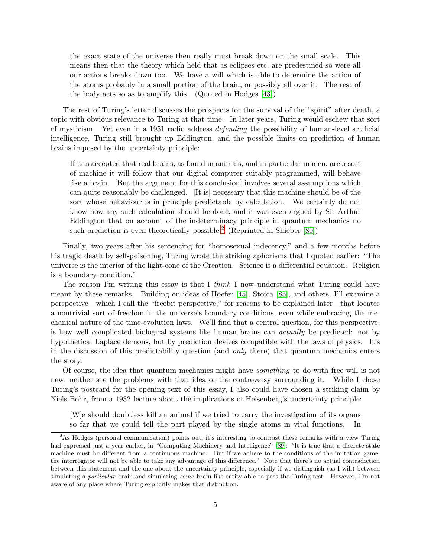the exact state of the universe then really must break down on the small scale. This means then that the theory which held that as eclipses etc. are predestined so were all our actions breaks down too. We have a will which is able to determine the action of the atoms probably in a small portion of the brain, or possibly all over it. The rest of the body acts so as to amplify this. (Quoted in Hodges [\[43\]](#page-72-0))

The rest of Turing's letter discusses the prospects for the survival of the "spirit" after death, a topic with obvious relevance to Turing at that time. In later years, Turing would eschew that sort of mysticism. Yet even in a 1951 radio address defending the possibility of human-level artificial intelligence, Turing still brought up Eddington, and the possible limits on prediction of human brains imposed by the uncertainty principle:

If it is accepted that real brains, as found in animals, and in particular in men, are a sort of machine it will follow that our digital computer suitably programmed, will behave like a brain. [But the argument for this conclusion] involves several assumptions which can quite reasonably be challenged. [It is] necessary that this machine should be of the sort whose behaviour is in principle predictable by calculation. We certainly do not know how any such calculation should be done, and it was even argued by Sir Arthur Eddington that on account of the indeterminacy principle in quantum mechanics no such prediction is even theoretically possible.<sup>[2](#page-4-0)</sup> (Reprinted in Shieber  $[80]$ )

Finally, two years after his sentencing for "homosexual indecency," and a few months before his tragic death by self-poisoning, Turing wrote the striking aphorisms that I quoted earlier: "The universe is the interior of the light-cone of the Creation. Science is a differential equation. Religion is a boundary condition."

The reason I'm writing this essay is that I *think* I now understand what Turing could have meant by these remarks. Building on ideas of Hoefer [\[45\]](#page-72-1), Stoica [\[85\]](#page-74-1), and others, I'll examine a perspective—which I call the "freebit perspective," for reasons to be explained later—that locates a nontrivial sort of freedom in the universe's boundary conditions, even while embracing the mechanical nature of the time-evolution laws. We'll find that a central question, for this perspective, is how well complicated biological systems like human brains can actually be predicted: not by hypothetical Laplace demons, but by prediction devices compatible with the laws of physics. It's in the discussion of this predictability question (and only there) that quantum mechanics enters the story.

Of course, the idea that quantum mechanics might have something to do with free will is not new; neither are the problems with that idea or the controversy surrounding it. While I chose Turing's postcard for the opening text of this essay, I also could have chosen a striking claim by Niels Bohr, from a 1932 lecture about the implications of Heisenberg's uncertainty principle:

[W]e should doubtless kill an animal if we tried to carry the investigation of its organs so far that we could tell the part played by the single atoms in vital functions. In

<span id="page-4-0"></span><sup>&</sup>lt;sup>2</sup>As Hodges (personal communication) points out, it's interesting to contrast these remarks with a view Turing had expressed just a year earlier, in "Computing Machinery and Intelligence" [\[89\]](#page-75-1): "It is true that a discrete-state machine must be different from a continuous machine. But if we adhere to the conditions of the imitation game, the interrogator will not be able to take any advantage of this difference." Note that there's no actual contradiction between this statement and the one about the uncertainty principle, especially if we distinguish (as I will) between simulating a particular brain and simulating some brain-like entity able to pass the Turing test. However, I'm not aware of any place where Turing explicitly makes that distinction.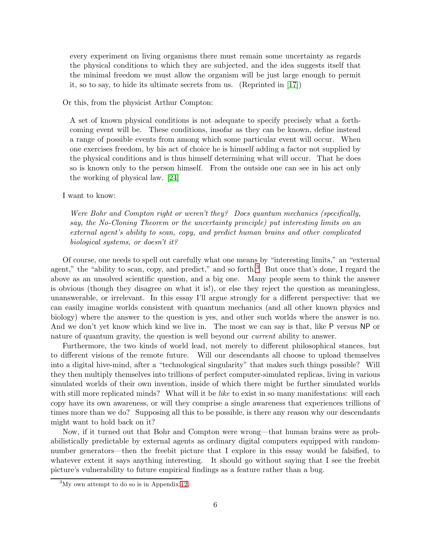every experiment on living organisms there must remain some uncertainty as regards the physical conditions to which they are subjected, and the idea suggests itself that the minimal freedom we must allow the organism will be just large enough to permit it, so to say, to hide its ultimate secrets from us. (Reprinted in [\[17\]](#page-71-0))

Or this, from the physicist Arthur Compton:

A set of known physical conditions is not adequate to specify precisely what a forthcoming event will be. These conditions, insofar as they can be known, define instead a range of possible events from among which some particular event will occur. When one exercises freedom, by his act of choice he is himself adding a factor not supplied by the physical conditions and is thus himself determining what will occur. That he does so is known only to the person himself. From the outside one can see in his act only the working of physical law. [\[24\]](#page-71-1)

I want to know:

Were Bohr and Compton right or weren't they? Does quantum mechanics (specifically, say, the No-Cloning Theorem or the uncertainty principle) put interesting limits on an external agent's ability to scan, copy, and predict human brains and other complicated biological systems, or doesn't it?

Of course, one needs to spell out carefully what one means by "interesting limits," an "external agent," the "ability to scan, copy, and predict," and so forth.<sup>[3](#page-5-0)</sup> But once that's done, I regard the above as an unsolved scientific question, and a big one. Many people seem to think the answer is obvious (though they disagree on what it is!), or else they reject the question as meaningless, unanswerable, or irrelevant. In this essay I'll argue strongly for a different perspective: that we can easily imagine worlds consistent with quantum mechanics (and all other known physics and biology) where the answer to the question is yes, and other such worlds where the answer is no. And we don't yet know which kind we live in. The most we can say is that, like P versus NP or nature of quantum gravity, the question is well beyond our current ability to answer.

Furthermore, the two kinds of world lead, not merely to different philosophical stances, but to different visions of the remote future. Will our descendants all choose to upload themselves into a digital hive-mind, after a "technological singularity" that makes such things possible? Will they then multiply themselves into trillions of perfect computer-simulated replicas, living in various simulated worlds of their own invention, inside of which there might be further simulated worlds with still more replicated minds? What will it be like to exist in so many manifestations: will each copy have its own awareness, or will they comprise a single awareness that experiences trillions of times more than we do? Supposing all this to be possible, is there any reason why our descendants might want to hold back on it?

Now, if it turned out that Bohr and Compton were wrong—that human brains were as probabilistically predictable by external agents as ordinary digital computers equipped with randomnumber generators—then the freebit picture that I explore in this essay would be falsified, to whatever extent it says anything interesting. It should go without saying that I see the freebit picture's vulnerability to future empirical findings as a feature rather than a bug.

<span id="page-5-0"></span> $3\,\mathrm{My}$  own attempt to do so is in Appendix [12.](#page-75-0)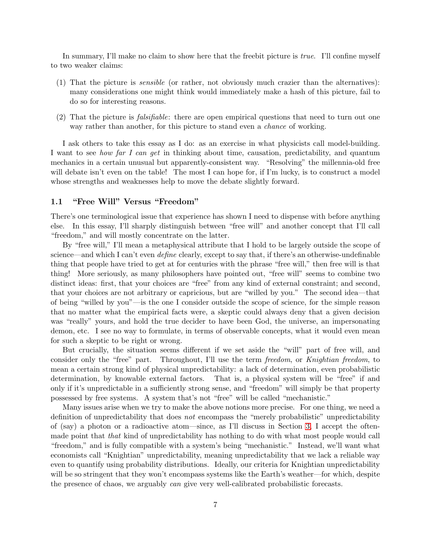In summary, I'll make no claim to show here that the freebit picture is *true*. I'll confine myself to two weaker claims:

- (1) That the picture is sensible (or rather, not obviously much crazier than the alternatives): many considerations one might think would immediately make a hash of this picture, fail to do so for interesting reasons.
- (2) That the picture is falsifiable: there are open empirical questions that need to turn out one way rather than another, for this picture to stand even a chance of working.

I ask others to take this essay as I do: as an exercise in what physicists call model-building. I want to see how far I can get in thinking about time, causation, predictability, and quantum mechanics in a certain unusual but apparently-consistent way. "Resolving" the millennia-old free will debate isn't even on the table! The most I can hope for, if I'm lucky, is to construct a model whose strengths and weaknesses help to move the debate slightly forward.

### <span id="page-6-0"></span>1.1 "Free Will" Versus "Freedom"

There's one terminological issue that experience has shown I need to dispense with before anything else. In this essay, I'll sharply distinguish between "free will" and another concept that I'll call "freedom," and will mostly concentrate on the latter.

By "free will," I'll mean a metaphysical attribute that I hold to be largely outside the scope of science—and which I can't even define clearly, except to say that, if there's an otherwise-undefinable thing that people have tried to get at for centuries with the phrase "free will," then free will is that thing! More seriously, as many philosophers have pointed out, "free will" seems to combine two distinct ideas: first, that your choices are "free" from any kind of external constraint; and second, that your choices are not arbitrary or capricious, but are "willed by you." The second idea—that of being "willed by you"—is the one I consider outside the scope of science, for the simple reason that no matter what the empirical facts were, a skeptic could always deny that a given decision was "really" yours, and hold the true decider to have been God, the universe, an impersonating demon, etc. I see no way to formulate, in terms of observable concepts, what it would even mean for such a skeptic to be right or wrong.

But crucially, the situation seems different if we set aside the "will" part of free will, and consider only the "free" part. Throughout, I'll use the term freedom, or Knightian freedom, to mean a certain strong kind of physical unpredictability: a lack of determination, even probabilistic determination, by knowable external factors. That is, a physical system will be "free" if and only if it's unpredictable in a sufficiently strong sense, and "freedom" will simply be that property possessed by free systems. A system that's not "free" will be called "mechanistic."

Many issues arise when we try to make the above notions more precise. For one thing, we need a definition of unpredictability that does not encompass the "merely probabilistic" unpredictability of (say) a photon or a radioactive atom—since, as I'll discuss in Section [3,](#page-28-0) I accept the oftenmade point that that kind of unpredictability has nothing to do with what most people would call "freedom," and is fully compatible with a system's being "mechanistic." Instead, we'll want what economists call "Knightian" unpredictability, meaning unpredictability that we lack a reliable way even to quantify using probability distributions. Ideally, our criteria for Knightian unpredictability will be so stringent that they won't encompass systems like the Earth's weather—for which, despite the presence of chaos, we arguably can give very well-calibrated probabilistic forecasts.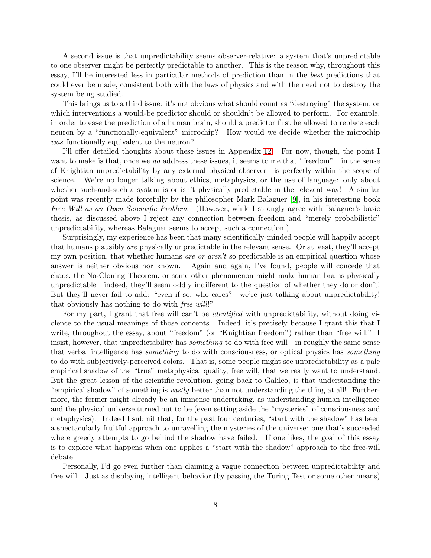A second issue is that unpredictability seems observer-relative: a system that's unpredictable to one observer might be perfectly predictable to another. This is the reason why, throughout this essay, I'll be interested less in particular methods of prediction than in the best predictions that could ever be made, consistent both with the laws of physics and with the need not to destroy the system being studied.

This brings us to a third issue: it's not obvious what should count as "destroying" the system, or which interventions a would-be predictor should or shouldn't be allowed to perform. For example, in order to ease the prediction of a human brain, should a predictor first be allowed to replace each neuron by a "functionally-equivalent" microchip? How would we decide whether the microchip was functionally equivalent to the neuron?

I'll offer detailed thoughts about these issues in Appendix [12.](#page-75-0) For now, though, the point I want to make is that, once we do address these issues, it seems to me that "freedom"—in the sense of Knightian unpredictability by any external physical observer—is perfectly within the scope of science. We're no longer talking about ethics, metaphysics, or the use of language: only about whether such-and-such a system is or isn't physically predictable in the relevant way! A similar point was recently made forcefully by the philosopher Mark Balaguer [\[9\]](#page-70-1), in his interesting book Free Will as an Open Scientific Problem. (However, while I strongly agree with Balaguer's basic thesis, as discussed above I reject any connection between freedom and "merely probabilistic" unpredictability, whereas Balaguer seems to accept such a connection.)

Surprisingly, my experience has been that many scientifically-minded people will happily accept that humans plausibly are physically unpredictable in the relevant sense. Or at least, they'll accept my own position, that whether humans are or aren't so predictable is an empirical question whose answer is neither obvious nor known. Again and again, I've found, people will concede that chaos, the No-Cloning Theorem, or some other phenomenon might make human brains physically unpredictable—indeed, they'll seem oddly indifferent to the question of whether they do or don't! But they'll never fail to add: "even if so, who cares? we're just talking about unpredictability! that obviously has nothing to do with free will!"

For my part, I grant that free will can't be *identified* with unpredictability, without doing violence to the usual meanings of those concepts. Indeed, it's precisely because I grant this that I write, throughout the essay, about "freedom" (or "Knightian freedom") rather than "free will." I insist, however, that unpredictability has *something* to do with free will—in roughly the same sense that verbal intelligence has something to do with consciousness, or optical physics has something to do with subjectively-perceived colors. That is, some people might see unpredictability as a pale empirical shadow of the "true" metaphysical quality, free will, that we really want to understand. But the great lesson of the scientific revolution, going back to Galileo, is that understanding the "empirical shadow" of something is vastly better than not understanding the thing at all! Furthermore, the former might already be an immense undertaking, as understanding human intelligence and the physical universe turned out to be (even setting aside the "mysteries" of consciousness and metaphysics). Indeed I submit that, for the past four centuries, "start with the shadow" has been a spectacularly fruitful approach to unravelling the mysteries of the universe: one that's succeeded where greedy attempts to go behind the shadow have failed. If one likes, the goal of this essay is to explore what happens when one applies a "start with the shadow" approach to the free-will debate.

Personally, I'd go even further than claiming a vague connection between unpredictability and free will. Just as displaying intelligent behavior (by passing the Turing Test or some other means)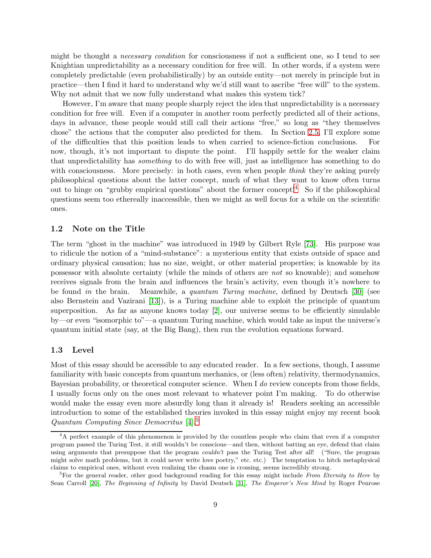might be thought a necessary condition for consciousness if not a sufficient one, so I tend to see Knightian unpredictability as a necessary condition for free will. In other words, if a system were completely predictable (even probabilistically) by an outside entity—not merely in principle but in practice—then I find it hard to understand why we'd still want to ascribe "free will" to the system. Why not admit that we now fully understand what makes this system tick?

However, I'm aware that many people sharply reject the idea that unpredictability is a necessary condition for free will. Even if a computer in another room perfectly predicted all of their actions, days in advance, these people would still call their actions "free," so long as "they themselves chose" the actions that the computer also predicted for them. In Section [2.5,](#page-15-0) I'll explore some of the difficulties that this position leads to when carried to science-fiction conclusions. For now, though, it's not important to dispute the point. I'll happily settle for the weaker claim that unpredictability has something to do with free will, just as intelligence has something to do with consciousness. More precisely: in both cases, even when people think they're asking purely philosophical questions about the latter concept, much of what they want to know often turns out to hinge on "grubby empirical questions" about the former concept!<sup>[4](#page-8-2)</sup> So if the philosophical questions seem too ethereally inaccessible, then we might as well focus for a while on the scientific ones.

### <span id="page-8-0"></span>1.2 Note on the Title

The term "ghost in the machine" was introduced in 1949 by Gilbert Ryle [\[73\]](#page-74-2). His purpose was to ridicule the notion of a "mind-substance": a mysterious entity that exists outside of space and ordinary physical causation; has no size, weight, or other material properties; is knowable by its possessor with absolute certainty (while the minds of others are not so knowable); and somehow receives signals from the brain and influences the brain's activity, even though it's nowhere to be found in the brain. Meanwhile, a quantum Turing machine, defined by Deutsch [\[30\]](#page-71-2) (see also Bernstein and Vazirani [\[13\]](#page-71-3)), is a Turing machine able to exploit the principle of quantum superposition. As far as anyone knows today [\[2\]](#page-70-2), our universe seems to be efficiently simulable by—or even "isomorphic to"—a quantum Turing machine, which would take as input the universe's quantum initial state (say, at the Big Bang), then run the evolution equations forward.

### <span id="page-8-1"></span>1.3 Level

Most of this essay should be accessible to any educated reader. In a few sections, though, I assume familiarity with basic concepts from quantum mechanics, or (less often) relativity, thermodynamics, Bayesian probability, or theoretical computer science. When I do review concepts from those fields, I usually focus only on the ones most relevant to whatever point I'm making. To do otherwise would make the essay even more absurdly long than it already is! Readers seeking an accessible introduction to some of the established theories invoked in this essay might enjoy my recent book Quantum Computing Since Democritus [\[4\]](#page-70-3).[5](#page-8-3)

<span id="page-8-2"></span><sup>&</sup>lt;sup>4</sup>A perfect example of this phenomenon is provided by the countless people who claim that even if a computer program passed the Turing Test, it still wouldn't be conscious—and then, without batting an eye, defend that claim using arguments that presuppose that the program couldn't pass the Turing Test after all! ("Sure, the program might solve math problems, but it could never write love poetry," etc. etc.) The temptation to hitch metaphysical claims to empirical ones, without even realizing the chasm one is crossing, seems incredibly strong.

<span id="page-8-3"></span><sup>&</sup>lt;sup>5</sup>For the general reader, other good background reading for this essay might include From Eternity to Here by Sean Carroll [\[20\]](#page-71-4), The Beginning of Infinity by David Deutsch [\[31\]](#page-72-2), The Emperor's New Mind by Roger Penrose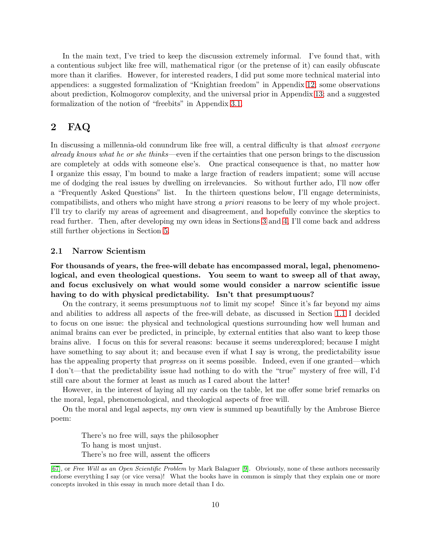In the main text, I've tried to keep the discussion extremely informal. I've found that, with a contentious subject like free will, mathematical rigor (or the pretense of it) can easily obfuscate more than it clarifies. However, for interested readers, I did put some more technical material into appendices: a suggested formalization of "Knightian freedom" in Appendix [12;](#page-75-0) some observations about prediction, Kolmogorov complexity, and the universal prior in Appendix [13;](#page-80-0) and a suggested formalization of the notion of "freebits" in Appendix [3.1.](#page-29-0)

# <span id="page-9-0"></span>2 FAQ

In discussing a millennia-old conundrum like free will, a central difficulty is that *almost everyone* already knows what he or she thinks—even if the certainties that one person brings to the discussion are completely at odds with someone else's. One practical consequence is that, no matter how I organize this essay, I'm bound to make a large fraction of readers impatient; some will accuse me of dodging the real issues by dwelling on irrelevancies. So without further ado, I'll now offer a "Frequently Asked Questions" list. In the thirteen questions below, I'll engage determinists, compatibilists, and others who might have strong a priori reasons to be leery of my whole project. I'll try to clarify my areas of agreement and disagreement, and hopefully convince the skeptics to read further. Then, after developing my own ideas in Sections [3](#page-28-0) and [4,](#page-40-0) I'll come back and address still further objections in Section [5.](#page-46-0)

### <span id="page-9-1"></span>2.1 Narrow Scientism

For thousands of years, the free-will debate has encompassed moral, legal, phenomenological, and even theological questions. You seem to want to sweep all of that away, and focus exclusively on what would some would consider a narrow scientific issue having to do with physical predictability. Isn't that presumptuous?

On the contrary, it seems presumptuous not to limit my scope! Since it's far beyond my aims and abilities to address all aspects of the free-will debate, as discussed in Section [1.1](#page-6-0) I decided to focus on one issue: the physical and technological questions surrounding how well human and animal brains can ever be predicted, in principle, by external entities that also want to keep those brains alive. I focus on this for several reasons: because it seems underexplored; because I might have something to say about it; and because even if what I say is wrong, the predictability issue has the appealing property that *progress* on it seems possible. Indeed, even if one granted—which I don't—that the predictability issue had nothing to do with the "true" mystery of free will, I'd still care about the former at least as much as I cared about the latter!

However, in the interest of laying all my cards on the table, let me offer some brief remarks on the moral, legal, phenomenological, and theological aspects of free will.

On the moral and legal aspects, my own view is summed up beautifully by the Ambrose Bierce poem:

There's no free will, says the philosopher To hang is most unjust. There's no free will, assent the officers

[<sup>\[67\]</sup>](#page-73-2), or Free Will as an Open Scientific Problem by Mark Balaguer [\[9\]](#page-70-1). Obviously, none of these authors necessarily endorse everything I say (or vice versa)! What the books have in common is simply that they explain one or more concepts invoked in this essay in much more detail than I do.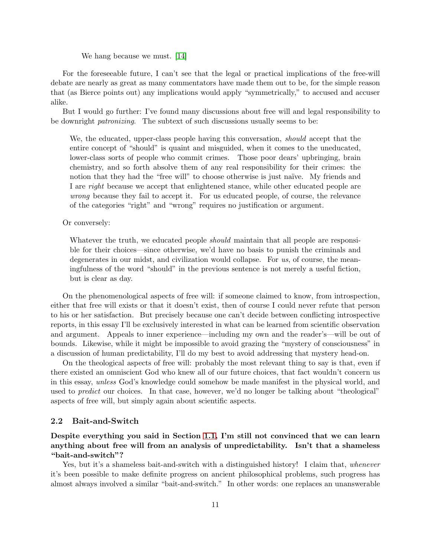### We hang because we must. [\[14\]](#page-71-5)

For the foreseeable future, I can't see that the legal or practical implications of the free-will debate are nearly as great as many commentators have made them out to be, for the simple reason that (as Bierce points out) any implications would apply "symmetrically," to accused and accuser alike.

But I would go further: I've found many discussions about free will and legal responsibility to be downright patronizing. The subtext of such discussions usually seems to be:

We, the educated, upper-class people having this conversation, *should* accept that the entire concept of "should" is quaint and misguided, when it comes to the uneducated, lower-class sorts of people who commit crimes. Those poor dears' upbringing, brain chemistry, and so forth absolve them of any real responsibility for their crimes: the notion that they had the "free will" to choose otherwise is just naïve. My friends and I are right because we accept that enlightened stance, while other educated people are wrong because they fail to accept it. For us educated people, of course, the relevance of the categories "right" and "wrong" requires no justification or argument.

#### Or conversely:

Whatever the truth, we educated people *should* maintain that all people are responsible for their choices—since otherwise, we'd have no basis to punish the criminals and degenerates in our midst, and civilization would collapse. For us, of course, the meaningfulness of the word "should" in the previous sentence is not merely a useful fiction, but is clear as day.

On the phenomenological aspects of free will: if someone claimed to know, from introspection, either that free will exists or that it doesn't exist, then of course I could never refute that person to his or her satisfaction. But precisely because one can't decide between conflicting introspective reports, in this essay I'll be exclusively interested in what can be learned from scientific observation and argument. Appeals to inner experience—including my own and the reader's—will be out of bounds. Likewise, while it might be impossible to avoid grazing the "mystery of consciousness" in a discussion of human predictability, I'll do my best to avoid addressing that mystery head-on.

On the theological aspects of free will: probably the most relevant thing to say is that, even if there existed an omniscient God who knew all of our future choices, that fact wouldn't concern us in this essay, unless God's knowledge could somehow be made manifest in the physical world, and used to predict our choices. In that case, however, we'd no longer be talking about "theological" aspects of free will, but simply again about scientific aspects.

#### <span id="page-10-0"></span>2.2 Bait-and-Switch

### Despite everything you said in Section [1.1,](#page-6-0) I'm still not convinced that we can learn anything about free will from an analysis of unpredictability. Isn't that a shameless "bait-and-switch"?

Yes, but it's a shameless bait-and-switch with a distinguished history! I claim that, whenever it's been possible to make definite progress on ancient philosophical problems, such progress has almost always involved a similar "bait-and-switch." In other words: one replaces an unanswerable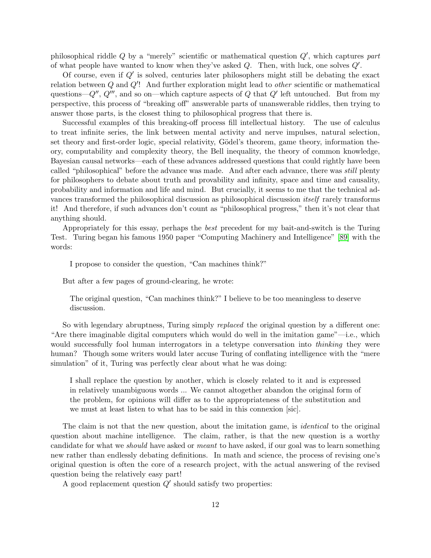philosophical riddle Q by a "merely" scientific or mathematical question  $Q'$ , which captures part of what people have wanted to know when they've asked  $Q$ . Then, with luck, one solves  $Q'$ .

Of course, even if Q′ is solved, centuries later philosophers might still be debating the exact relation between Q and  $Q'$ ! And further exploration might lead to *other* scientific or mathematical questions— $Q''$ ,  $Q'''$ , and so on—which capture aspects of Q that  $Q'$  left untouched. But from my perspective, this process of "breaking off" answerable parts of unanswerable riddles, then trying to answer those parts, is the closest thing to philosophical progress that there is.

Successful examples of this breaking-off process fill intellectual history. The use of calculus to treat infinite series, the link between mental activity and nerve impulses, natural selection, set theory and first-order logic, special relativity, Gödel's theorem, game theory, information theory, computability and complexity theory, the Bell inequality, the theory of common knowledge, Bayesian causal networks—each of these advances addressed questions that could rightly have been called "philosophical" before the advance was made. And after each advance, there was still plenty for philosophers to debate about truth and provability and infinity, space and time and causality, probability and information and life and mind. But crucially, it seems to me that the technical advances transformed the philosophical discussion as philosophical discussion itself rarely transforms it! And therefore, if such advances don't count as "philosophical progress," then it's not clear that anything should.

Appropriately for this essay, perhaps the best precedent for my bait-and-switch is the Turing Test. Turing began his famous 1950 paper "Computing Machinery and Intelligence" [\[89\]](#page-75-1) with the words:

I propose to consider the question, "Can machines think?"

But after a few pages of ground-clearing, he wrote:

The original question, "Can machines think?" I believe to be too meaningless to deserve discussion.

So with legendary abruptness, Turing simply *replaced* the original question by a different one: "Are there imaginable digital computers which would do well in the imitation game"—i.e., which would successfully fool human interrogators in a teletype conversation into *thinking* they were human? Though some writers would later accuse Turing of conflating intelligence with the "mere" simulation" of it, Turing was perfectly clear about what he was doing:

I shall replace the question by another, which is closely related to it and is expressed in relatively unambiguous words ... We cannot altogether abandon the original form of the problem, for opinions will differ as to the appropriateness of the substitution and we must at least listen to what has to be said in this connexion [sic].

The claim is not that the new question, about the imitation game, is *identical* to the original question about machine intelligence. The claim, rather, is that the new question is a worthy candidate for what we should have asked or meant to have asked, if our goal was to learn something new rather than endlessly debating definitions. In math and science, the process of revising one's original question is often the core of a research project, with the actual answering of the revised question being the relatively easy part!

A good replacement question Q′ should satisfy two properties: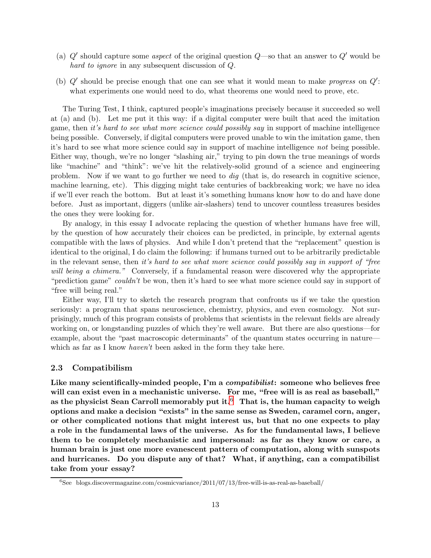- (a)  $Q'$  should capture some *aspect* of the original question  $Q$ —so that an answer to  $Q'$  would be hard to ignore in any subsequent discussion of Q.
- (b)  $Q'$  should be precise enough that one can see what it would mean to make *progress* on  $Q'$ : what experiments one would need to do, what theorems one would need to prove, etc.

The Turing Test, I think, captured people's imaginations precisely because it succeeded so well at (a) and (b). Let me put it this way: if a digital computer were built that aced the imitation game, then it's hard to see what more science could possibly say in support of machine intelligence being possible. Conversely, if digital computers were proved unable to win the imitation game, then it's hard to see what more science could say in support of machine intelligence not being possible. Either way, though, we're no longer "slashing air," trying to pin down the true meanings of words like "machine" and "think": we've hit the relatively-solid ground of a science and engineering problem. Now if we want to go further we need to dig (that is, do research in cognitive science, machine learning, etc). This digging might take centuries of backbreaking work; we have no idea if we'll ever reach the bottom. But at least it's something humans know how to do and have done before. Just as important, diggers (unlike air-slashers) tend to uncover countless treasures besides the ones they were looking for.

By analogy, in this essay I advocate replacing the question of whether humans have free will, by the question of how accurately their choices can be predicted, in principle, by external agents compatible with the laws of physics. And while I don't pretend that the "replacement" question is identical to the original, I do claim the following: if humans turned out to be arbitrarily predictable in the relevant sense, then it's hard to see what more science could possibly say in support of "free will being a chimera." Conversely, if a fundamental reason were discovered why the appropriate "prediction game" couldn't be won, then it's hard to see what more science could say in support of "free will being real."

Either way, I'll try to sketch the research program that confronts us if we take the question seriously: a program that spans neuroscience, chemistry, physics, and even cosmology. Not surprisingly, much of this program consists of problems that scientists in the relevant fields are already working on, or longstanding puzzles of which they're well aware. But there are also questions—for example, about the "past macroscopic determinants" of the quantum states occurring in nature which as far as I know *haven't* been asked in the form they take here.

### <span id="page-12-0"></span>2.3 Compatibilism

Like many scientifically-minded people, I'm a *compatibilist*: someone who believes free will can exist even in a mechanistic universe. For me, "free will is as real as baseball," as the physicist Sean Carroll memorably put it.<sup>[6](#page-12-1)</sup> That is, the human capacity to weigh options and make a decision "exists" in the same sense as Sweden, caramel corn, anger, or other complicated notions that might interest us, but that no one expects to play a role in the fundamental laws of the universe. As for the fundamental laws, I believe them to be completely mechanistic and impersonal: as far as they know or care, a human brain is just one more evanescent pattern of computation, along with sunspots and hurricanes. Do you dispute any of that? What, if anything, can a compatibilist take from your essay?

<span id="page-12-1"></span><sup>6</sup> See blogs.discovermagazine.com/cosmicvariance/2011/07/13/free-will-is-as-real-as-baseball/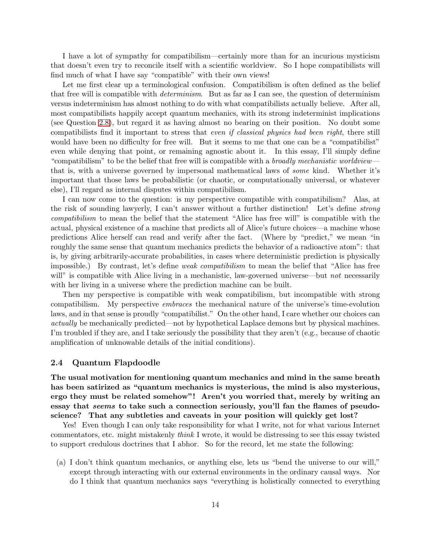I have a lot of sympathy for compatibilism—certainly more than for an incurious mysticism that doesn't even try to reconcile itself with a scientific worldview. So I hope compatibilists will find much of what I have say "compatible" with their own views!

Let me first clear up a terminological confusion. Compatibilism is often defined as the belief that free will is compatible with determinism. But as far as I can see, the question of determinism versus indeterminism has almost nothing to do with what compatibilists actually believe. After all, most compatibilists happily accept quantum mechanics, with its strong indeterminist implications (see Question [2.8\)](#page-20-0), but regard it as having almost no bearing on their position. No doubt some compatibilists find it important to stress that even if classical physics had been right, there still would have been no difficulty for free will. But it seems to me that one can be a "compatibilist" even while denying that point, or remaining agnostic about it. In this essay, I'll simply define "compatibilism" to be the belief that free will is compatible with a *broadly mechanistic worldview* that is, with a universe governed by impersonal mathematical laws of some kind. Whether it's important that those laws be probabilistic (or chaotic, or computationally universal, or whatever else), I'll regard as internal disputes within compatibilism.

I can now come to the question: is my perspective compatible with compatibilism? Alas, at the risk of sounding lawyerly, I can't answer without a further distinction! Let's define strong compatibilism to mean the belief that the statement "Alice has free will" is compatible with the actual, physical existence of a machine that predicts all of Alice's future choices—a machine whose predictions Alice herself can read and verify after the fact. (Where by "predict," we mean "in roughly the same sense that quantum mechanics predicts the behavior of a radioactive atom": that is, by giving arbitrarily-accurate probabilities, in cases where deterministic prediction is physically impossible.) By contrast, let's define weak compatibilism to mean the belief that "Alice has free will" is compatible with Alice living in a mechanistic, law-governed universe—but not necessarily with her living in a universe where the prediction machine can be built.

Then my perspective is compatible with weak compatibilism, but incompatible with strong compatibilism. My perspective embraces the mechanical nature of the universe's time-evolution laws, and in that sense is proudly "compatibilist." On the other hand, I care whether our choices can actually be mechanically predicted—not by hypothetical Laplace demons but by physical machines. I'm troubled if they are, and I take seriously the possibility that they aren't (e.g., because of chaotic amplification of unknowable details of the initial conditions).

### <span id="page-13-0"></span>2.4 Quantum Flapdoodle

The usual motivation for mentioning quantum mechanics and mind in the same breath has been satirized as "quantum mechanics is mysterious, the mind is also mysterious, ergo they must be related somehow"! Aren't you worried that, merely by writing an essay that *seems* to take such a connection seriously, you'll fan the flames of pseudoscience? That any subtleties and caveats in your position will quickly get lost?

Yes! Even though I can only take responsibility for what I write, not for what various Internet commentators, etc. might mistakenly think I wrote, it would be distressing to see this essay twisted to support credulous doctrines that I abhor. So for the record, let me state the following:

(a) I don't think quantum mechanics, or anything else, lets us "bend the universe to our will," except through interacting with our external environments in the ordinary causal ways. Nor do I think that quantum mechanics says "everything is holistically connected to everything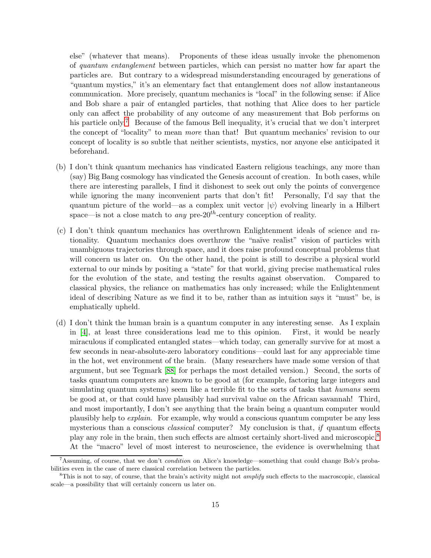else" (whatever that means). Proponents of these ideas usually invoke the phenomenon of quantum entanglement between particles, which can persist no matter how far apart the particles are. But contrary to a widespread misunderstanding encouraged by generations of "quantum mystics," it's an elementary fact that entanglement does not allow instantaneous communication. More precisely, quantum mechanics is "local" in the following sense: if Alice and Bob share a pair of entangled particles, that nothing that Alice does to her particle only can affect the probability of any outcome of any measurement that Bob performs on his particle only.<sup>[7](#page-14-0)</sup> Because of the famous Bell inequality, it's crucial that we don't interpret the concept of "locality" to mean more than that! But quantum mechanics' revision to our concept of locality is so subtle that neither scientists, mystics, nor anyone else anticipated it beforehand.

- (b) I don't think quantum mechanics has vindicated Eastern religious teachings, any more than (say) Big Bang cosmology has vindicated the Genesis account of creation. In both cases, while there are interesting parallels, I find it dishonest to seek out only the points of convergence while ignoring the many inconvenient parts that don't fit! Personally, I'd say that the quantum picture of the world—as a complex unit vector  $|\psi\rangle$  evolving linearly in a Hilbert space—is not a close match to *any* pre- $20^{th}$ -century conception of reality.
- (c) I don't think quantum mechanics has overthrown Enlightenment ideals of science and rationality. Quantum mechanics does overthrow the "na¨ıve realist" vision of particles with unambiguous trajectories through space, and it does raise profound conceptual problems that will concern us later on. On the other hand, the point is still to describe a physical world external to our minds by positing a "state" for that world, giving precise mathematical rules for the evolution of the state, and testing the results against observation. Compared to classical physics, the reliance on mathematics has only increased; while the Enlightenment ideal of describing Nature as we find it to be, rather than as intuition says it "must" be, is emphatically upheld.
- (d) I don't think the human brain is a quantum computer in any interesting sense. As I explain in [\[4\]](#page-70-3), at least three considerations lead me to this opinion. First, it would be nearly miraculous if complicated entangled states—which today, can generally survive for at most a few seconds in near-absolute-zero laboratory conditions—could last for any appreciable time in the hot, wet environment of the brain. (Many researchers have made some version of that argument, but see Tegmark [\[88\]](#page-75-2) for perhaps the most detailed version.) Second, the sorts of tasks quantum computers are known to be good at (for example, factoring large integers and simulating quantum systems) seem like a terrible fit to the sorts of tasks that humans seem be good at, or that could have plausibly had survival value on the African savannah! Third, and most importantly, I don't see anything that the brain being a quantum computer would plausibly help to explain. For example, why would a conscious quantum computer be any less mysterious than a conscious *classical* computer? My conclusion is that, if quantum effects play any role in the brain, then such effects are almost certainly short-lived and microscopic.[8](#page-14-1) At the "macro" level of most interest to neuroscience, the evidence is overwhelming that

<span id="page-14-0"></span><sup>&</sup>lt;sup>7</sup>Assuming, of course, that we don't *condition* on Alice's knowledge—something that could change Bob's probabilities even in the case of mere classical correlation between the particles.

<span id="page-14-1"></span> ${}^{8}$ This is not to say, of course, that the brain's activity might not *amplify* such effects to the macroscopic, classical scale—a possibility that will certainly concern us later on.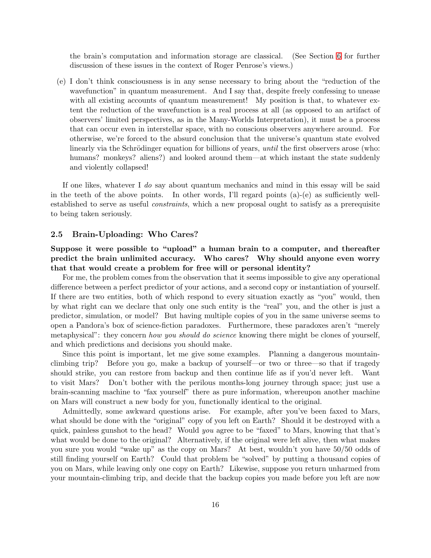the brain's computation and information storage are classical. (See Section [6](#page-55-0) for further discussion of these issues in the context of Roger Penrose's views.)

(e) I don't think consciousness is in any sense necessary to bring about the "reduction of the wavefunction" in quantum measurement. And I say that, despite freely confessing to unease with all existing accounts of quantum measurement! My position is that, to whatever extent the reduction of the wavefunction is a real process at all (as opposed to an artifact of observers' limited perspectives, as in the Many-Worlds Interpretation), it must be a process that can occur even in interstellar space, with no conscious observers anywhere around. For otherwise, we're forced to the absurd conclusion that the universe's quantum state evolved linearly via the Schrödinger equation for billions of years, *until* the first observers arose (who: humans? monkeys? aliens?) and looked around them—at which instant the state suddenly and violently collapsed!

If one likes, whatever I do say about quantum mechanics and mind in this essay will be said in the teeth of the above points. In other words, I'll regard points (a)-(e) as sufficiently wellestablished to serve as useful constraints, which a new proposal ought to satisfy as a prerequisite to being taken seriously.

### <span id="page-15-0"></span>2.5 Brain-Uploading: Who Cares?

### Suppose it were possible to "upload" a human brain to a computer, and thereafter predict the brain unlimited accuracy. Who cares? Why should anyone even worry that that would create a problem for free will or personal identity?

For me, the problem comes from the observation that it seems impossible to give any operational difference between a perfect predictor of your actions, and a second copy or instantiation of yourself. If there are two entities, both of which respond to every situation exactly as "you" would, then by what right can we declare that only one such entity is the "real" you, and the other is just a predictor, simulation, or model? But having multiple copies of you in the same universe seems to open a Pandora's box of science-fiction paradoxes. Furthermore, these paradoxes aren't "merely metaphysical": they concern *how you should do science* knowing there might be clones of yourself, and which predictions and decisions you should make.

Since this point is important, let me give some examples. Planning a dangerous mountainclimbing trip? Before you go, make a backup of yourself—or two or three—so that if tragedy should strike, you can restore from backup and then continue life as if you'd never left. Want to visit Mars? Don't bother with the perilous months-long journey through space; just use a brain-scanning machine to "fax yourself" there as pure information, whereupon another machine on Mars will construct a new body for you, functionally identical to the original.

Admittedly, some awkward questions arise. For example, after you've been faxed to Mars, what should be done with the "original" copy of you left on Earth? Should it be destroyed with a quick, painless gunshot to the head? Would you agree to be "faxed" to Mars, knowing that that's what would be done to the original? Alternatively, if the original were left alive, then what makes you sure you would "wake up" as the copy on Mars? At best, wouldn't you have 50/50 odds of still finding yourself on Earth? Could that problem be "solved" by putting a thousand copies of you on Mars, while leaving only one copy on Earth? Likewise, suppose you return unharmed from your mountain-climbing trip, and decide that the backup copies you made before you left are now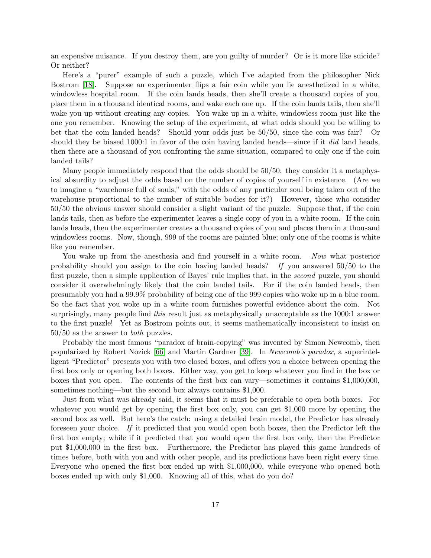an expensive nuisance. If you destroy them, are you guilty of murder? Or is it more like suicide? Or neither?

Here's a "purer" example of such a puzzle, which I've adapted from the philosopher Nick Bostrom [\[18\]](#page-71-6). Suppose an experimenter flips a fair coin while you lie anesthetized in a white, windowless hospital room. If the coin lands heads, then she'll create a thousand copies of you, place them in a thousand identical rooms, and wake each one up. If the coin lands tails, then she'll wake you up without creating any copies. You wake up in a white, windowless room just like the one you remember. Knowing the setup of the experiment, at what odds should you be willing to bet that the coin landed heads? Should your odds just be 50/50, since the coin was fair? Or should they be biased 1000:1 in favor of the coin having landed heads—since if it did land heads, then there are a thousand of you confronting the same situation, compared to only one if the coin landed tails?

Many people immediately respond that the odds should be 50/50: they consider it a metaphysical absurdity to adjust the odds based on the number of copies of yourself in existence. (Are we to imagine a "warehouse full of souls," with the odds of any particular soul being taken out of the warehouse proportional to the number of suitable bodies for it?) However, those who consider 50/50 the obvious answer should consider a slight variant of the puzzle. Suppose that, if the coin lands tails, then as before the experimenter leaves a single copy of you in a white room. If the coin lands heads, then the experimenter creates a thousand copies of you and places them in a thousand windowless rooms. Now, though, 999 of the rooms are painted blue; only one of the rooms is white like you remember.

You wake up from the anesthesia and find yourself in a white room. Now what posterior probability should you assign to the coin having landed heads? If you answered 50/50 to the first puzzle, then a simple application of Bayes' rule implies that, in the second puzzle, you should consider it overwhelmingly likely that the coin landed tails. For if the coin landed heads, then presumably you had a 99.9% probability of being one of the 999 copies who woke up in a blue room. So the fact that you woke up in a white room furnishes powerful evidence about the coin. Not surprisingly, many people find *this* result just as metaphysically unacceptable as the 1000:1 answer to the first puzzle! Yet as Bostrom points out, it seems mathematically inconsistent to insist on 50/50 as the answer to both puzzles.

Probably the most famous "paradox of brain-copying" was invented by Simon Newcomb, then popularized by Robert Nozick [\[66\]](#page-73-3) and Martin Gardner [\[39\]](#page-72-3). In Newcomb's paradox, a superintelligent "Predictor" presents you with two closed boxes, and offers you a choice between opening the first box only or opening both boxes. Either way, you get to keep whatever you find in the box or boxes that you open. The contents of the first box can vary—sometimes it contains \$1,000,000, sometimes nothing—but the second box always contains \$1,000.

Just from what was already said, it seems that it must be preferable to open both boxes. For whatever you would get by opening the first box only, you can get \$1,000 more by opening the second box as well. But here's the catch: using a detailed brain model, the Predictor has already foreseen your choice. If it predicted that you would open both boxes, then the Predictor left the first box empty; while if it predicted that you would open the first box only, then the Predictor put \$1,000,000 in the first box. Furthermore, the Predictor has played this game hundreds of times before, both with you and with other people, and its predictions have been right every time. Everyone who opened the first box ended up with \$1,000,000, while everyone who opened both boxes ended up with only \$1,000. Knowing all of this, what do you do?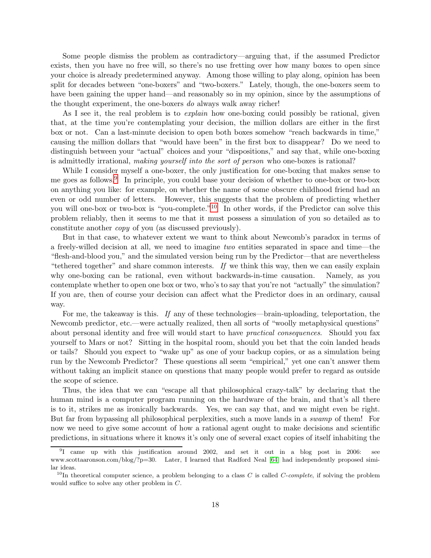Some people dismiss the problem as contradictory—arguing that, if the assumed Predictor exists, then you have no free will, so there's no use fretting over how many boxes to open since your choice is already predetermined anyway. Among those willing to play along, opinion has been split for decades between "one-boxers" and "two-boxers." Lately, though, the one-boxers seem to have been gaining the upper hand—and reasonably so in my opinion, since by the assumptions of the thought experiment, the one-boxers do always walk away richer!

As I see it, the real problem is to *explain* how one-boxing could possibly be rational, given that, at the time you're contemplating your decision, the million dollars are either in the first box or not. Can a last-minute decision to open both boxes somehow "reach backwards in time," causing the million dollars that "would have been" in the first box to disappear? Do we need to distinguish between your "actual" choices and your "dispositions," and say that, while one-boxing is admittedly irrational, making yourself into the sort of person who one-boxes is rational?

While I consider myself a one-boxer, the only justification for one-boxing that makes sense to me goes as follows.<sup>[9](#page-17-0)</sup> In principle, you could base your decision of whether to one-box or two-box on anything you like: for example, on whether the name of some obscure childhood friend had an even or odd number of letters. However, this suggests that the problem of predicting whether you will one-box or two-box is "you-complete."[10](#page-17-1) In other words, if the Predictor can solve this problem reliably, then it seems to me that it must possess a simulation of you so detailed as to constitute another copy of you (as discussed previously).

But in that case, to whatever extent we want to think about Newcomb's paradox in terms of a freely-willed decision at all, we need to imagine two entities separated in space and time—the "flesh-and-blood you," and the simulated version being run by the Predictor—that are nevertheless "tethered together" and share common interests. If we think this way, then we can easily explain why one-boxing can be rational, even without backwards-in-time causation. Namely, as you contemplate whether to open one box or two, who's to say that you're not "actually" the simulation? If you are, then of course your decision can affect what the Predictor does in an ordinary, causal way.

For me, the takeaway is this. If any of these technologies—brain-uploading, teleportation, the Newcomb predictor, etc.—were actually realized, then all sorts of "woolly metaphysical questions" about personal identity and free will would start to have practical consequences. Should you fax yourself to Mars or not? Sitting in the hospital room, should you bet that the coin landed heads or tails? Should you expect to "wake up" as one of your backup copies, or as a simulation being run by the Newcomb Predictor? These questions all seem "empirical," yet one can't answer them without taking an implicit stance on questions that many people would prefer to regard as outside the scope of science.

Thus, the idea that we can "escape all that philosophical crazy-talk" by declaring that the human mind is a computer program running on the hardware of the brain, and that's all there is to it, strikes me as ironically backwards. Yes, we can say that, and we might even be right. But far from bypassing all philosophical perplexities, such a move lands in a swamp of them! For now we need to give some account of how a rational agent ought to make decisions and scientific predictions, in situations where it knows it's only one of several exact copies of itself inhabiting the

<span id="page-17-0"></span><sup>&</sup>lt;sup>9</sup>I came up with this justification around 2002, and set it out in a blog post in 2006: see www.scottaaronson.com/blog/?p=30. Later, I learned that Radford Neal [\[64\]](#page-73-4) had independently proposed similar ideas.

<span id="page-17-1"></span><sup>&</sup>lt;sup>10</sup>In theoretical computer science, a problem belonging to a class C is called C-complete, if solving the problem would suffice to solve any other problem in C.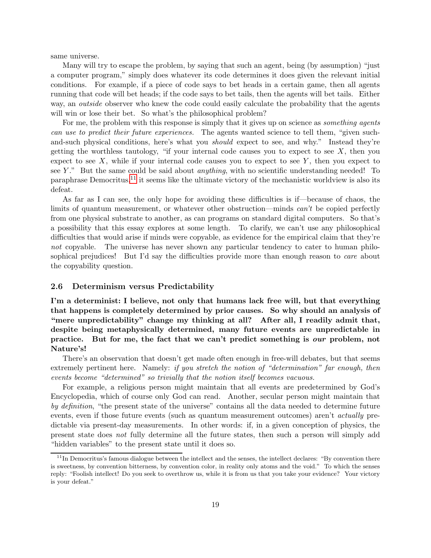same universe.

Many will try to escape the problem, by saying that such an agent, being (by assumption) "just a computer program," simply does whatever its code determines it does given the relevant initial conditions. For example, if a piece of code says to bet heads in a certain game, then all agents running that code will bet heads; if the code says to bet tails, then the agents will bet tails. Either way, an *outside* observer who knew the code could easily calculate the probability that the agents will win or lose their bet. So what's the philosophical problem?

For me, the problem with this response is simply that it gives up on science as *something agents* can use to predict their future experiences. The agents wanted science to tell them, "given suchand-such physical conditions, here's what you *should* expect to see, and why." Instead they're getting the worthless tautology, "if your internal code causes you to expect to see  $X$ , then you expect to see  $X$ , while if your internal code causes you to expect to see  $Y$ , then you expect to see  $Y$ ." But the same could be said about *anything*, with no scientific understanding needed! To paraphrase Democritus, $^{11}$  $^{11}$  $^{11}$  it seems like the ultimate victory of the mechanistic worldview is also its defeat.

As far as I can see, the only hope for avoiding these difficulties is if—because of chaos, the limits of quantum measurement, or whatever other obstruction—minds can't be copied perfectly from one physical substrate to another, as can programs on standard digital computers. So that's a possibility that this essay explores at some length. To clarify, we can't use any philosophical difficulties that would arise if minds were copyable, as evidence for the empirical claim that they're not copyable. The universe has never shown any particular tendency to cater to human philosophical prejudices! But I'd say the difficulties provide more than enough reason to *care* about the copyability question.

### <span id="page-18-0"></span>2.6 Determinism versus Predictability

I'm a determinist: I believe, not only that humans lack free will, but that everything that happens is completely determined by prior causes. So why should an analysis of "mere unpredictability" change my thinking at all? After all, I readily admit that, despite being metaphysically determined, many future events are unpredictable in practice. But for me, the fact that we can't predict something is our problem, not Nature's!

There's an observation that doesn't get made often enough in free-will debates, but that seems extremely pertinent here. Namely: if you stretch the notion of "determination" far enough, then events become "determined" so trivially that the notion itself becomes vacuous.

For example, a religious person might maintain that all events are predetermined by God's Encyclopedia, which of course only God can read. Another, secular person might maintain that by definition, "the present state of the universe" contains all the data needed to determine future events, even if those future events (such as quantum measurement outcomes) aren't *actually* predictable via present-day measurements. In other words: if, in a given conception of physics, the present state does not fully determine all the future states, then such a person will simply add "hidden variables" to the present state until it does so.

<span id="page-18-1"></span> $11$ In Democritus's famous dialogue between the intellect and the senses, the intellect declares: "By convention there is sweetness, by convention bitterness, by convention color, in reality only atoms and the void." To which the senses reply: "Foolish intellect! Do you seek to overthrow us, while it is from us that you take your evidence? Your victory is your defeat."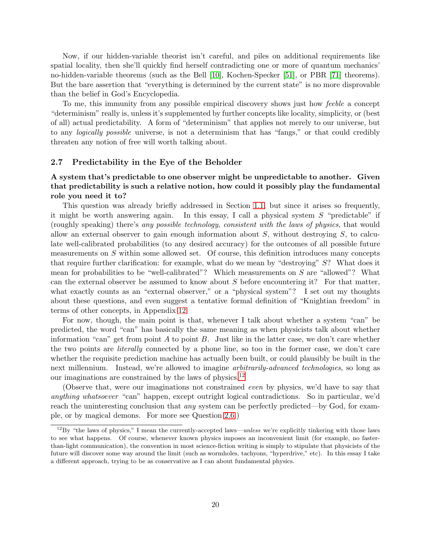Now, if our hidden-variable theorist isn't careful, and piles on additional requirements like spatial locality, then she'll quickly find herself contradicting one or more of quantum mechanics' no-hidden-variable theorems (such as the Bell [\[10\]](#page-70-4), Kochen-Specker [\[51\]](#page-73-5), or PBR [\[71\]](#page-74-3) theorems). But the bare assertion that "everything is determined by the current state" is no more disprovable than the belief in God's Encyclopedia.

To me, this immunity from any possible empirical discovery shows just how feeble a concept "determinism" really is, unless it's supplemented by further concepts like locality, simplicity, or (best of all) actual predictability. A form of "determinism" that applies not merely to our universe, but to any logically possible universe, is not a determinism that has "fangs," or that could credibly threaten any notion of free will worth talking about.

### <span id="page-19-0"></span>2.7 Predictability in the Eye of the Beholder

### A system that's predictable to one observer might be unpredictable to another. Given that predictability is such a relative notion, how could it possibly play the fundamental role you need it to?

This question was already briefly addressed in Section [1.1,](#page-6-0) but since it arises so frequently, it might be worth answering again. In this essay, I call a physical system  $S$  "predictable" if (roughly speaking) there's any possible technology, consistent with the laws of physics, that would allow an external observer to gain enough information about  $S$ , without destroying  $S$ , to calculate well-calibrated probabilities (to any desired accuracy) for the outcomes of all possible future measurements on S within some allowed set. Of course, this definition introduces many concepts that require further clarification: for example, what do we mean by "destroying" S? What does it mean for probabilities to be "well-calibrated"? Which measurements on S are "allowed"? What can the external observer be assumed to know about  $S$  before encountering it? For that matter, what exactly counts as an "external observer," or a "physical system"? I set out my thoughts about these questions, and even suggest a tentative formal definition of "Knightian freedom" in terms of other concepts, in Appendix [12.](#page-75-0)

For now, though, the main point is that, whenever I talk about whether a system "can" be predicted, the word "can" has basically the same meaning as when physicists talk about whether information "can" get from point  $A$  to point  $B$ . Just like in the latter case, we don't care whether the two points are literally connected by a phone line, so too in the former case, we don't care whether the requisite prediction machine has actually been built, or could plausibly be built in the next millennium. Instead, we're allowed to imagine *arbitrarily-advanced technologies*, so long as our imaginations are constrained by the laws of physics.<sup>[12](#page-19-1)</sup>

(Observe that, were our imaginations not constrained even by physics, we'd have to say that anything whatsoever "can" happen, except outright logical contradictions. So in particular, we'd reach the uninteresting conclusion that *any* system can be perfectly predicted—by God, for example, or by magical demons. For more see Question [2.6.](#page-18-0))

<span id="page-19-1"></span> $12\text{By }$  "the laws of physics," I mean the currently-accepted laws—unless we're explicitly tinkering with those laws to see what happens. Of course, whenever known physics imposes an inconvenient limit (for example, no fasterthan-light communication), the convention in most science-fiction writing is simply to stipulate that physicists of the future will discover some way around the limit (such as wormholes, tachyons, "hyperdrive," etc). In this essay I take a different approach, trying to be as conservative as I can about fundamental physics.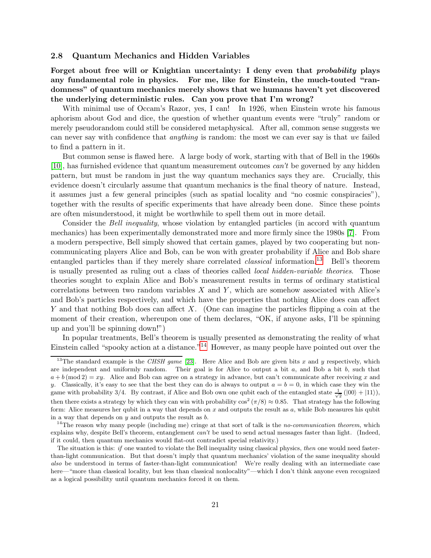### <span id="page-20-0"></span>2.8 Quantum Mechanics and Hidden Variables

Forget about free will or Knightian uncertainty: I deny even that probability plays any fundamental role in physics. For me, like for Einstein, the much-touted "randomness" of quantum mechanics merely shows that we humans haven't yet discovered the underlying deterministic rules. Can you prove that I'm wrong?

With minimal use of Occam's Razor, yes, I can! In 1926, when Einstein wrote his famous aphorism about God and dice, the question of whether quantum events were "truly" random or merely pseudorandom could still be considered metaphysical. After all, common sense suggests we can never say with confidence that anything is random: the most we can ever say is that we failed to find a pattern in it.

But common sense is flawed here. A large body of work, starting with that of Bell in the 1960s [\[10\]](#page-70-4), has furnished evidence that quantum measurement outcomes can't be governed by any hidden pattern, but must be random in just the way quantum mechanics says they are. Crucially, this evidence doesn't circularly assume that quantum mechanics is the final theory of nature. Instead, it assumes just a few general principles (such as spatial locality and "no cosmic conspiracies"), together with the results of specific experiments that have already been done. Since these points are often misunderstood, it might be worthwhile to spell them out in more detail.

Consider the *Bell inequality*, whose violation by entangled particles (in accord with quantum mechanics) has been experimentally demonstrated more and more firmly since the 1980s [\[7\]](#page-70-5). From a modern perspective, Bell simply showed that certain games, played by two cooperating but noncommunicating players Alice and Bob, can be won with greater probability if Alice and Bob share entangled particles than if they merely share correlated *classical* information.<sup>[13](#page-20-1)</sup> Bell's theorem is usually presented as ruling out a class of theories called local hidden-variable theories. Those theories sought to explain Alice and Bob's measurement results in terms of ordinary statistical correlations between two random variables  $X$  and  $Y$ , which are somehow associated with Alice's and Bob's particles respectively, and which have the properties that nothing Alice does can affect Y and that nothing Bob does can affect  $X$ . (One can imagine the particles flipping a coin at the moment of their creation, whereupon one of them declares, "OK, if anyone asks, I'll be spinning up and you'll be spinning down!")

In popular treatments, Bell's theorem is usually presented as demonstrating the reality of what Einstein called "spooky action at a distance."<sup>[14](#page-20-2)</sup> However, as many people have pointed out over the

<span id="page-20-1"></span><sup>&</sup>lt;sup>13</sup>The standard example is the *CHSH game* [\[23\]](#page-71-7). Here Alice and Bob are given bits x and y respectively, which are independent and uniformly random. Their goal is for Alice to output a bit  $a$ , and Bob a bit  $b$ , such that  $a + b \pmod{2} = xy$ . Alice and Bob can agree on a strategy in advance, but can't communicate after receiving x and y. Classically, it's easy to see that the best they can do is always to output  $a = b = 0$ , in which case they win the game with probability 3/4. By contrast, if Alice and Bob own one qubit each of the entangled state  $\frac{1}{\sqrt{2}}(|00\rangle + |11\rangle)$ , then there exists a strategy by which they can win with probability  $\cos^2(\pi/8) \approx 0.85$ . That strategy has the following form: Alice measures her qubit in a way that depends on  $x$  and outputs the result as  $a$ , while Bob measures his qubit in a way that depends on  $y$  and outputs the result as  $b$ .

<span id="page-20-2"></span><sup>&</sup>lt;sup>14</sup>The reason why many people (including me) cringe at that sort of talk is the *no-communication theorem*, which explains why, despite Bell's theorem, entanglement can't be used to send actual messages faster than light. (Indeed, if it could, then quantum mechanics would flat-out contradict special relativity.)

The situation is this: *if* one wanted to violate the Bell inequality using classical physics, *then* one would need fasterthan-light communication. But that doesn't imply that quantum mechanics' violation of the same inequality should also be understood in terms of faster-than-light communication! We're really dealing with an intermediate case here—"more than classical locality, but less than classical nonlocality"—which I don't think anyone even recognized as a logical possibility until quantum mechanics forced it on them.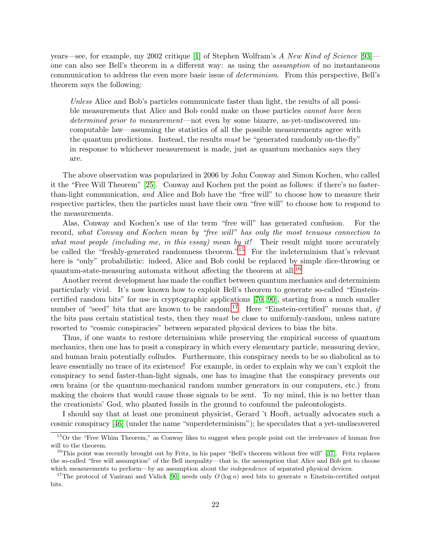years—see, for example, my 2002 critique [\[1\]](#page-70-6) of Stephen Wolfram's A New Kind of Science  $[93]$  one can also see Bell's theorem in a different way: as using the assumption of no instantaneous communication to address the even more basic issue of determinism. From this perspective, Bell's theorem says the following:

Unless Alice and Bob's particles communicate faster than light, the results of all possible measurements that Alice and Bob could make on those particles cannot have been determined prior to measurement—not even by some bizarre, as-yet-undiscovered uncomputable law—assuming the statistics of all the possible measurements agree with the quantum predictions. Instead, the results must be "generated randomly on-the-fly" in response to whichever measurement is made, just as quantum mechanics says they are.

The above observation was popularized in 2006 by John Conway and Simon Kochen, who called it the "Free Will Theorem" [\[25\]](#page-71-8). Conway and Kochen put the point as follows: if there's no fasterthan-light communication, and Alice and Bob have the "free will" to choose how to measure their respective particles, then the particles must have their own "free will" to choose how to respond to the measurements.

Alas, Conway and Kochen's use of the term "free will" has generated confusion. For the record, what Conway and Kochen mean by "free will" has only the most tenuous connection to what most people (including me, in this essay) mean by it! Their result might more accurately be called the "freshly-generated randomness theorem."<sup>[15](#page-21-0)</sup> For the indeterminism that's relevant here is "only" probabilistic: indeed, Alice and Bob could be replaced by simple dice-throwing or quantum-state-measuring automata without affecting the theorem at all.[16](#page-21-1)

Another recent development has made the conflict between quantum mechanics and determinism particularly vivid. It's now known how to exploit Bell's theorem to generate so-called "Einsteincertified random bits" for use in cryptographic applications [\[70,](#page-74-4) [90\]](#page-75-4), starting from a much smaller number of "seed" bits that are known to be random.<sup>[17](#page-21-2)</sup> Here "Einstein-certified" means that, if the bits pass certain statistical tests, then they *must* be close to uniformly-random, unless nature resorted to "cosmic conspiracies" between separated physical devices to bias the bits.

Thus, if one wants to restore determinism while preserving the empirical success of quantum mechanics, then one has to posit a conspiracy in which every elementary particle, measuring device, and human brain potentially colludes. Furthermore, this conspiracy needs to be so diabolical as to leave essentially no trace of its existence! For example, in order to explain why we can't exploit the conspiracy to send faster-than-light signals, one has to imagine that the conspiracy prevents our own brains (or the quantum-mechanical random number generators in our computers, etc.) from making the choices that would cause those signals to be sent. To my mind, this is no better than the creationists' God, who planted fossils in the ground to confound the paleontologists.

I should say that at least one prominent physicist, Gerard 't Hooft, actually advocates such a cosmic conspiracy [\[46\]](#page-72-4) (under the name "superdeterminism"); he speculates that a yet-undiscovered

<span id="page-21-0"></span><sup>&</sup>lt;sup>15</sup>Or the "Free Whim Theorem," as Conway likes to suggest when people point out the irrelevance of human free will to the theorem.

<span id="page-21-1"></span> $16$ This point was recently brought out by Fritz, in his paper "Bell's theorem without free will" [\[37\]](#page-72-5). Fritz replaces the so-called "free will assumption" of the Bell inequality—that is, the assumption that Alice and Bob get to choose which measurements to perform—by an assumption about the *independence* of separated physical devices.

<span id="page-21-2"></span><sup>&</sup>lt;sup>17</sup>The protocol of Vazirani and Vidick [\[90\]](#page-75-4) needs only  $O(\log n)$  seed bits to generate n Einstein-certified output bits.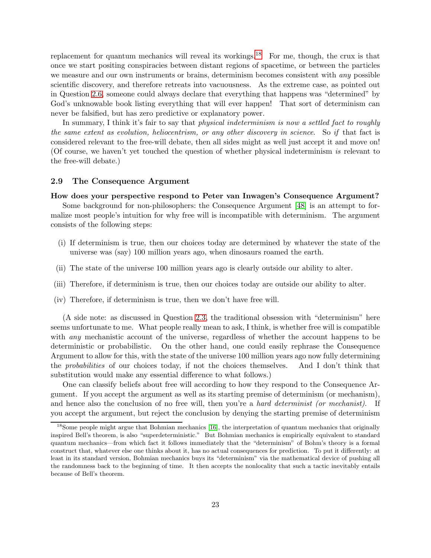replacement for quantum mechanics will reveal its workings.<sup>[18](#page-22-1)</sup> For me, though, the crux is that once we start positing conspiracies between distant regions of spacetime, or between the particles we measure and our own instruments or brains, determinism becomes consistent with *any* possible scientific discovery, and therefore retreats into vacuousness. As the extreme case, as pointed out in Question [2.6,](#page-18-0) someone could always declare that everything that happens was "determined" by God's unknowable book listing everything that will ever happen! That sort of determinism can never be falsified, but has zero predictive or explanatory power.

In summary, I think it's fair to say that *physical indeterminism is now a settled fact to roughly* the same extent as evolution, heliocentrism, or any other discovery in science. So if that fact is considered relevant to the free-will debate, then all sides might as well just accept it and move on! (Of course, we haven't yet touched the question of whether physical indeterminism is relevant to the free-will debate.)

### <span id="page-22-0"></span>2.9 The Consequence Argument

How does your perspective respond to Peter van Inwagen's Consequence Argument?

Some background for non-philosophers: the Consequence Argument [\[48\]](#page-72-6) is an attempt to formalize most people's intuition for why free will is incompatible with determinism. The argument consists of the following steps:

- (i) If determinism is true, then our choices today are determined by whatever the state of the universe was (say) 100 million years ago, when dinosaurs roamed the earth.
- (ii) The state of the universe 100 million years ago is clearly outside our ability to alter.
- (iii) Therefore, if determinism is true, then our choices today are outside our ability to alter.
- (iv) Therefore, if determinism is true, then we don't have free will.

(A side note: as discussed in Question [2.3,](#page-12-0) the traditional obsession with "determinism" here seems unfortunate to me. What people really mean to ask, I think, is whether free will is compatible with *any* mechanistic account of the universe, regardless of whether the account happens to be deterministic or probabilistic. On the other hand, one could easily rephrase the Consequence Argument to allow for this, with the state of the universe 100 million years ago now fully determining the probabilities of our choices today, if not the choices themselves. And I don't think that substitution would make any essential difference to what follows.)

One can classify beliefs about free will according to how they respond to the Consequence Argument. If you accept the argument as well as its starting premise of determinism (or mechanism), and hence also the conclusion of no free will, then you're a hard determinist (or mechanist). If you accept the argument, but reject the conclusion by denying the starting premise of determinism

<span id="page-22-1"></span><sup>&</sup>lt;sup>18</sup>Some people might argue that Bohmian mechanics [\[16\]](#page-71-9), the interpretation of quantum mechanics that originally inspired Bell's theorem, is also "superdeterministic." But Bohmian mechanics is empirically equivalent to standard quantum mechanics—from which fact it follows immediately that the "determinism" of Bohm's theory is a formal construct that, whatever else one thinks about it, has no actual consequences for prediction. To put it differently: at least in its standard version, Bohmian mechanics buys its "determinism" via the mathematical device of pushing all the randomness back to the beginning of time. It then accepts the nonlocality that such a tactic inevitably entails because of Bell's theorem.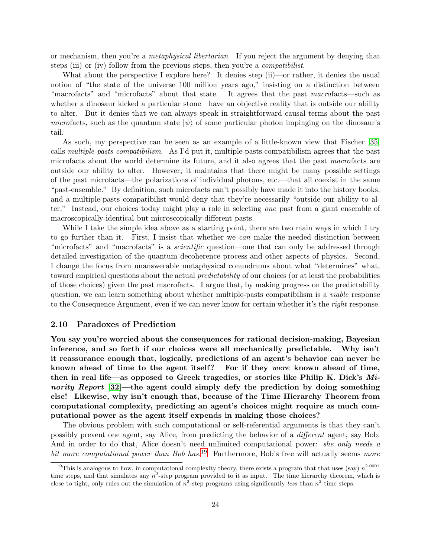or mechanism, then you're a metaphysical libertarian. If you reject the argument by denying that steps (iii) or (iv) follow from the previous steps, then you're a *compatibilist*.

What about the perspective I explore here? It denies step (ii)—or rather, it denies the usual notion of "the state of the universe 100 million years ago," insisting on a distinction between "macrofacts" and "microfacts" about that state. It agrees that the past macrofacts—such as whether a dinosaur kicked a particular stone—have an objective reality that is outside our ability to alter. But it denies that we can always speak in straightforward causal terms about the past microfacts, such as the quantum state  $|\psi\rangle$  of some particular photon impinging on the dinosaur's tail.

As such, my perspective can be seen as an example of a little-known view that Fischer [\[35\]](#page-72-7) calls multiple-pasts compatibilism. As I'd put it, multiple-pasts compatibilism agrees that the past microfacts about the world determine its future, and it also agrees that the past macrofacts are outside our ability to alter. However, it maintains that there might be many possible settings of the past microfacts—the polarizations of individual photons, etc.—that all coexist in the same "past-ensemble." By definition, such microfacts can't possibly have made it into the history books, and a multiple-pasts compatibilist would deny that they're necessarily "outside our ability to alter." Instead, our choices today might play a role in selecting one past from a giant ensemble of macroscopically-identical but microscopically-different pasts.

While I take the simple idea above as a starting point, there are two main ways in which I try to go further than it. First, I insist that whether we can make the needed distinction between "microfacts" and "macrofacts" is a *scientific* question—one that can only be addressed through detailed investigation of the quantum decoherence process and other aspects of physics. Second, I change the focus from unanswerable metaphysical conundrums about what "determines" what, toward empirical questions about the actual *predictability* of our choices (or at least the probabilities of those choices) given the past macrofacts. I argue that, by making progress on the predictability question, we can learn something about whether multiple-pasts compatibilism is a *viable* response to the Consequence Argument, even if we can never know for certain whether it's the right response.

### <span id="page-23-0"></span>2.10 Paradoxes of Prediction

You say you're worried about the consequences for rational decision-making, Bayesian inference, and so forth if our choices were all mechanically predictable. Why isn't it reassurance enough that, logically, predictions of an agent's behavior can never be known ahead of time to the agent itself? For if they were known ahead of time, then in real life—as opposed to Greek tragedies, or stories like Philip K. Dick's  $Mi$ -nority Report [\[32\]](#page-72-8)—the agent could simply defy the prediction by doing something else! Likewise, why isn't enough that, because of the Time Hierarchy Theorem from computational complexity, predicting an agent's choices might require as much computational power as the agent itself expends in making those choices?

The obvious problem with such computational or self-referential arguments is that they can't possibly prevent one agent, say Alice, from predicting the behavior of a different agent, say Bob. And in order to do that, Alice doesn't need unlimited computational power: she only needs a bit more computational power than Bob has.<sup>[19](#page-23-1)</sup> Furthermore, Bob's free will actually seems more

<span id="page-23-1"></span><sup>&</sup>lt;sup>19</sup>This is analogous to how, in computational complexity theory, there exists a program that that uses (say)  $n^{2.0001}$ time steps, and that simulates any  $n^2$ -step program provided to it as input. The time hierarchy theorem, which is close to tight, only rules out the simulation of  $n^2$ -step programs using significantly less than  $n^2$  time steps.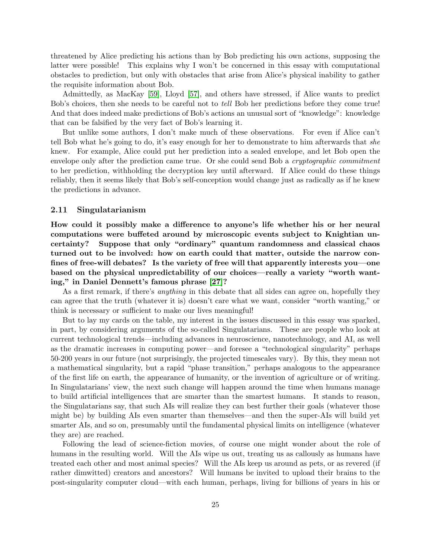threatened by Alice predicting his actions than by Bob predicting his own actions, supposing the latter were possible! This explains why I won't be concerned in this essay with computational obstacles to prediction, but only with obstacles that arise from Alice's physical inability to gather the requisite information about Bob.

Admittedly, as MacKay [\[59\]](#page-73-6), Lloyd [\[57\]](#page-73-7), and others have stressed, if Alice wants to predict Bob's choices, then she needs to be careful not to *tell* Bob her predictions before they come true! And that does indeed make predictions of Bob's actions an unusual sort of "knowledge": knowledge that can be falsified by the very fact of Bob's learning it.

But unlike some authors, I don't make much of these observations. For even if Alice can't tell Bob what he's going to do, it's easy enough for her to demonstrate to him afterwards that she knew. For example, Alice could put her prediction into a sealed envelope, and let Bob open the envelope only after the prediction came true. Or she could send Bob a *cryptographic commitment* to her prediction, withholding the decryption key until afterward. If Alice could do these things reliably, then it seems likely that Bob's self-conception would change just as radically as if he knew the predictions in advance.

### <span id="page-24-0"></span>2.11 Singulatarianism

How could it possibly make a difference to anyone's life whether his or her neural computations were buffeted around by microscopic events subject to Knightian uncertainty? Suppose that only "ordinary" quantum randomness and classical chaos turned out to be involved: how on earth could that matter, outside the narrow confines of free-will debates? Is the variety of free will that apparently interests you—one based on the physical unpredictability of our choices—really a variety "worth wanting," in Daniel Dennett's famous phrase [\[27\]](#page-71-10)?

As a first remark, if there's *anything* in this debate that all sides can agree on, hopefully they can agree that the truth (whatever it is) doesn't care what we want, consider "worth wanting," or think is necessary or sufficient to make our lives meaningful!

But to lay my cards on the table, my interest in the issues discussed in this essay was sparked, in part, by considering arguments of the so-called Singulatarians. These are people who look at current technological trends—including advances in neuroscience, nanotechnology, and AI, as well as the dramatic increases in computing power—and foresee a "technological singularity" perhaps 50-200 years in our future (not surprisingly, the projected timescales vary). By this, they mean not a mathematical singularity, but a rapid "phase transition," perhaps analogous to the appearance of the first life on earth, the appearance of humanity, or the invention of agriculture or of writing. In Singulatarians' view, the next such change will happen around the time when humans manage to build artificial intelligences that are smarter than the smartest humans. It stands to reason, the Singulatarians say, that such AIs will realize they can best further their goals (whatever those might be) by building AIs even smarter than themselves—and then the super-AIs will build yet smarter AIs, and so on, presumably until the fundamental physical limits on intelligence (whatever they are) are reached.

Following the lead of science-fiction movies, of course one might wonder about the role of humans in the resulting world. Will the AIs wipe us out, treating us as callously as humans have treated each other and most animal species? Will the AIs keep us around as pets, or as revered (if rather dimwitted) creators and ancestors? Will humans be invited to upload their brains to the post-singularity computer cloud—with each human, perhaps, living for billions of years in his or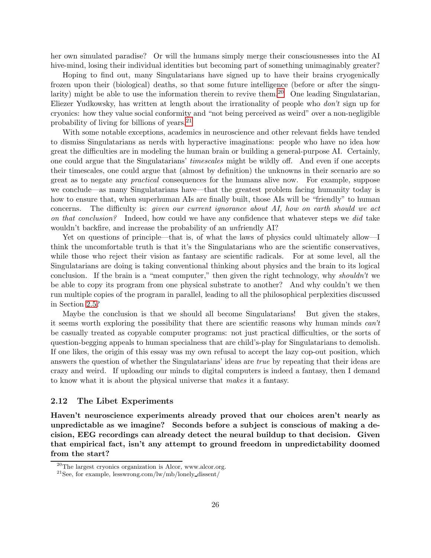her own simulated paradise? Or will the humans simply merge their consciousnesses into the AI hive-mind, losing their individual identities but becoming part of something unimaginably greater?

Hoping to find out, many Singulatarians have signed up to have their brains cryogenically frozen upon their (biological) deaths, so that some future intelligence (before or after the singu-larity) might be able to use the information therein to revive them.<sup>[20](#page-25-1)</sup> One leading Singulatarian. Eliezer Yudkowsky, has written at length about the irrationality of people who don't sign up for cryonics: how they value social conformity and "not being perceived as weird" over a non-negligible probability of living for billions of years.[21](#page-25-2)

With some notable exceptions, academics in neuroscience and other relevant fields have tended to dismiss Singulatarians as nerds with hyperactive imaginations: people who have no idea how great the difficulties are in modeling the human brain or building a general-purpose AI. Certainly, one could argue that the Singulatarians' timescales might be wildly off. And even if one accepts their timescales, one could argue that (almost by definition) the unknowns in their scenario are so great as to negate any practical consequences for the humans alive now. For example, suppose we conclude—as many Singulatarians have—that the greatest problem facing humanity today is how to ensure that, when superhuman AIs are finally built, those AIs will be "friendly" to human concerns. The difficulty is: given our current ignorance about AI, how on earth should we act on that conclusion? Indeed, how could we have any confidence that whatever steps we did take wouldn't backfire, and increase the probability of an unfriendly AI?

Yet on questions of principle—that is, of what the laws of physics could ultimately allow—I think the uncomfortable truth is that it's the Singulatarians who are the scientific conservatives, while those who reject their vision as fantasy are scientific radicals. For at some level, all the Singulatarians are doing is taking conventional thinking about physics and the brain to its logical conclusion. If the brain is a "meat computer," then given the right technology, why shouldn't we be able to copy its program from one physical substrate to another? And why couldn't we then run multiple copies of the program in parallel, leading to all the philosophical perplexities discussed in Section [2.5?](#page-15-0)

Maybe the conclusion is that we should all become Singulatarians! But given the stakes, it seems worth exploring the possibility that there are scientific reasons why human minds can't be casually treated as copyable computer programs: not just practical difficulties, or the sorts of question-begging appeals to human specialness that are child's-play for Singulatarians to demolish. If one likes, the origin of this essay was my own refusal to accept the lazy cop-out position, which answers the question of whether the Singulatarians' ideas are true by repeating that their ideas are crazy and weird. If uploading our minds to digital computers is indeed a fantasy, then I demand to know what it is about the physical universe that makes it a fantasy.

### <span id="page-25-0"></span>2.12 The Libet Experiments

Haven't neuroscience experiments already proved that our choices aren't nearly as unpredictable as we imagine? Seconds before a subject is conscious of making a decision, EEG recordings can already detect the neural buildup to that decision. Given that empirical fact, isn't any attempt to ground freedom in unpredictability doomed from the start?

<sup>20</sup>The largest cryonics organization is Alcor, www.alcor.org.

<span id="page-25-2"></span><span id="page-25-1"></span><sup>21</sup>See, for example, lesswrong.com/lw/mb/lonely dissent/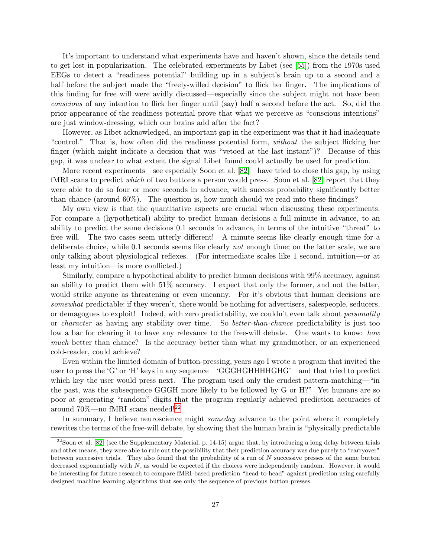It's important to understand what experiments have and haven't shown, since the details tend to get lost in popularization. The celebrated experiments by Libet (see [\[55\]](#page-73-8)) from the 1970s used EEGs to detect a "readiness potential" building up in a subject's brain up to a second and a half before the subject made the "freely-willed decision" to flick her finger. The implications of this finding for free will were avidly discussed—especially since the subject might not have been conscious of any intention to flick her finger until (say) half a second before the act. So, did the prior appearance of the readiness potential prove that what we perceive as "conscious intentions" are just window-dressing, which our brains add after the fact?

However, as Libet acknowledged, an important gap in the experiment was that it had inadequate "control." That is, how often did the readiness potential form, without the subject flicking her finger (which might indicate a decision that was "vetoed at the last instant")? Because of this gap, it was unclear to what extent the signal Libet found could actually be used for prediction.

More recent experiments—see especially Soon et al. [\[82\]](#page-74-5)—have tried to close this gap, by using fMRI scans to predict which of two buttons a person would press. Soon et al. [\[82\]](#page-74-5) report that they were able to do so four or more seconds in advance, with success probability significantly better than chance (around  $60\%$ ). The question is, how much should we read into these findings?

My own view is that the quantitative aspects are crucial when discussing these experiments. For compare a (hypothetical) ability to predict human decisions a full minute in advance, to an ability to predict the same decisions 0.1 seconds in advance, in terms of the intuitive "threat" to free will. The two cases seem utterly different! A minute seems like clearly enough time for a deliberate choice, while 0.1 seconds seems like clearly not enough time; on the latter scale, we are only talking about physiological reflexes. (For intermediate scales like 1 second, intuition—or at least my intuition—is more conflicted.)

Similarly, compare a hypothetical ability to predict human decisions with 99% accuracy, against an ability to predict them with 51% accuracy. I expect that only the former, and not the latter, would strike anyone as threatening or even uncanny. For it's obvious that human decisions are somewhat predictable: if they weren't, there would be nothing for advertisers, salespeople, seducers, or demagogues to exploit! Indeed, with zero predictability, we couldn't even talk about personality or character as having any stability over time. So better-than-chance predictability is just too low a bar for clearing it to have any relevance to the free-will debate. One wants to know: how much better than chance? Is the accuracy better than what my grandmother, or an experienced cold-reader, could achieve?

Even within the limited domain of button-pressing, years ago I wrote a program that invited the user to press the 'G' or 'H' keys in any sequence—'GGGHGHHHHGHG'—and that tried to predict which key the user would press next. The program used only the crudest pattern-matching—"in the past, was the subsequence GGGH more likely to be followed by G or H?" Yet humans are so poor at generating "random" digits that the program regularly achieved prediction accuracies of around 70%—no fMRI scans needed![22](#page-26-0)

In summary, I believe neuroscience might *someday* advance to the point where it completely rewrites the terms of the free-will debate, by showing that the human brain is "physically predictable

<span id="page-26-0"></span> $22$ Soon et al. [\[82\]](#page-74-5) (see the Supplementary Material, p. 14-15) argue that, by introducing a long delay between trials and other means, they were able to rule out the possibility that their prediction accuracy was due purely to "carryover" between successive trials. They also found that the probability of a run of N successive presses of the same button decreased exponentially with N, as would be expected if the choices were independently random. However, it would be interesting for future research to compare fMRI-based prediction "head-to-head" against prediction using carefully designed machine learning algorithms that see only the sequence of previous button presses.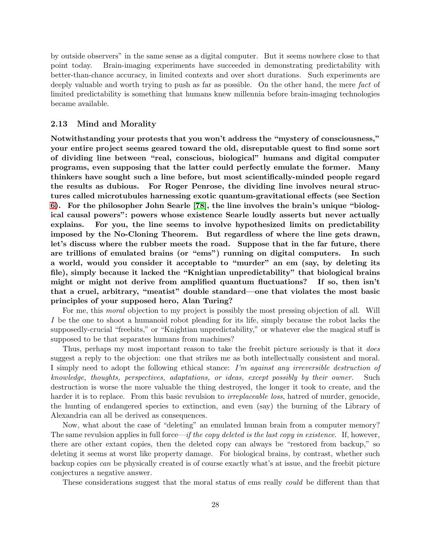by outside observers" in the same sense as a digital computer. But it seems nowhere close to that point today. Brain-imaging experiments have succeeded in demonstrating predictability with better-than-chance accuracy, in limited contexts and over short durations. Such experiments are deeply valuable and worth trying to push as far as possible. On the other hand, the mere fact of limited predictability is something that humans knew millennia before brain-imaging technologies became available.

### <span id="page-27-0"></span>2.13 Mind and Morality

Notwithstanding your protests that you won't address the "mystery of consciousness," your entire project seems geared toward the old, disreputable quest to find some sort of dividing line between "real, conscious, biological" humans and digital computer programs, even supposing that the latter could perfectly emulate the former. Many thinkers have sought such a line before, but most scientifically-minded people regard the results as dubious. For Roger Penrose, the dividing line involves neural structures called microtubules harnessing exotic quantum-gravitational effects (see Section [6\)](#page-55-0). For the philosopher John Searle [\[78\]](#page-74-6), the line involves the brain's unique "biological causal powers": powers whose existence Searle loudly asserts but never actually explains. For you, the line seems to involve hypothesized limits on predictability imposed by the No-Cloning Theorem. But regardless of where the line gets drawn, let's discuss where the rubber meets the road. Suppose that in the far future, there are trillions of emulated brains (or "ems") running on digital computers. In such a world, would you consider it acceptable to "murder" an em (say, by deleting its file), simply because it lacked the "Knightian unpredictability" that biological brains might or might not derive from amplified quantum fluctuations? If so, then isn't that a cruel, arbitrary, "meatist" double standard—one that violates the most basic principles of your supposed hero, Alan Turing?

For me, this moral objection to my project is possibly the most pressing objection of all. Will I be the one to shoot a humanoid robot pleading for its life, simply because the robot lacks the supposedly-crucial "freebits," or "Knightian unpredictability," or whatever else the magical stuff is supposed to be that separates humans from machines?

Thus, perhaps my most important reason to take the freebit picture seriously is that it *does* suggest a reply to the objection: one that strikes me as both intellectually consistent and moral. I simply need to adopt the following ethical stance: I'm against any irreversible destruction of knowledge, thoughts, perspectives, adaptations, or ideas, except possibly by their owner. Such destruction is worse the more valuable the thing destroyed, the longer it took to create, and the harder it is to replace. From this basic revulsion to *irreplaceable loss*, hatred of murder, genocide, the hunting of endangered species to extinction, and even (say) the burning of the Library of Alexandria can all be derived as consequences.

Now, what about the case of "deleting" an emulated human brain from a computer memory? The same revulsion applies in full force—if the copy deleted is the last copy in existence. If, however, there are other extant copies, then the deleted copy can always be "restored from backup," so deleting it seems at worst like property damage. For biological brains, by contrast, whether such backup copies can be physically created is of course exactly what's at issue, and the freebit picture conjectures a negative answer.

These considerations suggest that the moral status of ems really could be different than that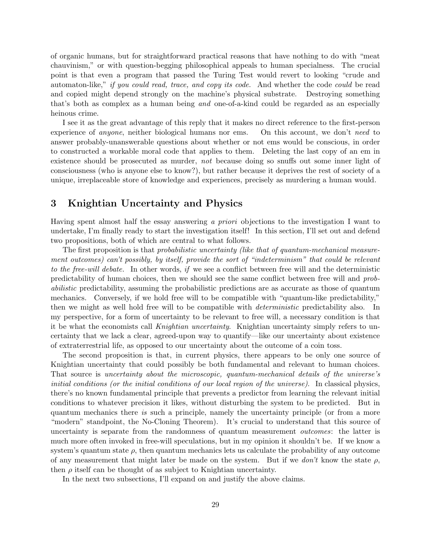of organic humans, but for straightforward practical reasons that have nothing to do with "meat chauvinism," or with question-begging philosophical appeals to human specialness. The crucial point is that even a program that passed the Turing Test would revert to looking "crude and automaton-like," if you could read, trace, and copy its code. And whether the code could be read and copied might depend strongly on the machine's physical substrate. Destroying something that's both as complex as a human being and one-of-a-kind could be regarded as an especially heinous crime.

I see it as the great advantage of this reply that it makes no direct reference to the first-person experience of *anyone*, neither biological humans nor ems. On this account, we don't need to answer probably-unanswerable questions about whether or not ems would be conscious, in order to constructed a workable moral code that applies to them. Deleting the last copy of an em in existence should be prosecuted as murder, not because doing so snuffs out some inner light of consciousness (who is anyone else to know?), but rather because it deprives the rest of society of a unique, irreplaceable store of knowledge and experiences, precisely as murdering a human would.

# <span id="page-28-0"></span>3 Knightian Uncertainty and Physics

Having spent almost half the essay answering a priori objections to the investigation I want to undertake, I'm finally ready to start the investigation itself! In this section, I'll set out and defend two propositions, both of which are central to what follows.

The first proposition is that probabilistic uncertainty (like that of quantum-mechanical measurement outcomes) can't possibly, by itself, provide the sort of "indeterminism" that could be relevant to the free-will debate. In other words, if we see a conflict between free will and the deterministic predictability of human choices, then we should see the same conflict between free will and probabilistic predictability, assuming the probabilistic predictions are as accurate as those of quantum mechanics. Conversely, if we hold free will to be compatible with "quantum-like predictability," then we might as well hold free will to be compatible with deterministic predictability also. In my perspective, for a form of uncertainty to be relevant to free will, a necessary condition is that it be what the economists call Knightian uncertainty. Knightian uncertainty simply refers to uncertainty that we lack a clear, agreed-upon way to quantify—like our uncertainty about existence of extraterrestrial life, as opposed to our uncertainty about the outcome of a coin toss.

The second proposition is that, in current physics, there appears to be only one source of Knightian uncertainty that could possibly be both fundamental and relevant to human choices. That source is uncertainty about the microscopic, quantum-mechanical details of the universe's initial conditions (or the initial conditions of our local region of the universe). In classical physics, there's no known fundamental principle that prevents a predictor from learning the relevant initial conditions to whatever precision it likes, without disturbing the system to be predicted. But in quantum mechanics there is such a principle, namely the uncertainty principle (or from a more "modern" standpoint, the No-Cloning Theorem). It's crucial to understand that this source of uncertainty is separate from the randomness of quantum measurement outcomes: the latter is much more often invoked in free-will speculations, but in my opinion it shouldn't be. If we know a system's quantum state  $\rho$ , then quantum mechanics lets us calculate the probability of any outcome of any measurement that might later be made on the system. But if we don't know the state  $\rho$ , then  $\rho$  itself can be thought of as subject to Knightian uncertainty.

In the next two subsections, I'll expand on and justify the above claims.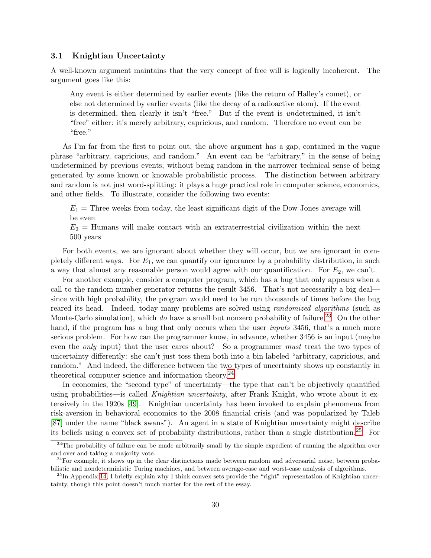### <span id="page-29-0"></span>3.1 Knightian Uncertainty

A well-known argument maintains that the very concept of free will is logically incoherent. The argument goes like this:

Any event is either determined by earlier events (like the return of Halley's comet), or else not determined by earlier events (like the decay of a radioactive atom). If the event is determined, then clearly it isn't "free." But if the event is undetermined, it isn't "free" either: it's merely arbitrary, capricious, and random. Therefore no event can be "free."

As I'm far from the first to point out, the above argument has a gap, contained in the vague phrase "arbitrary, capricious, and random." An event can be "arbitrary," in the sense of being undetermined by previous events, without being random in the narrower technical sense of being generated by some known or knowable probabilistic process. The distinction between arbitrary and random is not just word-splitting: it plays a huge practical role in computer science, economics, and other fields. To illustrate, consider the following two events:

 $E_1$  = Three weeks from today, the least significant digit of the Dow Jones average will be even

 $E_2 =$  Humans will make contact with an extraterrestrial civilization within the next 500 years

For both events, we are ignorant about whether they will occur, but we are ignorant in completely different ways. For  $E_1$ , we can quantify our ignorance by a probability distribution, in such a way that almost any reasonable person would agree with our quantification. For  $E_2$ , we can't.

For another example, consider a computer program, which has a bug that only appears when a call to the random number generator returns the result 3456. That's not necessarily a big deal since with high probability, the program would need to be run thousands of times before the bug reared its head. Indeed, today many problems are solved using randomized algorithms (such as Monte-Carlo simulation), which do have a small but nonzero probability of failure.<sup>[23](#page-29-1)</sup> On the other hand, if the program has a bug that only occurs when the user *inputs* 3456, that's a much more serious problem. For how can the programmer know, in advance, whether 3456 is an input (maybe even the only input) that the user cares about? So a programmer must treat the two types of uncertainty differently: she can't just toss them both into a bin labeled "arbitrary, capricious, and random." And indeed, the difference between the two types of uncertainty shows up constantly in theoretical computer science and information theory.[24](#page-29-2)

In economics, the "second type" of uncertainty—the type that can't be objectively quantified using probabilities—is called Knightian uncertainty, after Frank Knight, who wrote about it extensively in the 1920s [\[49\]](#page-72-9). Knightian uncertainty has been invoked to explain phenomena from risk-aversion in behavioral economics to the 2008 financial crisis (and was popularized by Taleb [\[87\]](#page-74-7) under the name "black swans"). An agent in a state of Knightian uncertainty might describe its beliefs using a convex set of probability distributions, rather than a single distribution.[25](#page-29-3) For

<span id="page-29-1"></span><sup>&</sup>lt;sup>23</sup>The probability of failure can be made arbitrarily small by the simple expedient of running the algorithm over and over and taking a majority vote.

<span id="page-29-2"></span><sup>&</sup>lt;sup>24</sup>For example, it shows up in the clear distinctions made between random and adversarial noise, between probabilistic and nondeterministic Turing machines, and between average-case and worst-case analysis of algorithms.

<span id="page-29-3"></span> $^{25}$ In Appendix [14,](#page-83-0) I briefly explain why I think convex sets provide the "right" representation of Knightian uncertainty, though this point doesn't much matter for the rest of the essay.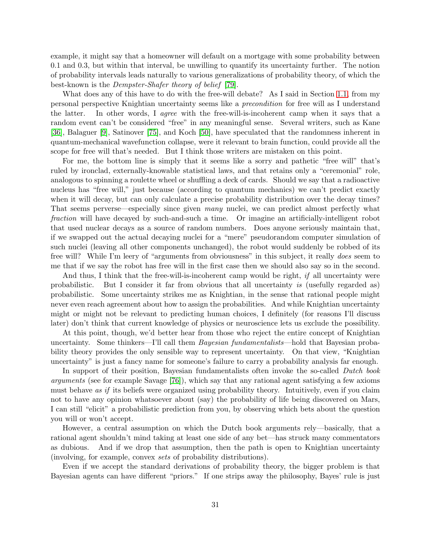example, it might say that a homeowner will default on a mortgage with some probability between 0.1 and 0.3, but within that interval, be unwilling to quantify its uncertainty further. The notion of probability intervals leads naturally to various generalizations of probability theory, of which the best-known is the Dempster-Shafer theory of belief [\[79\]](#page-74-8).

What does any of this have to do with the free-will debate? As I said in Section [1.1,](#page-6-0) from my personal perspective Knightian uncertainty seems like a precondition for free will as I understand the latter. In other words, I agree with the free-will-is-incoherent camp when it says that a random event can't be considered "free" in any meaningful sense. Several writers, such as Kane [\[36\]](#page-72-10), Balaguer [\[9\]](#page-70-1), Satinover [\[75\]](#page-74-9), and Koch [\[50\]](#page-73-9), have speculated that the randomness inherent in quantum-mechanical wavefunction collapse, were it relevant to brain function, could provide all the scope for free will that's needed. But I think those writers are mistaken on this point.

For me, the bottom line is simply that it seems like a sorry and pathetic "free will" that's ruled by ironclad, externally-knowable statistical laws, and that retains only a "ceremonial" role, analogous to spinning a roulette wheel or shuffling a deck of cards. Should we say that a radioactive nucleus has "free will," just because (according to quantum mechanics) we can't predict exactly when it will decay, but can only calculate a precise probability distribution over the decay times? That seems perverse—especially since given many nuclei, we can predict almost perfectly what fraction will have decayed by such-and-such a time. Or imagine an artificially-intelligent robot that used nuclear decays as a source of random numbers. Does anyone seriously maintain that, if we swapped out the actual decaying nuclei for a "mere" pseudorandom computer simulation of such nuclei (leaving all other components unchanged), the robot would suddenly be robbed of its free will? While I'm leery of "arguments from obviousness" in this subject, it really *does* seem to me that if we say the robot has free will in the first case then we should also say so in the second.

And thus, I think that the free-will-is-incoherent camp would be right, if all uncertainty were probabilistic. But I consider it far from obvious that all uncertainty is (usefully regarded as) probabilistic. Some uncertainty strikes me as Knightian, in the sense that rational people might never even reach agreement about how to assign the probabilities. And while Knightian uncertainty might or might not be relevant to predicting human choices, I definitely (for reasons I'll discuss later) don't think that current knowledge of physics or neuroscience lets us exclude the possibility.

At this point, though, we'd better hear from those who reject the entire concept of Knightian uncertainty. Some thinkers—I'll call them *Bayesian fundamentalists*—hold that Bayesian probability theory provides the only sensible way to represent uncertainty. On that view, "Knightian uncertainty" is just a fancy name for someone's failure to carry a probability analysis far enough.

In support of their position, Bayesian fundamentalists often invoke the so-called Dutch book arguments (see for example Savage [\[76\]](#page-74-10)), which say that any rational agent satisfying a few axioms must behave as if its beliefs were organized using probability theory. Intuitively, even if you claim not to have any opinion whatsoever about (say) the probability of life being discovered on Mars, I can still "elicit" a probabilistic prediction from you, by observing which bets about the question you will or won't accept.

However, a central assumption on which the Dutch book arguments rely—basically, that a rational agent shouldn't mind taking at least one side of any bet—has struck many commentators as dubious. And if we drop that assumption, then the path is open to Knightian uncertainty (involving, for example, convex sets of probability distributions).

Even if we accept the standard derivations of probability theory, the bigger problem is that Bayesian agents can have different "priors." If one strips away the philosophy, Bayes' rule is just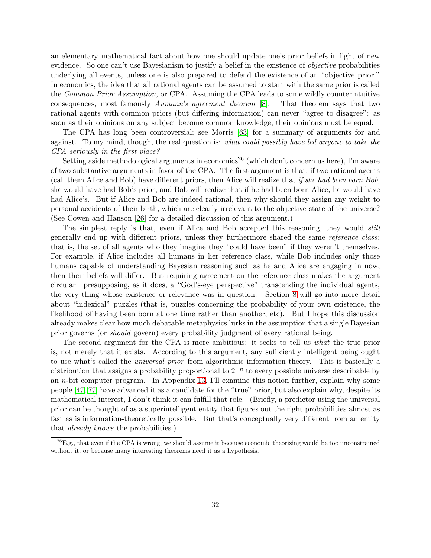an elementary mathematical fact about how one should update one's prior beliefs in light of new evidence. So one can't use Bayesianism to justify a belief in the existence of *objective* probabilities underlying all events, unless one is also prepared to defend the existence of an "objective prior." In economics, the idea that all rational agents can be assumed to start with the same prior is called the Common Prior Assumption, or CPA. Assuming the CPA leads to some wildly counterintuitive consequences, most famously Aumann's agreement theorem [\[8\]](#page-70-7). That theorem says that two rational agents with common priors (but differing information) can never "agree to disagree": as soon as their opinions on any subject become common knowledge, their opinions must be equal.

The CPA has long been controversial; see Morris [\[63\]](#page-73-10) for a summary of arguments for and against. To my mind, though, the real question is: what could possibly have led anyone to take the CPA seriously in the first place?

Setting aside methodological arguments in economics<sup>[26](#page-31-0)</sup> (which don't concern us here), I'm aware of two substantive arguments in favor of the CPA. The first argument is that, if two rational agents (call them Alice and Bob) have different priors, then Alice will realize that if she had been born Bob, she would have had Bob's prior, and Bob will realize that if he had been born Alice, he would have had Alice's. But if Alice and Bob are indeed rational, then why should they assign any weight to personal accidents of their birth, which are clearly irrelevant to the objective state of the universe? (See Cowen and Hanson [\[26\]](#page-71-11) for a detailed discussion of this argument.)

The simplest reply is that, even if Alice and Bob accepted this reasoning, they would still generally end up with different priors, unless they furthermore shared the same reference class: that is, the set of all agents who they imagine they "could have been" if they weren't themselves. For example, if Alice includes all humans in her reference class, while Bob includes only those humans capable of understanding Bayesian reasoning such as he and Alice are engaging in now, then their beliefs will differ. But requiring agreement on the reference class makes the argument circular—presupposing, as it does, a "God's-eye perspective" transcending the individual agents, the very thing whose existence or relevance was in question. Section [8](#page-61-1) will go into more detail about "indexical" puzzles (that is, puzzles concerning the probability of your own existence, the likelihood of having been born at one time rather than another, etc). But I hope this discussion already makes clear how much debatable metaphysics lurks in the assumption that a single Bayesian prior governs (or should govern) every probability judgment of every rational being.

The second argument for the CPA is more ambitious: it seeks to tell us *what* the true prior is, not merely that it exists. According to this argument, any sufficiently intelligent being ought to use what's called the universal prior from algorithmic information theory. This is basically a distribution that assigns a probability proportional to  $2^{-n}$  to every possible universe describable by an n-bit computer program. In Appendix [13,](#page-80-0) I'll examine this notion further, explain why some people [\[47,](#page-72-11) [77\]](#page-74-11) have advanced it as a candidate for the "true" prior, but also explain why, despite its mathematical interest, I don't think it can fulfill that role. (Briefly, a predictor using the universal prior can be thought of as a superintelligent entity that figures out the right probabilities almost as fast as is information-theoretically possible. But that's conceptually very different from an entity that already knows the probabilities.)

<span id="page-31-0"></span> $^{26}$ E.g., that even if the CPA is wrong, we should assume it because economic theorizing would be too unconstrained without it, or because many interesting theorems need it as a hypothesis.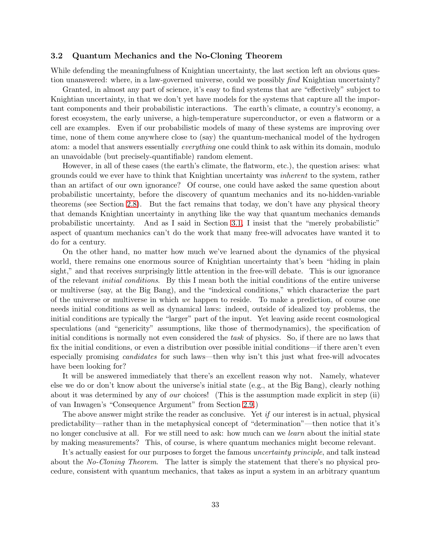### <span id="page-32-0"></span>3.2 Quantum Mechanics and the No-Cloning Theorem

While defending the meaningfulness of Knightian uncertainty, the last section left an obvious question unanswered: where, in a law-governed universe, could we possibly find Knightian uncertainty?

Granted, in almost any part of science, it's easy to find systems that are "effectively" subject to Knightian uncertainty, in that we don't yet have models for the systems that capture all the important components and their probabilistic interactions. The earth's climate, a country's economy, a forest ecosystem, the early universe, a high-temperature superconductor, or even a flatworm or a cell are examples. Even if our probabilistic models of many of these systems are improving over time, none of them come anywhere close to (say) the quantum-mechanical model of the hydrogen atom: a model that answers essentially *everything* one could think to ask within its domain, modulo an unavoidable (but precisely-quantifiable) random element.

However, in all of these cases (the earth's climate, the flatworm, etc.), the question arises: what grounds could we ever have to think that Knightian uncertainty was inherent to the system, rather than an artifact of our own ignorance? Of course, one could have asked the same question about probabilistic uncertainty, before the discovery of quantum mechanics and its no-hidden-variable theorems (see Section [2.8\)](#page-20-0). But the fact remains that today, we don't have any physical theory that demands Knightian uncertainty in anything like the way that quantum mechanics demands probabilistic uncertainty. And as I said in Section [3.1,](#page-29-0) I insist that the "merely probabilistic" aspect of quantum mechanics can't do the work that many free-will advocates have wanted it to do for a century.

On the other hand, no matter how much we've learned about the dynamics of the physical world, there remains one enormous source of Knightian uncertainty that's been "hiding in plain sight," and that receives surprisingly little attention in the free-will debate. This is our ignorance of the relevant initial conditions. By this I mean both the initial conditions of the entire universe or multiverse (say, at the Big Bang), and the "indexical conditions," which characterize the part of the universe or multiverse in which we happen to reside. To make a prediction, of course one needs initial conditions as well as dynamical laws: indeed, outside of idealized toy problems, the initial conditions are typically the "larger" part of the input. Yet leaving aside recent cosmological speculations (and "genericity" assumptions, like those of thermodynamics), the specification of initial conditions is normally not even considered the task of physics. So, if there are no laws that fix the initial conditions, or even a distribution over possible initial conditions—if there aren't even especially promising *candidates* for such laws—then why isn't this just what free-will advocates have been looking for?

It will be answered immediately that there's an excellent reason why not. Namely, whatever else we do or don't know about the universe's initial state (e.g., at the Big Bang), clearly nothing about it was determined by any of our choices! (This is the assumption made explicit in step (ii) of van Inwagen's "Consequence Argument" from Section [2.9.](#page-22-0))

The above answer might strike the reader as conclusive. Yet  $if$  our interest is in actual, physical predictability—rather than in the metaphysical concept of "determination"—then notice that it's no longer conclusive at all. For we still need to ask: how much can we *learn* about the initial state by making measurements? This, of course, is where quantum mechanics might become relevant.

It's actually easiest for our purposes to forget the famous *uncertainty principle*, and talk instead about the No-Cloning Theorem. The latter is simply the statement that there's no physical procedure, consistent with quantum mechanics, that takes as input a system in an arbitrary quantum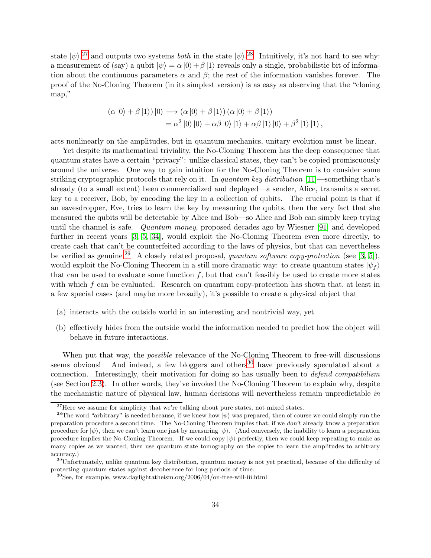state  $|\psi\rangle$ ,<sup>[27](#page-33-0)</sup> and outputs two systems *both* in the state  $|\psi\rangle$ .<sup>[28](#page-33-1)</sup> Intuitively, it's not hard to see why: a measurement of (say) a qubit  $|\psi\rangle = \alpha |0\rangle + \beta |1\rangle$  reveals only a single, probabilistic bit of information about the continuous parameters  $\alpha$  and  $\beta$ ; the rest of the information vanishes forever. The proof of the No-Cloning Theorem (in its simplest version) is as easy as observing that the "cloning map,"

$$
(\alpha |0\rangle + \beta |1\rangle) |0\rangle \longrightarrow (\alpha |0\rangle + \beta |1\rangle) (\alpha |0\rangle + \beta |1\rangle)
$$
  
= 
$$
\alpha^2 |0\rangle |0\rangle + \alpha \beta |0\rangle |1\rangle + \alpha \beta |1\rangle |0\rangle + \beta^2 |1\rangle |1\rangle,
$$

acts nonlinearly on the amplitudes, but in quantum mechanics, unitary evolution must be linear.

Yet despite its mathematical triviality, the No-Cloning Theorem has the deep consequence that quantum states have a certain "privacy": unlike classical states, they can't be copied promiscuously around the universe. One way to gain intuition for the No-Cloning Theorem is to consider some striking cryptographic protocols that rely on it. In quantum key distribution  $[11]$ —something that's already (to a small extent) been commercialized and deployed—a sender, Alice, transmits a secret key to a receiver, Bob, by encoding the key in a collection of qubits. The crucial point is that if an eavesdropper, Eve, tries to learn the key by measuring the qubits, then the very fact that she measured the qubits will be detectable by Alice and Bob—so Alice and Bob can simply keep trying until the channel is safe. Quantum money, proposed decades ago by Wiesner [\[91\]](#page-75-5) and developed further in recent years [\[3,](#page-70-9) [5,](#page-70-10) [34\]](#page-72-12), would exploit the No-Cloning Theorem even more directly, to create cash that can't be counterfeited according to the laws of physics, but that can nevertheless be verified as genuine.<sup>[29](#page-33-2)</sup> A closely related proposal, quantum software copy-protection (see [\[3,](#page-70-9) [5\]](#page-70-10)), would exploit the No-Cloning Theorem in a still more dramatic way: to create quantum states  $|\psi_f\rangle$ that can be used to evaluate some function  $f$ , but that can't feasibly be used to create more states with which  $f$  can be evaluated. Research on quantum copy-protection has shown that, at least in a few special cases (and maybe more broadly), it's possible to create a physical object that

- (a) interacts with the outside world in an interesting and nontrivial way, yet
- (b) effectively hides from the outside world the information needed to predict how the object will behave in future interactions.

When put that way, the *possible* relevance of the No-Cloning Theorem to free-will discussions seems obvious! And indeed, a few bloggers and others<sup>[30](#page-33-3)</sup> have previously speculated about a connection. Interestingly, their motivation for doing so has usually been to defend compatibilism (see Section [2.3\)](#page-12-0). In other words, they've invoked the No-Cloning Theorem to explain why, despite the mechanistic nature of physical law, human decisions will nevertheless remain unpredictable in

<span id="page-33-0"></span> $27$  Here we assume for simplicity that we're talking about pure states, not mixed states.

<span id="page-33-1"></span><sup>&</sup>lt;sup>28</sup>The word "arbitrary" is needed because, if we knew how  $|\psi\rangle$  was prepared, then of course we could simply run the preparation procedure a second time. The No-Cloning Theorem implies that, if we don't already know a preparation procedure for  $|\psi\rangle$ , then we can't learn one just by measuring  $|\psi\rangle$ . (And conversely, the inability to learn a preparation procedure implies the No-Cloning Theorem. If we could copy  $|\psi\rangle$  perfectly, then we could keep repeating to make as many copies as we wanted, then use quantum state tomography on the copies to learn the amplitudes to arbitrary accuracy.)

 $29$ Unfortunately, unlike quantum key distribution, quantum money is not yet practical, because of the difficulty of protecting quantum states against decoherence for long periods of time.

<span id="page-33-3"></span><span id="page-33-2"></span> $30$ See, for example, www.daylightatheism.org/2006/04/on-free-will-iii.html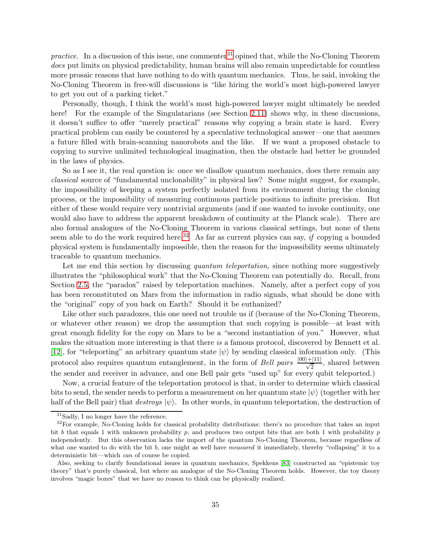practice. In a discussion of this issue, one commenter<sup>[31](#page-34-0)</sup> opined that, while the No-Cloning Theorem does put limits on physical predictability, human brains will also remain unpredictable for countless more prosaic reasons that have nothing to do with quantum mechanics. Thus, he said, invoking the No-Cloning Theorem in free-will discussions is "like hiring the world's most high-powered lawyer to get you out of a parking ticket."

Personally, though, I think the world's most high-powered lawyer might ultimately be needed here! For the example of the Singulatarians (see Section [2.11\)](#page-24-0) shows why, in these discussions, it doesn't suffice to offer "merely practical" reasons why copying a brain state is hard. Every practical problem can easily be countered by a speculative technological answer—one that assumes a future filled with brain-scanning nanorobots and the like. If we want a proposed obstacle to copying to survive unlimited technological imagination, then the obstacle had better be grounded in the laws of physics.

So as I see it, the real question is: once we disallow quantum mechanics, does there remain any classical source of "fundamental unclonability" in physical law? Some might suggest, for example, the impossibility of keeping a system perfectly isolated from its environment during the cloning process, or the impossibility of measuring continuous particle positions to infinite precision. But either of these would require very nontrivial arguments (and if one wanted to invoke continuity, one would also have to address the apparent breakdown of continuity at the Planck scale). There are also formal analogues of the No-Cloning Theorem in various classical settings, but none of them seem able to do the work required here.<sup>[32](#page-34-1)</sup> As far as current physics can say, if copying a bounded physical system is fundamentally impossible, then the reason for the impossibility seems ultimately traceable to quantum mechanics.

Let me end this section by discussing *quantum teleportation*, since nothing more suggestively illustrates the "philosophical work" that the No-Cloning Theorem can potentially do. Recall, from Section [2.5,](#page-15-0) the "paradox" raised by teleportation machines. Namely, after a perfect copy of you has been reconstituted on Mars from the information in radio signals, what should be done with the "original" copy of you back on Earth? Should it be euthanized?

Like other such paradoxes, this one need not trouble us if (because of the No-Cloning Theorem, or whatever other reason) we drop the assumption that such copying is possible—at least with great enough fidelity for the copy on Mars to be a "second instantiation of you." However, what makes the situation more interesting is that there is a famous protocol, discovered by Bennett et al. [\[12\]](#page-71-12), for "teleporting" an arbitrary quantum state  $|\psi\rangle$  by sending classical information only. (This protocol also requires quantum entanglement, in the form of Bell pairs  $\frac{|00\rangle+|11\rangle}{\sqrt{2}}$ , shared between the sender and receiver in advance, and one Bell pair gets "used up" for every qubit teleported.)

Now, a crucial feature of the teleportation protocol is that, in order to determine which classical bits to send, the sender needs to perform a measurement on her quantum state  $|\psi\rangle$  (together with her half of the Bell pair) that destroys  $|\psi\rangle$ . In other words, in quantum teleportation, the destruction of

<span id="page-34-0"></span> $31$ Sadly, I no longer have the reference.

<span id="page-34-1"></span> $32$ For example, No-Cloning holds for classical probability distributions: there's no procedure that takes an input bit b that equals 1 with unknown probability p, and produces two output bits that are both 1 with probability  $p$ independently. But this observation lacks the import of the quantum No-Cloning Theorem, because regardless of what one wanted to do with the bit b, one might as well have measured it immediately, thereby "collapsing" it to a deterministic bit—which can of course be copied.

Also, seeking to clarify foundational issues in quantum mechanics, Spekkens [\[83\]](#page-74-12) constructed an "epistemic toy theory" that's purely classical, but where an analogue of the No-Cloning Theorem holds. However, the toy theory involves "magic boxes" that we have no reason to think can be physically realized.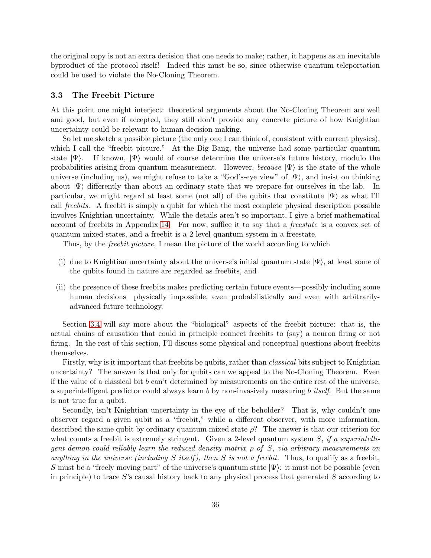the original copy is not an extra decision that one needs to make; rather, it happens as an inevitable byproduct of the protocol itself! Indeed this must be so, since otherwise quantum teleportation could be used to violate the No-Cloning Theorem.

### <span id="page-35-0"></span>3.3 The Freebit Picture

At this point one might interject: theoretical arguments about the No-Cloning Theorem are well and good, but even if accepted, they still don't provide any concrete picture of how Knightian uncertainty could be relevant to human decision-making.

So let me sketch a possible picture (the only one I can think of, consistent with current physics), which I call the "freebit picture." At the Big Bang, the universe had some particular quantum state  $|\Psi\rangle$ . If known,  $|\Psi\rangle$  would of course determine the universe's future history, modulo the probabilities arising from quantum measurement. However, because  $|\Psi\rangle$  is the state of the whole universe (including us), we might refuse to take a "God's-eye view" of  $|\Psi\rangle$ , and insist on thinking about  $|\Psi\rangle$  differently than about an ordinary state that we prepare for ourselves in the lab. In particular, we might regard at least some (not all) of the qubits that constitute  $|\Psi\rangle$  as what I'll call freebits. A freebit is simply a qubit for which the most complete physical description possible involves Knightian uncertainty. While the details aren't so important, I give a brief mathematical account of freebits in Appendix [14.](#page-83-0) For now, suffice it to say that a freestate is a convex set of quantum mixed states, and a freebit is a 2-level quantum system in a freestate.

Thus, by the *freebit picture*, I mean the picture of the world according to which

- (i) due to Knightian uncertainty about the universe's initial quantum state  $|\Psi\rangle$ , at least some of the qubits found in nature are regarded as freebits, and
- (ii) the presence of these freebits makes predicting certain future events—possibly including some human decisions—physically impossible, even probabilistically and even with arbitrarilyadvanced future technology.

Section [3.4](#page-37-0) will say more about the "biological" aspects of the freebit picture: that is, the actual chains of causation that could in principle connect freebits to (say) a neuron firing or not firing. In the rest of this section, I'll discuss some physical and conceptual questions about freebits themselves.

Firstly, why is it important that freebits be qubits, rather than *classical* bits subject to Knightian uncertainty? The answer is that only for qubits can we appeal to the No-Cloning Theorem. Even if the value of a classical bit  $b$  can't determined by measurements on the entire rest of the universe, a superintelligent predictor could always learn b by non-invasively measuring b itself. But the same is not true for a qubit.

Secondly, isn't Knightian uncertainty in the eye of the beholder? That is, why couldn't one observer regard a given qubit as a "freebit," while a different observer, with more information, described the same qubit by ordinary quantum mixed state  $\rho$ ? The answer is that our criterion for what counts a freebit is extremely stringent. Given a 2-level quantum system  $S$ , if a superintelligent demon could reliably learn the reduced density matrix  $\rho$  of S, via arbitrary measurements on anything in the universe (including S itself), then S is not a freebit. Thus, to qualify as a freebit, S must be a "freely moving part" of the universe's quantum state  $|\Psi\rangle$ : it must not be possible (even in principle) to trace  $S$ 's causal history back to any physical process that generated  $S$  according to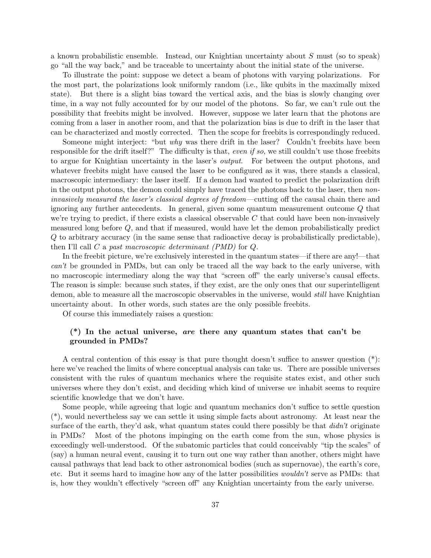a known probabilistic ensemble. Instead, our Knightian uncertainty about S must (so to speak) go "all the way back," and be traceable to uncertainty about the initial state of the universe.

To illustrate the point: suppose we detect a beam of photons with varying polarizations. For the most part, the polarizations look uniformly random (i.e., like qubits in the maximally mixed state). But there is a slight bias toward the vertical axis, and the bias is slowly changing over time, in a way not fully accounted for by our model of the photons. So far, we can't rule out the possibility that freebits might be involved. However, suppose we later learn that the photons are coming from a laser in another room, and that the polarization bias is due to drift in the laser that can be characterized and mostly corrected. Then the scope for freebits is correspondingly reduced.

Someone might interject: "but why was there drift in the laser? Couldn't freebits have been responsible for the drift itself?" The difficulty is that, even if so, we still couldn't use those freebits to argue for Knightian uncertainty in the laser's *output*. For between the output photons, and whatever freebits might have caused the laser to be configured as it was, there stands a classical, macroscopic intermediary: the laser itself. If a demon had wanted to predict the polarization drift in the output photons, the demon could simply have traced the photons back to the laser, then noninvasively measured the laser's classical degrees of freedom—cutting off the causal chain there and ignoring any further antecedents. In general, given some quantum measurement outcome Q that we're trying to predict, if there exists a classical observable  $C$  that could have been non-invasively measured long before Q, and that if measured, would have let the demon probabilistically predict Q to arbitrary accuracy (in the same sense that radioactive decay is probabilistically predictable), then I'll call C a past macroscopic determinant  $(PMD)$  for Q.

In the freebit picture, we're exclusively interested in the quantum states—if there are any!—that can't be grounded in PMDs, but can only be traced all the way back to the early universe, with no macroscopic intermediary along the way that "screen off" the early universe's causal effects. The reason is simple: because such states, if they exist, are the only ones that our superintelligent demon, able to measure all the macroscopic observables in the universe, would *still* have Knightian uncertainty about. In other words, such states are the only possible freebits.

Of course this immediately raises a question:

## $(*)$  In the actual universe, are there any quantum states that can't be grounded in PMDs?

A central contention of this essay is that pure thought doesn't suffice to answer question  $(*)$ : here we've reached the limits of where conceptual analysis can take us. There are possible universes consistent with the rules of quantum mechanics where the requisite states exist, and other such universes where they don't exist, and deciding which kind of universe we inhabit seems to require scientific knowledge that we don't have.

Some people, while agreeing that logic and quantum mechanics don't suffice to settle question (\*), would nevertheless say we can settle it using simple facts about astronomy. At least near the surface of the earth, they'd ask, what quantum states could there possibly be that  $di\hat{d}n't$  originate in PMDs? Most of the photons impinging on the earth come from the sun, whose physics is exceedingly well-understood. Of the subatomic particles that could conceivably "tip the scales" of (say) a human neural event, causing it to turn out one way rather than another, others might have causal pathways that lead back to other astronomical bodies (such as supernovae), the earth's core, etc. But it seems hard to imagine how any of the latter possibilities wouldn't serve as PMDs: that is, how they wouldn't effectively "screen off" any Knightian uncertainty from the early universe.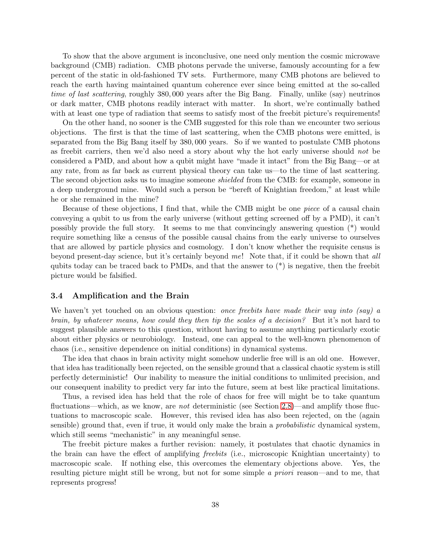To show that the above argument is inconclusive, one need only mention the cosmic microwave background (CMB) radiation. CMB photons pervade the universe, famously accounting for a few percent of the static in old-fashioned TV sets. Furthermore, many CMB photons are believed to reach the earth having maintained quantum coherence ever since being emitted at the so-called time of last scattering, roughly 380, 000 years after the Big Bang. Finally, unlike (say) neutrinos or dark matter, CMB photons readily interact with matter. In short, we're continually bathed with at least one type of radiation that seems to satisfy most of the freebit picture's requirements!

On the other hand, no sooner is the CMB suggested for this role than we encounter two serious objections. The first is that the time of last scattering, when the CMB photons were emitted, is separated from the Big Bang itself by 380, 000 years. So if we wanted to postulate CMB photons as freebit carriers, then we'd also need a story about why the hot early universe should not be considered a PMD, and about how a qubit might have "made it intact" from the Big Bang—or at any rate, from as far back as current physical theory can take us—to the time of last scattering. The second objection asks us to imagine someone *shielded* from the CMB: for example, someone in a deep underground mine. Would such a person be "bereft of Knightian freedom," at least while he or she remained in the mine?

Because of these objections, I find that, while the CMB might be one piece of a causal chain conveying a qubit to us from the early universe (without getting screened off by a PMD), it can't possibly provide the full story. It seems to me that convincingly answering question (\*) would require something like a census of the possible causal chains from the early universe to ourselves that are allowed by particle physics and cosmology. I don't know whether the requisite census is beyond present-day science, but it's certainly beyond me! Note that, if it could be shown that all qubits today can be traced back to PMDs, and that the answer to (\*) is negative, then the freebit picture would be falsified.

## <span id="page-37-0"></span>3.4 Amplification and the Brain

We haven't yet touched on an obvious question: once free bits have made their way into (say) a brain, by whatever means, how could they then tip the scales of a decision? But it's not hard to suggest plausible answers to this question, without having to assume anything particularly exotic about either physics or neurobiology. Instead, one can appeal to the well-known phenomenon of chaos (i.e., sensitive dependence on initial conditions) in dynamical systems.

The idea that chaos in brain activity might somehow underlie free will is an old one. However, that idea has traditionally been rejected, on the sensible ground that a classical chaotic system is still perfectly deterministic! Our inability to measure the initial conditions to unlimited precision, and our consequent inability to predict very far into the future, seem at best like practical limitations.

Thus, a revised idea has held that the role of chaos for free will might be to take quantum fluctuations—which, as we know, are *not* deterministic (see Section [2.8\)](#page-20-0)—and amplify those fluctuations to macroscopic scale. However, this revised idea has also been rejected, on the (again sensible) ground that, even if true, it would only make the brain a *probabilistic* dynamical system, which still seems "mechanistic" in any meaningful sense.

The freebit picture makes a further revision: namely, it postulates that chaotic dynamics in the brain can have the effect of amplifying freebits (i.e., microscopic Knightian uncertainty) to macroscopic scale. If nothing else, this overcomes the elementary objections above. Yes, the resulting picture might still be wrong, but not for some simple a priori reason—and to me, that represents progress!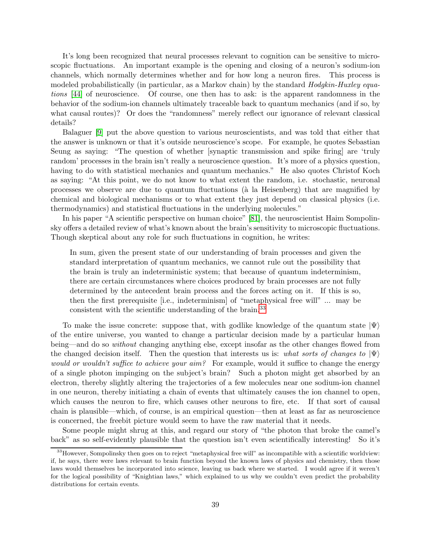It's long been recognized that neural processes relevant to cognition can be sensitive to microscopic fluctuations. An important example is the opening and closing of a neuron's sodium-ion channels, which normally determines whether and for how long a neuron fires. This process is modeled probabilistically (in particular, as a Markov chain) by the standard Hodgkin-Huxley equations [\[44\]](#page-72-0) of neuroscience. Of course, one then has to ask: is the apparent randomness in the behavior of the sodium-ion channels ultimately traceable back to quantum mechanics (and if so, by what causal routes)? Or does the "randomness" merely reflect our ignorance of relevant classical details?

Balaguer [\[9\]](#page-70-0) put the above question to various neuroscientists, and was told that either that the answer is unknown or that it's outside neuroscience's scope. For example, he quotes Sebastian Seung as saying: "The question of whether [synaptic transmission and spike firing] are 'truly random' processes in the brain isn't really a neuroscience question. It's more of a physics question, having to do with statistical mechanics and quantum mechanics." He also quotes Christof Koch as saying: "At this point, we do not know to what extent the random, i.e. stochastic, neuronal processes we observe are due to quantum fluctuations (à la Heisenberg) that are magnified by chemical and biological mechanisms or to what extent they just depend on classical physics (i.e. thermodynamics) and statistical fluctuations in the underlying molecules."

In his paper "A scientific perspective on human choice" [\[81\]](#page-74-0), the neuroscientist Haim Sompolinsky offers a detailed review of what's known about the brain's sensitivity to microscopic fluctuations. Though skeptical about any role for such fluctuations in cognition, he writes:

In sum, given the present state of our understanding of brain processes and given the standard interpretation of quantum mechanics, we cannot rule out the possibility that the brain is truly an indeterministic system; that because of quantum indeterminism, there are certain circumstances where choices produced by brain processes are not fully determined by the antecedent brain process and the forces acting on it. If this is so, then the first prerequisite [i.e., indeterminism] of "metaphysical free will" ... may be consistent with the scientific understanding of the brain.<sup>[33](#page-38-0)</sup>

To make the issue concrete: suppose that, with godlike knowledge of the quantum state  $|\Psi\rangle$ of the entire universe, you wanted to change a particular decision made by a particular human being—and do so *without* changing anything else, except insofar as the other changes flowed from the changed decision itself. Then the question that interests us is: what sorts of changes to  $|\Psi\rangle$ would or wouldn't suffice to achieve your  $\dim$ ? For example, would it suffice to change the energy of a single photon impinging on the subject's brain? Such a photon might get absorbed by an electron, thereby slightly altering the trajectories of a few molecules near one sodium-ion channel in one neuron, thereby initiating a chain of events that ultimately causes the ion channel to open, which causes the neuron to fire, which causes other neurons to fire, etc. If that sort of causal chain is plausible—which, of course, is an empirical question—then at least as far as neuroscience is concerned, the freebit picture would seem to have the raw material that it needs.

Some people might shrug at this, and regard our story of "the photon that broke the camel's back" as so self-evidently plausible that the question isn't even scientifically interesting! So it's

<span id="page-38-0"></span><sup>&</sup>lt;sup>33</sup>However, Sompolinsky then goes on to reject "metaphysical free will" as incompatible with a scientific worldview: if, he says, there were laws relevant to brain function beyond the known laws of physics and chemistry, then those laws would themselves be incorporated into science, leaving us back where we started. I would agree if it weren't for the logical possibility of "Knightian laws," which explained to us why we couldn't even predict the probability distributions for certain events.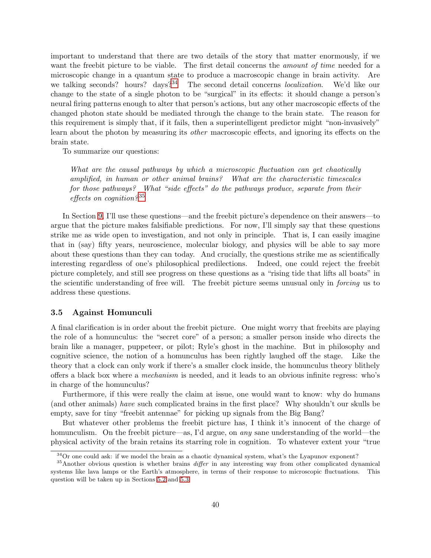important to understand that there are two details of the story that matter enormously, if we want the freebit picture to be viable. The first detail concerns the *amount of time* needed for a microscopic change in a quantum state to produce a macroscopic change in brain activity. Are we talking seconds? hours? days?<sup>[34](#page-39-0)</sup> The second detail concerns *localization*. We'd like our change to the state of a single photon to be "surgical" in its effects: it should change a person's neural firing patterns enough to alter that person's actions, but any other macroscopic effects of the changed photon state should be mediated through the change to the brain state. The reason for this requirement is simply that, if it fails, then a superintelligent predictor might "non-invasively" learn about the photon by measuring its other macroscopic effects, and ignoring its effects on the brain state.

To summarize our questions:

What are the causal pathways by which a microscopic fluctuation can get chaotically amplified, in human or other animal brains? What are the characteristic timescales for those pathways? What "side effects" do the pathways produce, separate from their effects on cognition? $35$ 

In Section [9,](#page-64-0) I'll use these questions—and the freebit picture's dependence on their answers—to argue that the picture makes falsifiable predictions. For now, I'll simply say that these questions strike me as wide open to investigation, and not only in principle. That is, I can easily imagine that in (say) fifty years, neuroscience, molecular biology, and physics will be able to say more about these questions than they can today. And crucially, the questions strike me as scientifically interesting regardless of one's philosophical predilections. Indeed, one could reject the freebit picture completely, and still see progress on these questions as a "rising tide that lifts all boats" in the scientific understanding of free will. The freebit picture seems unusual only in forcing us to address these questions.

### <span id="page-39-2"></span>3.5 Against Homunculi

A final clarification is in order about the freebit picture. One might worry that freebits are playing the role of a homunculus: the "secret core" of a person; a smaller person inside who directs the brain like a manager, puppeteer, or pilot; Ryle's ghost in the machine. But in philosophy and cognitive science, the notion of a homunculus has been rightly laughed off the stage. Like the theory that a clock can only work if there's a smaller clock inside, the homunculus theory blithely offers a black box where a mechanism is needed, and it leads to an obvious infinite regress: who's in charge of the homunculus?

Furthermore, if this were really the claim at issue, one would want to know: why do humans (and other animals) have such complicated brains in the first place? Why shouldn't our skulls be empty, save for tiny "freebit antennae" for picking up signals from the Big Bang?

But whatever other problems the freebit picture has, I think it's innocent of the charge of homunculism. On the freebit picture—as, I'd argue, on *any* sane understanding of the world—the physical activity of the brain retains its starring role in cognition. To whatever extent your "true

<span id="page-39-0"></span> $34$ Or one could ask: if we model the brain as a chaotic dynamical system, what's the Lyapunov exponent?

<span id="page-39-1"></span> $35$ Another obvious question is whether brains *differ* in any interesting way from other complicated dynamical systems like lava lamps or the Earth's atmosphere, in terms of their response to microscopic fluctuations. This question will be taken up in Sections [5.2](#page-47-0) and [5.3.](#page-48-0)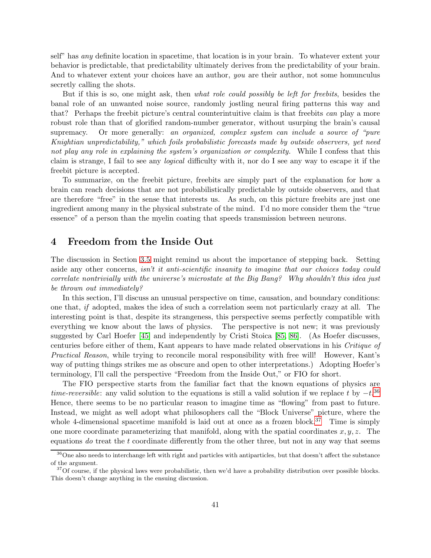self" has any definite location in spacetime, that location is in your brain. To whatever extent your behavior is predictable, that predictability ultimately derives from the predictability of your brain. And to whatever extent your choices have an author, you are their author, not some homunculus secretly calling the shots.

But if this is so, one might ask, then what role could possibly be left for freebits, besides the banal role of an unwanted noise source, randomly jostling neural firing patterns this way and that? Perhaps the freebit picture's central counterintuitive claim is that freebits can play a more robust role than that of glorified random-number generator, without usurping the brain's causal supremacy. Or more generally: an organized, complex system can include a source of "pure Knightian unpredictability," which foils probabilistic forecasts made by outside observers, yet need not play any role in explaining the system's organization or complexity. While I confess that this claim is strange, I fail to see any logical difficulty with it, nor do I see any way to escape it if the freebit picture is accepted.

To summarize, on the freebit picture, freebits are simply part of the explanation for how a brain can reach decisions that are not probabilistically predictable by outside observers, and that are therefore "free" in the sense that interests us. As such, on this picture freebits are just one ingredient among many in the physical substrate of the mind. I'd no more consider them the "true essence" of a person than the myelin coating that speeds transmission between neurons.

# 4 Freedom from the Inside Out

The discussion in Section [3.5](#page-39-2) might remind us about the importance of stepping back. Setting aside any other concerns, isn't it anti-scientific insanity to imagine that our choices today could correlate nontrivially with the universe's microstate at the Big Bang? Why shouldn't this idea just be thrown out immediately?

In this section, I'll discuss an unusual perspective on time, causation, and boundary conditions: one that, if adopted, makes the idea of such a correlation seem not particularly crazy at all. The interesting point is that, despite its strangeness, this perspective seems perfectly compatible with everything we know about the laws of physics. The perspective is not new; it was previously suggested by Carl Hoefer [\[45\]](#page-72-1) and independently by Cristi Stoica [\[85,](#page-74-1) [86\]](#page-74-2). (As Hoefer discusses, centuries before either of them, Kant appears to have made related observations in his Critique of Practical Reason, while trying to reconcile moral responsibility with free will! However, Kant's way of putting things strikes me as obscure and open to other interpretations.) Adopting Hoefer's terminology, I'll call the perspective "Freedom from the Inside Out," or FIO for short.

The FIO perspective starts from the familiar fact that the known equations of physics are *time-reversible:* any valid solution to the equations is still a valid solution if we replace t by  $-t$ .<sup>[36](#page-40-0)</sup> Hence, there seems to be no particular reason to imagine time as "flowing" from past to future. Instead, we might as well adopt what philosophers call the "Block Universe" picture, where the whole 4-dimensional spacetime manifold is laid out at once as a frozen block.<sup>[37](#page-40-1)</sup> Time is simply one more coordinate parameterizing that manifold, along with the spatial coordinates  $x, y, z$ . The equations  $do$  treat the  $t$  coordinate differently from the other three, but not in any way that seems

<span id="page-40-0"></span><sup>&</sup>lt;sup>36</sup>One also needs to interchange left with right and particles with antiparticles, but that doesn't affect the substance of the argument.

<span id="page-40-1"></span><sup>&</sup>lt;sup>37</sup>Of course, if the physical laws were probabilistic, then we'd have a probability distribution over possible blocks. This doesn't change anything in the ensuing discussion.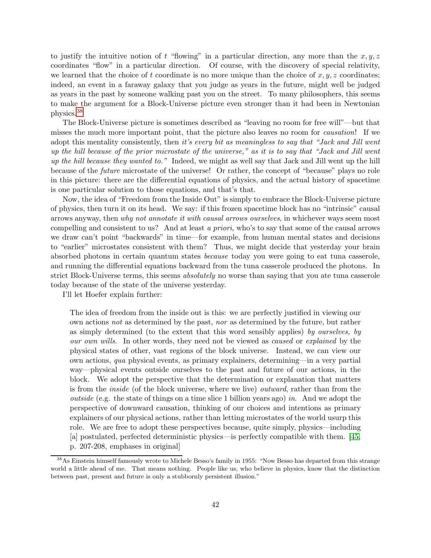to justify the intuitive notion of t "flowing" in a particular direction, any more than the  $x, y, z$ coordinates "flow" in a particular direction. Of course, with the discovery of special relativity, we learned that the choice of t coordinate is no more unique than the choice of  $x, y, z$  coordinates; indeed, an event in a faraway galaxy that you judge as years in the future, might well be judged as years in the past by someone walking past you on the street. To many philosophers, this seems to make the argument for a Block-Universe picture even stronger than it had been in Newtonian physics.[38](#page-41-0)

The Block-Universe picture is sometimes described as "leaving no room for free will"—but that misses the much more important point, that the picture also leaves no room for causation! If we adopt this mentality consistently, then it's every bit as meaningless to say that "Jack and Jill went up the hill because of the prior microstate of the universe," as it is to say that "Jack and Jill went up the hill because they wanted to." Indeed, we might as well say that Jack and Jill went up the hill because of the future microstate of the universe! Or rather, the concept of "because" plays no role in this picture: there are the differential equations of physics, and the actual history of spacetime is one particular solution to those equations, and that's that.

Now, the idea of "Freedom from the Inside Out" is simply to embrace the Block-Universe picture of physics, then turn it on its head. We say: if this frozen spacetime block has no "intrinsic" causal arrows anyway, then why not annotate it with causal arrows ourselves, in whichever ways seem most compelling and consistent to us? And at least a priori, who's to say that some of the causal arrows we draw can't point "backwards" in time—for example, from human mental states and decisions to "earlier" microstates consistent with them? Thus, we might decide that yesterday your brain absorbed photons in certain quantum states because today you were going to eat tuna casserole, and running the differential equations backward from the tuna casserole produced the photons. In strict Block-Universe terms, this seems *absolutely* no worse than saying that you ate tuna casserole today because of the state of the universe yesterday.

I'll let Hoefer explain further:

The idea of freedom from the inside out is this: we are perfectly justified in viewing our own actions not as determined by the past, nor as determined by the future, but rather as simply determined (to the extent that this word sensibly applies) by ourselves, by our own wills. In other words, they need not be viewed as caused or explained by the physical states of other, vast regions of the block universe. Instead, we can view our own actions, qua physical events, as primary explainers, determining—in a very partial way—physical events outside ourselves to the past and future of our actions, in the block. We adopt the perspective that the determination or explanation that matters is from the inside (of the block universe, where we live) outward, rather than from the *outside* (e.g. the state of things on a time slice 1 billion years ago) in. And we adopt the perspective of downward causation, thinking of our choices and intentions as primary explainers of our physical actions, rather than letting microstates of the world usurp this role. We are free to adopt these perspectives because, quite simply, physics—including [a] postulated, perfected deterministic physics—is perfectly compatible with them. [\[45,](#page-72-1) p. 207-208, emphases in original]

<span id="page-41-0"></span><sup>38</sup>As Einstein himself famously wrote to Michele Besso's family in 1955: "Now Besso has departed from this strange world a little ahead of me. That means nothing. People like us, who believe in physics, know that the distinction between past, present and future is only a stubbornly persistent illusion."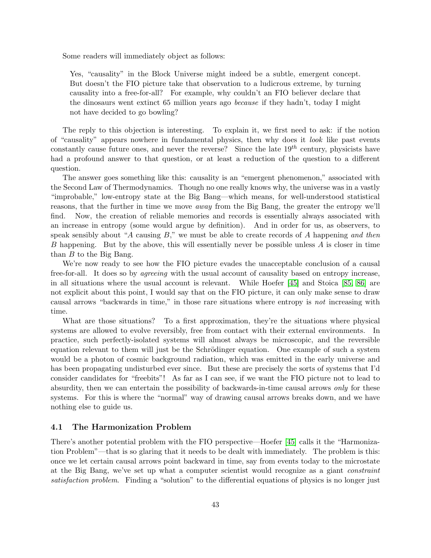Some readers will immediately object as follows:

Yes, "causality" in the Block Universe might indeed be a subtle, emergent concept. But doesn't the FIO picture take that observation to a ludicrous extreme, by turning causality into a free-for-all? For example, why couldn't an FIO believer declare that the dinosaurs went extinct 65 million years ago because if they hadn't, today I might not have decided to go bowling?

The reply to this objection is interesting. To explain it, we first need to ask: if the notion of "causality" appears nowhere in fundamental physics, then why does it look like past events constantly cause future ones, and never the reverse? Since the late  $19^{th}$  century, physicists have had a profound answer to that question, or at least a reduction of the question to a different question.

The answer goes something like this: causality is an "emergent phenomenon," associated with the Second Law of Thermodynamics. Though no one really knows why, the universe was in a vastly "improbable," low-entropy state at the Big Bang—which means, for well-understood statistical reasons, that the further in time we move away from the Big Bang, the greater the entropy we'll find. Now, the creation of reliable memories and records is essentially always associated with an increase in entropy (some would argue by definition). And in order for us, as observers, to speak sensibly about "A causing  $B$ ," we must be able to create records of A happening and then B happening. But by the above, this will essentially never be possible unless  $\tilde{A}$  is closer in time than  $B$  to the Big Bang.

We're now ready to see how the FIO picture evades the unacceptable conclusion of a causal free-for-all. It does so by agreeing with the usual account of causality based on entropy increase, in all situations where the usual account is relevant. While Hoefer [\[45\]](#page-72-1) and Stoica [\[85,](#page-74-1) [86\]](#page-74-2) are not explicit about this point, I would say that on the FIO picture, it can only make sense to draw causal arrows "backwards in time," in those rare situations where entropy is not increasing with time.

What are those situations? To a first approximation, they're the situations where physical systems are allowed to evolve reversibly, free from contact with their external environments. In practice, such perfectly-isolated systems will almost always be microscopic, and the reversible equation relevant to them will just be the Schrödinger equation. One example of such a system would be a photon of cosmic background radiation, which was emitted in the early universe and has been propagating undisturbed ever since. But these are precisely the sorts of systems that I'd consider candidates for "freebits"! As far as I can see, if we want the FIO picture not to lead to absurdity, then we can entertain the possibility of backwards-in-time causal arrows only for these systems. For this is where the "normal" way of drawing causal arrows breaks down, and we have nothing else to guide us.

#### 4.1 The Harmonization Problem

There's another potential problem with the FIO perspective—Hoefer [\[45\]](#page-72-1) calls it the "Harmonization Problem"—that is so glaring that it needs to be dealt with immediately. The problem is this: once we let certain causal arrows point backward in time, say from events today to the microstate at the Big Bang, we've set up what a computer scientist would recognize as a giant constraint satisfaction problem. Finding a "solution" to the differential equations of physics is no longer just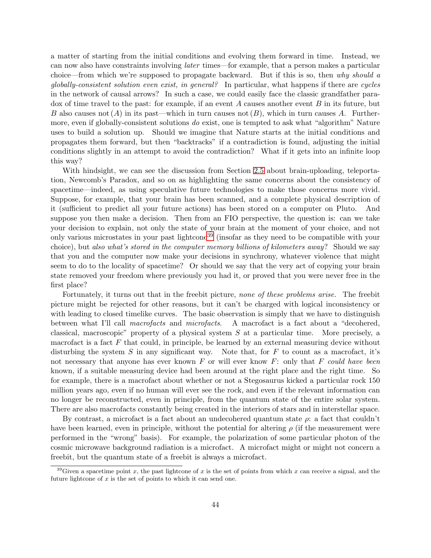a matter of starting from the initial conditions and evolving them forward in time. Instead, we can now also have constraints involving later times—for example, that a person makes a particular choice—from which we're supposed to propagate backward. But if this is so, then why should a globally-consistent solution even exist, in general? In particular, what happens if there are cycles in the network of causal arrows? In such a case, we could easily face the classic grandfather paradox of time travel to the past: for example, if an event A causes another event B in its future, but B also causes not  $(A)$  in its past—which in turn causes not  $(B)$ , which in turn causes A. Furthermore, even if globally-consistent solutions do exist, one is tempted to ask what "algorithm" Nature uses to build a solution up. Should we imagine that Nature starts at the initial conditions and propagates them forward, but then "backtracks" if a contradiction is found, adjusting the initial conditions slightly in an attempt to avoid the contradiction? What if it gets into an infinite loop this way?

With hindsight, we can see the discussion from Section [2.5](#page-15-0) about brain-uploading, teleportation, Newcomb's Paradox, and so on as highlighting the same concerns about the consistency of spacetime—indeed, as using speculative future technologies to make those concerns more vivid. Suppose, for example, that your brain has been scanned, and a complete physical description of it (sufficient to predict all your future actions) has been stored on a computer on Pluto. And suppose you then make a decision. Then from an FIO perspective, the question is: can we take your decision to explain, not only the state of your brain at the moment of your choice, and not only various microstates in your past lightcone<sup>[39](#page-43-0)</sup> (insofar as they need to be compatible with your choice), but also what's stored in the computer memory billions of kilometers away? Should we say that you and the computer now make your decisions in synchrony, whatever violence that might seem to do to the locality of spacetime? Or should we say that the very act of copying your brain state removed your freedom where previously you had it, or proved that you were never free in the first place?

Fortunately, it turns out that in the freebit picture, none of these problems arise. The freebit picture might be rejected for other reasons, but it can't be charged with logical inconsistency or with leading to closed timelike curves. The basic observation is simply that we have to distinguish between what I'll call macrofacts and microfacts. A macrofact is a fact about a "decohered, classical, macroscopic" property of a physical system S at a particular time. More precisely, a macrofact is a fact  $F$  that could, in principle, be learned by an external measuring device without disturbing the system  $S$  in any significant way. Note that, for  $F$  to count as a macrofact, it's not necessary that anyone has ever known F or will ever know F: only that F could have been known, if a suitable measuring device had been around at the right place and the right time. So for example, there is a macrofact about whether or not a Stegosaurus kicked a particular rock 150 million years ago, even if no human will ever see the rock, and even if the relevant information can no longer be reconstructed, even in principle, from the quantum state of the entire solar system. There are also macrofacts constantly being created in the interiors of stars and in interstellar space.

By contrast, a microfact is a fact about an undecohered quantum state  $\rho$ : a fact that couldn't have been learned, even in principle, without the potential for altering  $\rho$  (if the measurement were performed in the "wrong" basis). For example, the polarization of some particular photon of the cosmic microwave background radiation is a microfact. A microfact might or might not concern a freebit, but the quantum state of a freebit is always a microfact.

<span id="page-43-0"></span><sup>&</sup>lt;sup>39</sup>Given a spacetime point x, the past lightcone of x is the set of points from which x can receive a signal, and the future lightcone of  $x$  is the set of points to which it can send one.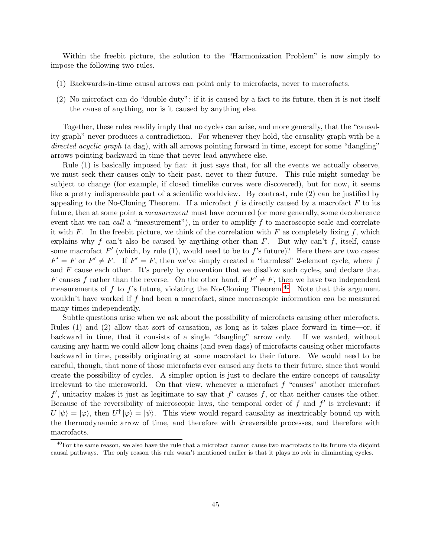Within the freebit picture, the solution to the "Harmonization Problem" is now simply to impose the following two rules.

- (1) Backwards-in-time causal arrows can point only to microfacts, never to macrofacts.
- (2) No microfact can do "double duty": if it is caused by a fact to its future, then it is not itself the cause of anything, nor is it caused by anything else.

Together, these rules readily imply that no cycles can arise, and more generally, that the "causality graph" never produces a contradiction. For whenever they hold, the causality graph with be a directed acyclic graph (a dag), with all arrows pointing forward in time, except for some "dangling" arrows pointing backward in time that never lead anywhere else.

Rule (1) is basically imposed by fiat: it just says that, for all the events we actually observe, we must seek their causes only to their past, never to their future. This rule might someday be subject to change (for example, if closed timelike curves were discovered), but for now, it seems like a pretty indispensable part of a scientific worldview. By contrast, rule (2) can be justified by appealing to the No-Cloning Theorem. If a microfact f is directly caused by a macrofact  $F$  to its future, then at some point a *measurement* must have occurred (or more generally, some decoherence event that we can call a "measurement"), in order to amplify f to macroscopic scale and correlate it with F. In the freebit picture, we think of the correlation with F as completely fixing f, which explains why f can't also be caused by anything other than  $F$ . But why can't f, itself, cause some macrofact  $F'$  (which, by rule (1), would need to be to f's future)? Here there are two cases:  $F' = F$  or  $F' \neq F$ . If  $F' = F$ , then we've simply created a "harmless" 2-element cycle, where f and  $F$  cause each other. It's purely by convention that we disallow such cycles, and declare that F causes f rather than the reverse. On the other hand, if  $F' \neq F$ , then we have two independent measurements of f to f's future, violating the No-Cloning Theorem.<sup>[40](#page-44-0)</sup> Note that this argument wouldn't have worked if f had been a macrofact, since macroscopic information can be measured many times independently.

Subtle questions arise when we ask about the possibility of microfacts causing other microfacts. Rules (1) and (2) allow that sort of causation, as long as it takes place forward in time—or, if backward in time, that it consists of a single "dangling" arrow only. If we wanted, without causing any harm we could allow long chains (and even dags) of microfacts causing other microfacts backward in time, possibly originating at some macrofact to their future. We would need to be careful, though, that none of those microfacts ever caused any facts to their future, since that would create the possibility of cycles. A simpler option is just to declare the entire concept of causality irrelevant to the microworld. On that view, whenever a microfact  $f$  "causes" another microfact  $f'$ , unitarity makes it just as legitimate to say that  $f'$  causes f, or that neither causes the other. Because of the reversibility of microscopic laws, the temporal order of  $f$  and  $f'$  is irrelevant: if  $U|\psi\rangle = |\varphi\rangle$ , then  $U^{\dagger}|\varphi\rangle = |\psi\rangle$ . This view would regard causality as inextricably bound up with the thermodynamic arrow of time, and therefore with *irreversible* processes, and therefore with macrofacts.

<span id="page-44-0"></span> $^{40}$ For the same reason, we also have the rule that a microfact cannot cause two macrofacts to its future via disjoint causal pathways. The only reason this rule wasn't mentioned earlier is that it plays no role in eliminating cycles.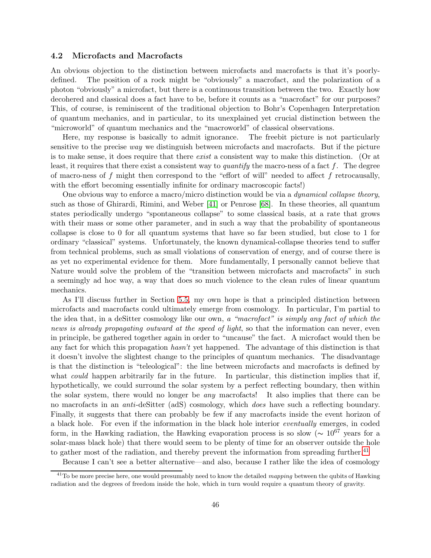### <span id="page-45-1"></span>4.2 Microfacts and Macrofacts

An obvious objection to the distinction between microfacts and macrofacts is that it's poorlydefined. The position of a rock might be "obviously" a macrofact, and the polarization of a photon "obviously" a microfact, but there is a continuous transition between the two. Exactly how decohered and classical does a fact have to be, before it counts as a "macrofact" for our purposes? This, of course, is reminiscent of the traditional objection to Bohr's Copenhagen Interpretation of quantum mechanics, and in particular, to its unexplained yet crucial distinction between the "microworld" of quantum mechanics and the "macroworld" of classical observations.

Here, my response is basically to admit ignorance. The freebit picture is not particularly sensitive to the precise way we distinguish between microfacts and macrofacts. But if the picture is to make sense, it does require that there exist a consistent way to make this distinction. (Or at least, it requires that there exist a consistent way to *quantify* the macro-ness of a fact  $f$ . The degree of macro-ness of f might then correspond to the "effort of will" needed to affect f retrocausally, with the effort becoming essentially infinite for ordinary macroscopic facts!)

One obvious way to enforce a macro/micro distinction would be via a dynamical collapse theory, such as those of Ghirardi, Rimini, and Weber [\[41\]](#page-72-2) or Penrose [\[68\]](#page-73-0). In these theories, all quantum states periodically undergo "spontaneous collapse" to some classical basis, at a rate that grows with their mass or some other parameter, and in such a way that the probability of spontaneous collapse is close to 0 for all quantum systems that have so far been studied, but close to 1 for ordinary "classical" systems. Unfortunately, the known dynamical-collapse theories tend to suffer from technical problems, such as small violations of conservation of energy, and of course there is as yet no experimental evidence for them. More fundamentally, I personally cannot believe that Nature would solve the problem of the "transition between microfacts and macrofacts" in such a seemingly ad hoc way, a way that does so much violence to the clean rules of linear quantum mechanics.

As I'll discuss further in Section [5.5,](#page-51-0) my own hope is that a principled distinction between microfacts and macrofacts could ultimately emerge from cosmology. In particular, I'm partial to the idea that, in a deSitter cosmology like our own, a "macrofact" is simply any fact of which the news is already propagating outward at the speed of light, so that the information can never, even in principle, be gathered together again in order to "uncause" the fact. A microfact would then be any fact for which this propagation hasn't yet happened. The advantage of this distinction is that it doesn't involve the slightest change to the principles of quantum mechanics. The disadvantage is that the distinction is "teleological": the line between microfacts and macrofacts is defined by what *could* happen arbitrarily far in the future. In particular, this distinction implies that if, hypothetically, we could surround the solar system by a perfect reflecting boundary, then within the solar system, there would no longer be any macrofacts! It also implies that there can be no macrofacts in an *anti*-deSitter (adS) cosmology, which *does* have such a reflecting boundary. Finally, it suggests that there can probably be few if any macrofacts inside the event horizon of a black hole. For even if the information in the black hole interior eventually emerges, in coded form, in the Hawking radiation, the Hawking evaporation process is so slow ( $\sim 10^{67}$  years for a solar-mass black hole) that there would seem to be plenty of time for an observer outside the hole to gather most of the radiation, and thereby prevent the information from spreading further.<sup>[41](#page-45-0)</sup>

Because I can't see a better alternative—and also, because I rather like the idea of cosmology

<span id="page-45-0"></span> $41$ To be more precise here, one would presumably need to know the detailed mapping between the qubits of Hawking radiation and the degrees of freedom inside the hole, which in turn would require a quantum theory of gravity.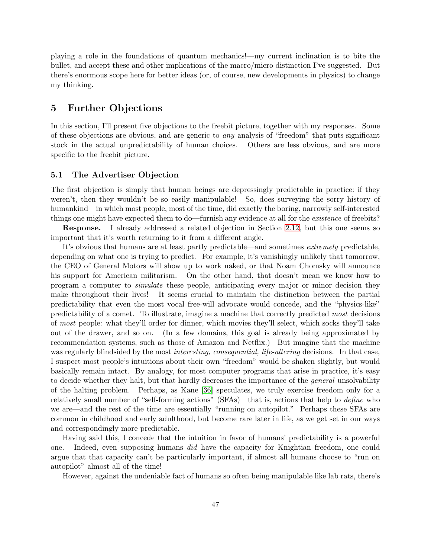playing a role in the foundations of quantum mechanics!—my current inclination is to bite the bullet, and accept these and other implications of the macro/micro distinction I've suggested. But there's enormous scope here for better ideas (or, of course, new developments in physics) to change my thinking.

# 5 Further Objections

In this section, I'll present five objections to the freebit picture, together with my responses. Some of these objections are obvious, and are generic to any analysis of "freedom" that puts significant stock in the actual unpredictability of human choices. Others are less obvious, and are more specific to the freebit picture.

#### 5.1 The Advertiser Objection

The first objection is simply that human beings are depressingly predictable in practice: if they weren't, then they wouldn't be so easily manipulable! So, does surveying the sorry history of humankind—in which most people, most of the time, did exactly the boring, narrowly self-interested things one might have expected them to do—furnish any evidence at all for the existence of freebits?

Response. I already addressed a related objection in Section [2.12,](#page-25-0) but this one seems so important that it's worth returning to it from a different angle.

It's obvious that humans are at least partly predictable—and sometimes extremely predictable, depending on what one is trying to predict. For example, it's vanishingly unlikely that tomorrow, the CEO of General Motors will show up to work naked, or that Noam Chomsky will announce his support for American militarism. On the other hand, that doesn't mean we know how to program a computer to simulate these people, anticipating every major or minor decision they make throughout their lives! It seems crucial to maintain the distinction between the partial predictability that even the most vocal free-will advocate would concede, and the "physics-like" predictability of a comet. To illustrate, imagine a machine that correctly predicted most decisions of most people: what they'll order for dinner, which movies they'll select, which socks they'll take out of the drawer, and so on. (In a few domains, this goal is already being approximated by recommendation systems, such as those of Amazon and Netflix.) But imagine that the machine was regularly blindsided by the most *interesting, consequential, life-altering* decisions. In that case, I suspect most people's intuitions about their own "freedom" would be shaken slightly, but would basically remain intact. By analogy, for most computer programs that arise in practice, it's easy to decide whether they halt, but that hardly decreases the importance of the general unsolvability of the halting problem. Perhaps, as Kane [\[36\]](#page-72-3) speculates, we truly exercise freedom only for a relatively small number of "self-forming actions" (SFAs)—that is, actions that help to define who we are—and the rest of the time are essentially "running on autopilot." Perhaps these SFAs are common in childhood and early adulthood, but become rare later in life, as we get set in our ways and correspondingly more predictable.

Having said this, I concede that the intuition in favor of humans' predictability is a powerful one. Indeed, even supposing humans did have the capacity for Knightian freedom, one could argue that that capacity can't be particularly important, if almost all humans choose to "run on autopilot" almost all of the time!

However, against the undeniable fact of humans so often being manipulable like lab rats, there's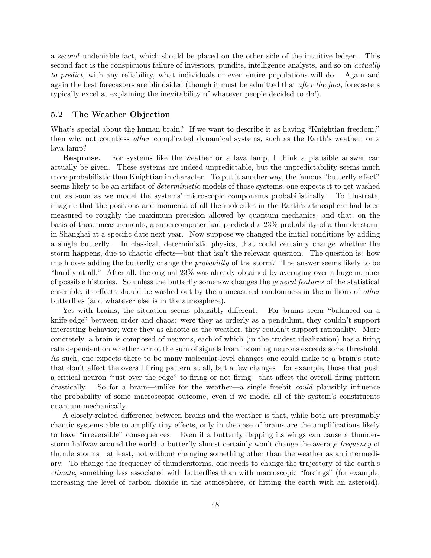a second undeniable fact, which should be placed on the other side of the intuitive ledger. This second fact is the conspicuous failure of investors, pundits, intelligence analysts, and so on *actually* to predict, with any reliability, what individuals or even entire populations will do. Again and again the best forecasters are blindsided (though it must be admitted that after the fact, forecasters typically excel at explaining the inevitability of whatever people decided to do!).

#### <span id="page-47-0"></span>5.2 The Weather Objection

What's special about the human brain? If we want to describe it as having "Knightian freedom," then why not countless other complicated dynamical systems, such as the Earth's weather, or a lava lamp?

Response. For systems like the weather or a lava lamp, I think a plausible answer can actually be given. These systems are indeed unpredictable, but the unpredictability seems much more probabilistic than Knightian in character. To put it another way, the famous "butterfly effect" seems likely to be an artifact of deterministic models of those systems; one expects it to get washed out as soon as we model the systems' microscopic components probabilistically. To illustrate, imagine that the positions and momenta of all the molecules in the Earth's atmosphere had been measured to roughly the maximum precision allowed by quantum mechanics; and that, on the basis of those measurements, a supercomputer had predicted a 23% probability of a thunderstorm in Shanghai at a specific date next year. Now suppose we changed the initial conditions by adding a single butterfly. In classical, deterministic physics, that could certainly change whether the storm happens, due to chaotic effects—but that isn't the relevant question. The question is: how much does adding the butterfly change the *probability* of the storm? The answer seems likely to be "hardly at all." After all, the original 23% was already obtained by averaging over a huge number of possible histories. So unless the butterfly somehow changes the general features of the statistical ensemble, its effects should be washed out by the unmeasured randomness in the millions of other butterflies (and whatever else is in the atmosphere).

Yet with brains, the situation seems plausibly different. For brains seem "balanced on a knife-edge" between order and chaos: were they as orderly as a pendulum, they couldn't support interesting behavior; were they as chaotic as the weather, they couldn't support rationality. More concretely, a brain is composed of neurons, each of which (in the crudest idealization) has a firing rate dependent on whether or not the sum of signals from incoming neurons exceeds some threshold. As such, one expects there to be many molecular-level changes one could make to a brain's state that don't affect the overall firing pattern at all, but a few changes—for example, those that push a critical neuron "just over the edge" to firing or not firing—that affect the overall firing pattern drastically. So for a brain—unlike for the weather—a single freebit could plausibly influence the probability of some macroscopic outcome, even if we model all of the system's constituents quantum-mechanically.

A closely-related difference between brains and the weather is that, while both are presumably chaotic systems able to amplify tiny effects, only in the case of brains are the amplifications likely to have "irreversible" consequences. Even if a butterfly flapping its wings can cause a thunderstorm halfway around the world, a butterfly almost certainly won't change the average frequency of thunderstorms—at least, not without changing something other than the weather as an intermediary. To change the frequency of thunderstorms, one needs to change the trajectory of the earth's climate, something less associated with butterflies than with macroscopic "forcings" (for example, increasing the level of carbon dioxide in the atmosphere, or hitting the earth with an asteroid).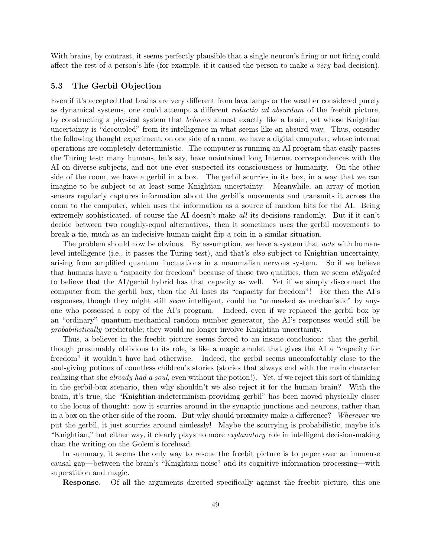With brains, by contrast, it seems perfectly plausible that a single neuron's firing or not firing could affect the rest of a person's life (for example, if it caused the person to make a very bad decision).

#### <span id="page-48-0"></span>5.3 The Gerbil Objection

Even if it's accepted that brains are very different from lava lamps or the weather considered purely as dynamical systems, one could attempt a different reductio ad absurdum of the freebit picture, by constructing a physical system that behaves almost exactly like a brain, yet whose Knightian uncertainty is "decoupled" from its intelligence in what seems like an absurd way. Thus, consider the following thought experiment: on one side of a room, we have a digital computer, whose internal operations are completely deterministic. The computer is running an AI program that easily passes the Turing test: many humans, let's say, have maintained long Internet correspondences with the AI on diverse subjects, and not one ever suspected its consciousness or humanity. On the other side of the room, we have a gerbil in a box. The gerbil scurries in its box, in a way that we can imagine to be subject to at least some Knightian uncertainty. Meanwhile, an array of motion sensors regularly captures information about the gerbil's movements and transmits it across the room to the computer, which uses the information as a source of random bits for the AI. Being extremely sophisticated, of course the AI doesn't make all its decisions randomly. But if it can't decide between two roughly-equal alternatives, then it sometimes uses the gerbil movements to break a tie, much as an indecisive human might flip a coin in a similar situation.

The problem should now be obvious. By assumption, we have a system that *acts* with humanlevel intelligence (i.e., it passes the Turing test), and that's also subject to Knightian uncertainty, arising from amplified quantum fluctuations in a mammalian nervous system. So if we believe that humans have a "capacity for freedom" because of those two qualities, then we seem obligated to believe that the AI/gerbil hybrid has that capacity as well. Yet if we simply disconnect the computer from the gerbil box, then the AI loses its "capacity for freedom"! For then the AI's responses, though they might still seem intelligent, could be "unmasked as mechanistic" by anyone who possessed a copy of the AI's program. Indeed, even if we replaced the gerbil box by an "ordinary" quantum-mechanical random number generator, the AI's responses would still be probabilistically predictable; they would no longer involve Knightian uncertainty.

Thus, a believer in the freebit picture seems forced to an insane conclusion: that the gerbil, though presumably oblivious to its role, is like a magic amulet that gives the AI a "capacity for freedom" it wouldn't have had otherwise. Indeed, the gerbil seems uncomfortably close to the soul-giving potions of countless children's stories (stories that always end with the main character realizing that she *already had a soul*, even without the potion!). Yet, if we reject this sort of thinking in the gerbil-box scenario, then why shouldn't we also reject it for the human brain? With the brain, it's true, the "Knightian-indeterminism-providing gerbil" has been moved physically closer to the locus of thought: now it scurries around in the synaptic junctions and neurons, rather than in a box on the other side of the room. But why should proximity make a difference? Wherever we put the gerbil, it just scurries around aimlessly! Maybe the scurrying is probabilistic, maybe it's "Knightian," but either way, it clearly plays no more explanatory role in intelligent decision-making than the writing on the Golem's forehead.

In summary, it seems the only way to rescue the freebit picture is to paper over an immense causal gap—between the brain's "Knightian noise" and its cognitive information processing—with superstition and magic.

Response. Of all the arguments directed specifically against the freebit picture, this one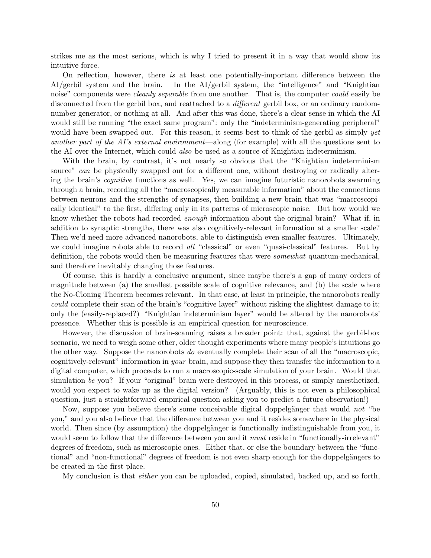strikes me as the most serious, which is why I tried to present it in a way that would show its intuitive force.

On reflection, however, there is at least one potentially-important difference between the  $AI/gerbil$  system and the brain. In the  $AI/gerbil$  system, the "intelligence" and "Knightian" noise" components were *cleanly separable* from one another. That is, the computer *could* easily be disconnected from the gerbil box, and reattached to a *different* gerbil box, or an ordinary randomnumber generator, or nothing at all. And after this was done, there's a clear sense in which the AI would still be running "the exact same program": only the "indeterminism-generating peripheral" would have been swapped out. For this reason, it seems best to think of the gerbil as simply yet another part of the AI's external environment—along (for example) with all the questions sent to the AI over the Internet, which could also be used as a source of Knightian indeterminism.

With the brain, by contrast, it's not nearly so obvious that the "Knightian indeterminism source" can be physically swapped out for a different one, without destroying or radically altering the brain's cognitive functions as well. Yes, we can imagine futuristic nanorobots swarming through a brain, recording all the "macroscopically measurable information" about the connections between neurons and the strengths of synapses, then building a new brain that was "macroscopically identical" to the first, differing only in its patterns of microscopic noise. But how would we know whether the robots had recorded *enough* information about the original brain? What if, in addition to synaptic strengths, there was also cognitively-relevant information at a smaller scale? Then we'd need more advanced nanorobots, able to distinguish even smaller features. Ultimately, we could imagine robots able to record all "classical" or even "quasi-classical" features. But by definition, the robots would then be measuring features that were *somewhat* quantum-mechanical, and therefore inevitably changing those features.

Of course, this is hardly a conclusive argument, since maybe there's a gap of many orders of magnitude between (a) the smallest possible scale of cognitive relevance, and (b) the scale where the No-Cloning Theorem becomes relevant. In that case, at least in principle, the nanorobots really could complete their scan of the brain's "cognitive layer" without risking the slightest damage to it; only the (easily-replaced?) "Knightian indeterminism layer" would be altered by the nanorobots' presence. Whether this is possible is an empirical question for neuroscience.

However, the discussion of brain-scanning raises a broader point: that, against the gerbil-box scenario, we need to weigh some other, older thought experiments where many people's intuitions go the other way. Suppose the nanorobots do eventually complete their scan of all the "macroscopic, cognitively-relevant" information in your brain, and suppose they then transfer the information to a digital computer, which proceeds to run a macroscopic-scale simulation of your brain. Would that simulation be you? If your "original" brain were destroyed in this process, or simply anesthetized, would you expect to wake up as the digital version? (Arguably, this is not even a philosophical question, just a straightforward empirical question asking you to predict a future observation!)

Now, suppose you believe there's some conceivable digital doppelgänger that would not "be you," and you also believe that the difference between you and it resides somewhere in the physical world. Then since (by assumption) the doppelgänger is functionally indistinguishable from you, it would seem to follow that the difference between you and it *must* reside in "functionally-irrelevant" degrees of freedom, such as microscopic ones. Either that, or else the boundary between the "functional" and "non-functional" degrees of freedom is not even sharp enough for the doppelgängers to be created in the first place.

My conclusion is that either you can be uploaded, copied, simulated, backed up, and so forth,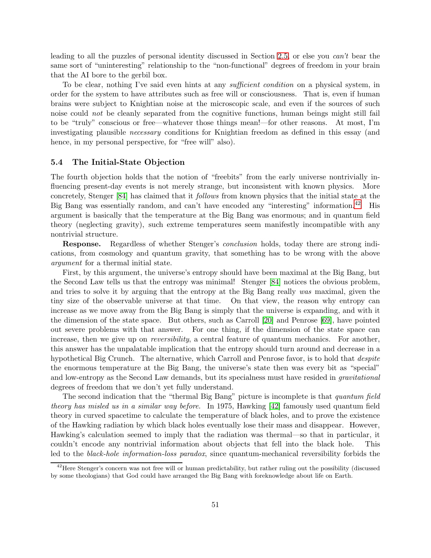leading to all the puzzles of personal identity discussed in Section [2.5,](#page-15-0) or else you can't bear the same sort of "uninteresting" relationship to the "non-functional" degrees of freedom in your brain that the AI bore to the gerbil box.

To be clear, nothing I've said even hints at any *sufficient condition* on a physical system, in order for the system to have attributes such as free will or consciousness. That is, even if human brains were subject to Knightian noise at the microscopic scale, and even if the sources of such noise could *not* be cleanly separated from the cognitive functions, human beings might still fail to be "truly" conscious or free—whatever those things mean!—for other reasons. At most, I'm investigating plausible necessary conditions for Knightian freedom as defined in this essay (and hence, in my personal perspective, for "free will" also).

### <span id="page-50-1"></span>5.4 The Initial-State Objection

The fourth objection holds that the notion of "freebits" from the early universe nontrivially influencing present-day events is not merely strange, but inconsistent with known physics. More concretely, Stenger [\[84\]](#page-74-3) has claimed that it follows from known physics that the initial state at the Big Bang was essentially random, and can't have encoded any "interesting" information.<sup>[42](#page-50-0)</sup> His argument is basically that the temperature at the Big Bang was enormous; and in quantum field theory (neglecting gravity), such extreme temperatures seem manifestly incompatible with any nontrivial structure.

Response. Regardless of whether Stenger's conclusion holds, today there are strong indications, from cosmology and quantum gravity, that something has to be wrong with the above argument for a thermal initial state.

First, by this argument, the universe's entropy should have been maximal at the Big Bang, but the Second Law tells us that the entropy was minimal! Stenger [\[84\]](#page-74-3) notices the obvious problem, and tries to solve it by arguing that the entropy at the Big Bang really was maximal, given the tiny size of the observable universe at that time. On that view, the reason why entropy can increase as we move away from the Big Bang is simply that the universe is expanding, and with it the dimension of the state space. But others, such as Carroll [\[20\]](#page-71-0) and Penrose [\[69\]](#page-74-4), have pointed out severe problems with that answer. For one thing, if the dimension of the state space can increase, then we give up on *reversibility*, a central feature of quantum mechanics. For another, this answer has the unpalatable implication that the entropy should turn around and decrease in a hypothetical Big Crunch. The alternative, which Carroll and Penrose favor, is to hold that *despite* the enormous temperature at the Big Bang, the universe's state then was every bit as "special" and low-entropy as the Second Law demands, but its specialness must have resided in *gravitational* degrees of freedom that we don't yet fully understand.

The second indication that the "thermal Big Bang" picture is incomplete is that quantum field theory has misled us in a similar way before. In 1975, Hawking [\[42\]](#page-72-4) famously used quantum field theory in curved spacetime to calculate the temperature of black holes, and to prove the existence of the Hawking radiation by which black holes eventually lose their mass and disappear. However, Hawking's calculation seemed to imply that the radiation was thermal—so that in particular, it couldn't encode any nontrivial information about objects that fell into the black hole. This led to the black-hole information-loss paradox, since quantum-mechanical reversibility forbids the

<span id="page-50-0"></span> $^{42}$ Here Stenger's concern was not free will or human predictability, but rather ruling out the possibility (discussed by some theologians) that God could have arranged the Big Bang with foreknowledge about life on Earth.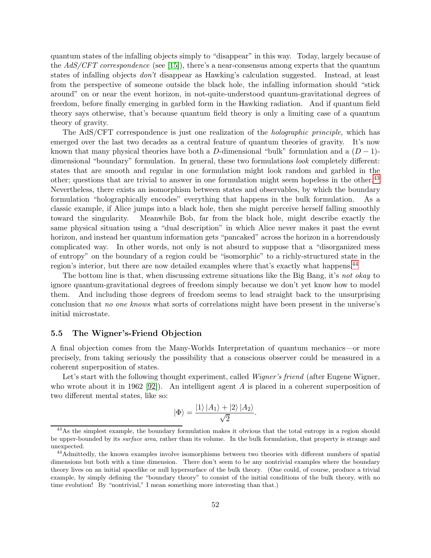quantum states of the infalling objects simply to "disappear" in this way. Today, largely because of the  $AdS/CFT$  correspondence (see [\[15\]](#page-71-1)), there's a near-consensus among experts that the quantum states of infalling objects don't disappear as Hawking's calculation suggested. Instead, at least from the perspective of someone outside the black hole, the infalling information should "stick around" on or near the event horizon, in not-quite-understood quantum-gravitational degrees of freedom, before finally emerging in garbled form in the Hawking radiation. And if quantum field theory says otherwise, that's because quantum field theory is only a limiting case of a quantum theory of gravity.

The AdS/CFT correspondence is just one realization of the holographic principle, which has emerged over the last two decades as a central feature of quantum theories of gravity. It's now known that many physical theories have both a D-dimensional "bulk" formulation and a  $(D-1)$ dimensional "boundary" formulation. In general, these two formulations look completely different: states that are smooth and regular in one formulation might look random and garbled in the other; questions that are trivial to answer in one formulation might seem hopeless in the other.<sup>[43](#page-51-1)</sup> Nevertheless, there exists an isomorphism between states and observables, by which the boundary formulation "holographically encodes" everything that happens in the bulk formulation. As a classic example, if Alice jumps into a black hole, then she might perceive herself falling smoothly toward the singularity. Meanwhile Bob, far from the black hole, might describe exactly the same physical situation using a "dual description" in which Alice never makes it past the event horizon, and instead her quantum information gets "pancaked" across the horizon in a horrendously complicated way. In other words, not only is not absurd to suppose that a "disorganized mess of entropy" on the boundary of a region could be "isomorphic" to a richly-structured state in the region's interior, but there are now detailed examples where that's exactly what happens.<sup>[44](#page-51-2)</sup>

The bottom line is that, when discussing extreme situations like the Big Bang, it's not okay to ignore quantum-gravitational degrees of freedom simply because we don't yet know how to model them. And including those degrees of freedom seems to lead straight back to the unsurprising conclusion that no one knows what sorts of correlations might have been present in the universe's initial microstate.

#### <span id="page-51-0"></span>5.5 The Wigner's-Friend Objection

A final objection comes from the Many-Worlds Interpretation of quantum mechanics—or more precisely, from taking seriously the possibility that a conscious observer could be measured in a coherent superposition of states.

Let's start with the following thought experiment, called *Wigner's friend* (after Eugene Wigner, who wrote about it in 1962 [\[92\]](#page-75-0)). An intelligent agent A is placed in a coherent superposition of two different mental states, like so:

$$
|\Phi\rangle = \frac{|1\rangle |A_1\rangle + |2\rangle |A_2\rangle}{\sqrt{2}}.
$$

<span id="page-51-1"></span><sup>&</sup>lt;sup>43</sup>As the simplest example, the boundary formulation makes it obvious that the total entropy in a region should be upper-bounded by its surface area, rather than its volume. In the bulk formulation, that property is strange and unexpected.

<span id="page-51-2"></span><sup>&</sup>lt;sup>44</sup>Admittedly, the known examples involve isomorphisms between two theories with different numbers of spatial dimensions but both with a time dimension. There don't seem to be any nontrivial examples where the boundary theory lives on an initial spacelike or null hypersurface of the bulk theory. (One could, of course, produce a trivial example, by simply defining the "boundary theory" to consist of the initial conditions of the bulk theory, with no time evolution! By "nontrivial," I mean something more interesting than that.)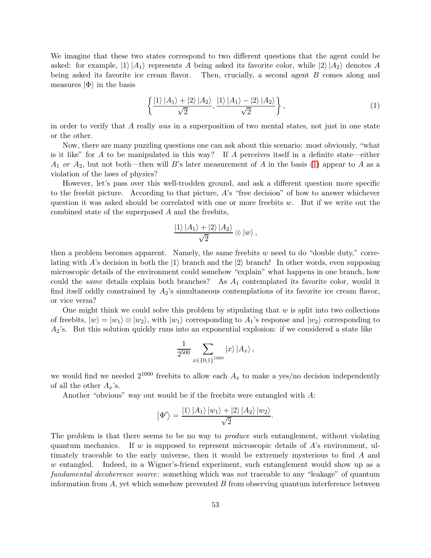We imagine that these two states correspond to two different questions that the agent could be asked: for example,  $|1\rangle |A_1\rangle$  represents A being asked its favorite color, while  $|2\rangle |A_2\rangle$  denotes A being asked its favorite ice cream flavor. Then, crucially, a second agent B comes along and measures  $|\Phi\rangle$  in the basis

<span id="page-52-0"></span>
$$
\left\{ \frac{|1\rangle|A_1\rangle+|2\rangle|A_2\rangle}{\sqrt{2}}, \frac{|1\rangle|A_1\rangle-|2\rangle|A_2\rangle}{\sqrt{2}} \right\},
$$
\n(1)

in order to verify that A really was in a superposition of two mental states, not just in one state or the other.

Now, there are many puzzling questions one can ask about this scenario: most obviously, "what is it like" for A to be manipulated in this way? If A perceives itself in a definite state—either  $A_1$  or  $A_2$ , but not both—then will B's later measurement of A in the basis [\(1\)](#page-52-0) appear to A as a violation of the laws of physics?

However, let's pass over this well-trodden ground, and ask a different question more specific to the freebit picture. According to that picture,  $A$ 's "free decision" of how to answer whichever question it was asked should be correlated with one or more freebits  $w$ . But if we write out the combined state of the superposed A and the freebits,

$$
\frac{\ket{1}\ket{A_1}+\ket{2}\ket{A_2}}{\sqrt{2}}\otimes\ket{w},
$$

then a problem becomes apparent. Namely, the same freebits  $w$  need to do "double duty," correlating with A's decision in both the  $|1\rangle$  branch and the  $|2\rangle$  branch! In other words, even supposing microscopic details of the environment could somehow "explain" what happens in one branch, how could the *same* details explain both branches? As  $A_1$  contemplated its favorite color, would it find itself oddly constrained by  $A_2$ 's simultaneous contemplations of its favorite ice cream flavor, or vice versa?

One might think we could solve this problem by stipulating that  $w$  is split into two collections of freebits,  $|w\rangle = |w_1\rangle \otimes |w_2\rangle$ , with  $|w_1\rangle$  corresponding to  $A_1$ 's response and  $|w_2\rangle$  corresponding to  $A_2$ 's. But this solution quickly runs into an exponential explosion: if we considered a state like

$$
\frac{1}{2^{500}} \sum_{x \in \{0,1\}^{1000}} |x\rangle |A_x\rangle,
$$

we would find we needed  $2^{1000}$  freebits to allow each  $A_x$  to make a yes/no decision independently of all the other  $A_x$ 's.

Another "obvious" way out would be if the freebits were entangled with A:

$$
|\Phi'\rangle = \frac{|1\rangle |A_1\rangle |w_1\rangle + |2\rangle |A_2\rangle |w_2\rangle}{\sqrt{2}}.
$$

The problem is that there seems to be no way to *produce* such entanglement, without violating quantum mechanics. If w is supposed to represent microscopic details of  $\vec{A}$ 's environment, ultimately traceable to the early universe, then it would be extremely mysterious to find A and w entangled. Indeed, in a Wigner's-friend experiment, such entanglement would show up as a fundamental decoherence source: something which was not traceable to any "leakage" of quantum information from  $A$ , yet which somehow prevented  $B$  from observing quantum interference between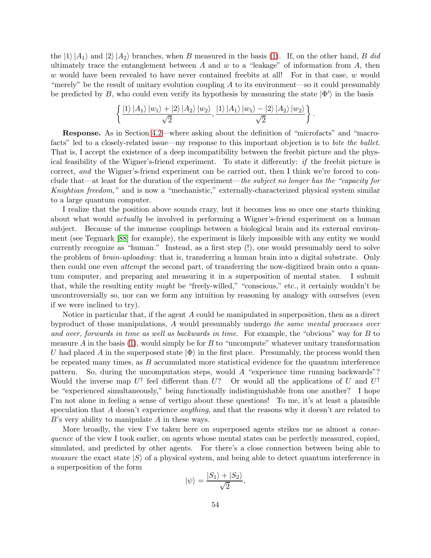the  $|1\rangle |A_1\rangle$  and  $|2\rangle |A_2\rangle$  branches, when B measured in the basis [\(1\)](#page-52-0). If, on the other hand, B did ultimately trace the entanglement between  $A$  and  $w$  to a "leakage" of information from  $A$ , then w would have been revealed to have never contained freebits at all! For in that case, w would "merely" be the result of unitary evolution coupling  $A$  to its environment—so it could presumably be predicted by B, who could even verify its hypothesis by measuring the state  $|\Phi'\rangle$  in the basis

$$
\left\{\frac{\left|1\right\rangle\left|A_{1}\right\rangle\left|w_{1}\right\rangle+\left|2\right\rangle\left|A_{2}\right\rangle\left|w_{2}\right\rangle}{\sqrt{2}},\frac{\left|1\right\rangle\left|A_{1}\right\rangle\left|w_{1}\right\rangle-\left|2\right\rangle\left|A_{2}\right\rangle\left|w_{2}\right\rangle}{\sqrt{2}}\right\}
$$

.

Response. As in Section [4.2—](#page-45-1)where asking about the definition of "microfacts" and "macrofacts" led to a closely-related issue—my response to this important objection is to *bite the bullet*. That is, I accept the existence of a deep incompatibility between the freebit picture and the physical feasibility of the Wigner's-friend experiment. To state it differently: if the freebit picture is correct, and the Wigner's-friend experiment can be carried out, then I think we're forced to conclude that—at least for the duration of the experiment—the subject no longer has the "capacity for Knightian freedom," and is now a "mechanistic," externally-characterized physical system similar to a large quantum computer.

I realize that the position above sounds crazy, but it becomes less so once one starts thinking about what would actually be involved in performing a Wigner's-friend experiment on a human subject. Because of the immense couplings between a biological brain and its external environment (see Tegmark [\[88\]](#page-75-1) for example), the experiment is likely impossible with any entity we would currently recognize as "human." Instead, as a first step (!), one would presumably need to solve the problem of brain-uploading: that is, transferring a human brain into a digital substrate. Only then could one even *attempt* the second part, of transferring the now-digitized brain onto a quantum computer, and preparing and measuring it in a superposition of mental states. I submit that, while the resulting entity might be "freely-willed," "conscious," etc., it certainly wouldn't be uncontroversially so, nor can we form any intuition by reasoning by analogy with ourselves (even if we were inclined to try).

Notice in particular that, if the agent A could be manipulated in superposition, then as a direct byproduct of those manipulations, A would presumably undergo the same mental processes over and over, forwards in time as well as backwards in time. For example, the "obvious" way for B to measure A in the basis  $(1)$ , would simply be for B to "uncompute" whatever unitary transformation U had placed A in the superposed state  $|\Phi\rangle$  in the first place. Presumably, the process would then be repeated many times, as  $B$  accumulated more statistical evidence for the quantum interference pattern. So, during the uncomputation steps, would A "experience time running backwards"? Would the inverse map  $U^{\dagger}$  feel different than U? Or would all the applications of U and  $U^{\dagger}$ be "experienced simultaneously," being functionally indistinguishable from one another? I hope I'm not alone in feeling a sense of vertigo about these questions! To me, it's at least a plausible speculation that A doesn't experience *anything*, and that the reasons why it doesn't are related to B's very ability to manipulate A in these ways.

More broadly, the view I've taken here on superposed agents strikes me as almost a *conse*quence of the view I took earlier, on agents whose mental states can be perfectly measured, copied, simulated, and predicted by other agents. For there's a close connection between being able to *measure* the exact state  $|S\rangle$  of a physical system, and being able to detect quantum interference in a superposition of the form

$$
|\psi\rangle = \frac{|S_1\rangle + |S_2\rangle}{\sqrt{2}},
$$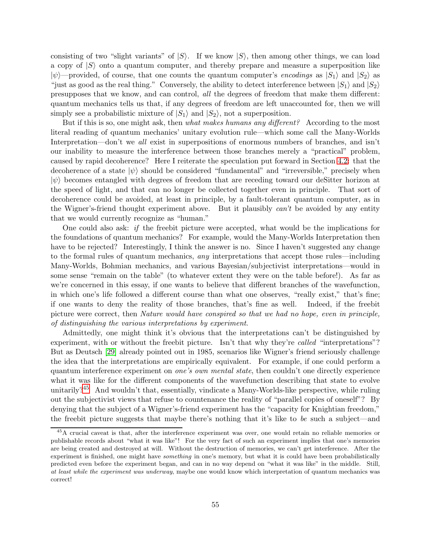consisting of two "slight variants" of  $|S\rangle$ . If we know  $|S\rangle$ , then among other things, we can load a copy of  $|S\rangle$  onto a quantum computer, and thereby prepare and measure a superposition like  $|\psi\rangle$ —provided, of course, that one counts the quantum computer's *encodings* as  $|S_1\rangle$  and  $|S_2\rangle$  as "just as good as the real thing." Conversely, the ability to detect interference between  $|S_1\rangle$  and  $|S_2\rangle$ presupposes that we know, and can control, all the degrees of freedom that make them different: quantum mechanics tells us that, if any degrees of freedom are left unaccounted for, then we will simply see a probabilistic mixture of  $|S_1\rangle$  and  $|S_2\rangle$ , not a superposition.

But if this is so, one might ask, then what makes humans any different? According to the most literal reading of quantum mechanics' unitary evolution rule—which some call the Many-Worlds Interpretation—don't we all exist in superpositions of enormous numbers of branches, and isn't our inability to measure the interference between those branches merely a "practical" problem, caused by rapid decoherence? Here I reiterate the speculation put forward in Section [4.2:](#page-45-1) that the decoherence of a state  $|\psi\rangle$  should be considered "fundamental" and "irreversible," precisely when  $|\psi\rangle$  becomes entangled with degrees of freedom that are receding toward our deSitter horizon at the speed of light, and that can no longer be collected together even in principle. That sort of decoherence could be avoided, at least in principle, by a fault-tolerant quantum computer, as in the Wigner's-friend thought experiment above. But it plausibly can't be avoided by any entity that we would currently recognize as "human."

One could also ask: if the freebit picture were accepted, what would be the implications for the foundations of quantum mechanics? For example, would the Many-Worlds Interpretation then have to be rejected? Interestingly, I think the answer is no. Since I haven't suggested any change to the formal rules of quantum mechanics, any interpretations that accept those rules—including Many-Worlds, Bohmian mechanics, and various Bayesian/subjectivist interpretations—would in some sense "remain on the table" (to whatever extent they were on the table before!). As far as we're concerned in this essay, if one wants to believe that different branches of the wavefunction, in which one's life followed a different course than what one observes, "really exist," that's fine; if one wants to deny the reality of those branches, that's fine as well. Indeed, if the freebit picture were correct, then Nature would have conspired so that we had no hope, even in principle, of distinguishing the various interpretations by experiment.

Admittedly, one might think it's obvious that the interpretations can't be distinguished by experiment, with or without the freebit picture. Isn't that why they're called "interpretations"? But as Deutsch [\[29\]](#page-71-2) already pointed out in 1985, scenarios like Wigner's friend seriously challenge the idea that the interpretations are empirically equivalent. For example, if one could perform a quantum interference experiment on one's own mental state, then couldn't one directly experience what it was like for the different components of the wavefunction describing that state to evolve unitarily?<sup>[45](#page-54-0)</sup> And wouldn't that, essentially, vindicate a Many-Worlds-like perspective, while ruling out the subjectivist views that refuse to countenance the reality of "parallel copies of oneself"? By denying that the subject of a Wigner's-friend experiment has the "capacity for Knightian freedom," the freebit picture suggests that maybe there's nothing that it's like to be such a subject—and

<span id="page-54-0"></span><sup>45</sup>A crucial caveat is that, after the interference experiment was over, one would retain no reliable memories or publishable records about "what it was like"! For the very fact of such an experiment implies that one's memories are being created and destroyed at will. Without the destruction of memories, we can't get interference. After the experiment is finished, one might have something in one's memory, but what it is could have been probabilistically predicted even before the experiment began, and can in no way depend on "what it was like" in the middle. Still, at least while the experiment was underway, maybe one would know which interpretation of quantum mechanics was correct!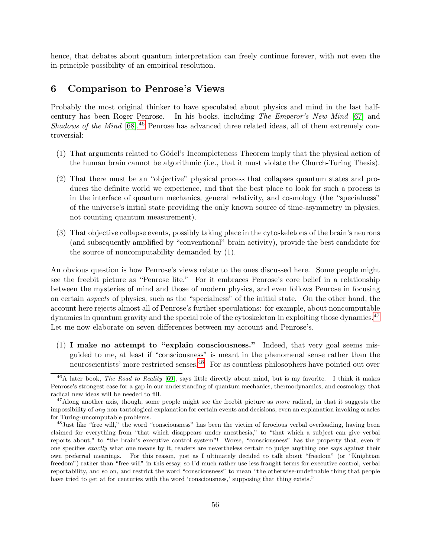hence, that debates about quantum interpretation can freely continue forever, with not even the in-principle possibility of an empirical resolution.

## 6 Comparison to Penrose's Views

Probably the most original thinker to have speculated about physics and mind in the last halfcentury has been Roger Penrose. In his books, including The Emperor's New Mind [\[67\]](#page-73-1) and *Shadows of the Mind*  $[68]$ ,<sup>[46](#page-55-0)</sup> Penrose has advanced three related ideas, all of them extremely controversial:

- (1) That arguments related to G¨odel's Incompleteness Theorem imply that the physical action of the human brain cannot be algorithmic (i.e., that it must violate the Church-Turing Thesis).
- (2) That there must be an "objective" physical process that collapses quantum states and produces the definite world we experience, and that the best place to look for such a process is in the interface of quantum mechanics, general relativity, and cosmology (the "specialness" of the universe's initial state providing the only known source of time-asymmetry in physics, not counting quantum measurement).
- (3) That objective collapse events, possibly taking place in the cytoskeletons of the brain's neurons (and subsequently amplified by "conventional" brain activity), provide the best candidate for the source of noncomputability demanded by (1).

An obvious question is how Penrose's views relate to the ones discussed here. Some people might see the freebit picture as "Penrose lite." For it embraces Penrose's core belief in a relationship between the mysteries of mind and those of modern physics, and even follows Penrose in focusing on certain aspects of physics, such as the "specialness" of the initial state. On the other hand, the account here rejects almost all of Penrose's further speculations: for example, about noncomputable dynamics in quantum gravity and the special role of the cytoskeleton in exploiting those dynamics.[47](#page-55-1) Let me now elaborate on seven differences between my account and Penrose's.

(1) I make no attempt to "explain consciousness." Indeed, that very goal seems misguided to me, at least if "consciousness" is meant in the phenomenal sense rather than the neuroscientists' more restricted senses.<sup>[48](#page-55-2)</sup> For as countless philosophers have pointed out over

<span id="page-55-0"></span> $^{46}$ A later book, *The Road to Reality* [\[69\]](#page-74-4), says little directly about mind, but is my favorite. I think it makes Penrose's strongest case for a gap in our understanding of quantum mechanics, thermodynamics, and cosmology that radical new ideas will be needed to fill.

<span id="page-55-1"></span><sup>&</sup>lt;sup>47</sup>Along another axis, though, some people might see the freebit picture as *more* radical, in that it suggests the impossibility of any non-tautological explanation for certain events and decisions, even an explanation invoking oracles for Turing-uncomputable problems.

<span id="page-55-2"></span><sup>&</sup>lt;sup>48</sup> Just like "free will," the word "consciousness" has been the victim of ferocious verbal overloading, having been claimed for everything from "that which disappears under anesthesia," to "that which a subject can give verbal reports about," to "the brain's executive control system"! Worse, "consciousness" has the property that, even if one specifies exactly what one means by it, readers are nevertheless certain to judge anything one says against their own preferred meanings. For this reason, just as I ultimately decided to talk about "freedom" (or "Knightian freedom") rather than "free will" in this essay, so I'd much rather use less fraught terms for executive control, verbal reportability, and so on, and restrict the word "consciousness" to mean "the otherwise-undefinable thing that people have tried to get at for centuries with the word 'consciousness,' supposing that thing exists."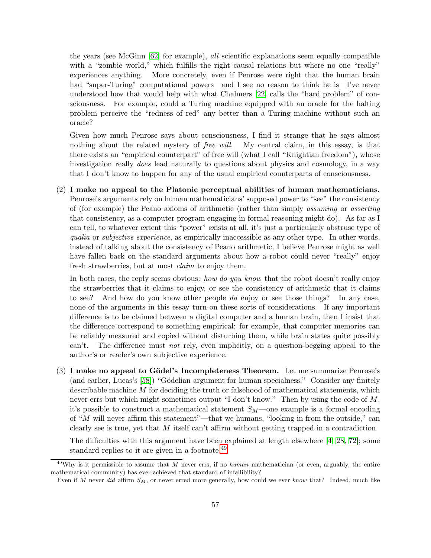the years (see McGinn [\[62\]](#page-73-2) for example), all scientific explanations seem equally compatible with a "zombie world," which fulfills the right causal relations but where no one "really" experiences anything. More concretely, even if Penrose were right that the human brain had "super-Turing" computational powers—and I see no reason to think he is—I've never understood how that would help with what Chalmers [\[22\]](#page-71-3) calls the "hard problem" of consciousness. For example, could a Turing machine equipped with an oracle for the halting problem perceive the "redness of red" any better than a Turing machine without such an oracle?

Given how much Penrose says about consciousness, I find it strange that he says almost nothing about the related mystery of *free will*. My central claim, in this essay, is that there exists an "empirical counterpart" of free will (what I call "Knightian freedom"), whose investigation really does lead naturally to questions about physics and cosmology, in a way that I don't know to happen for any of the usual empirical counterparts of consciousness.

(2) I make no appeal to the Platonic perceptual abilities of human mathematicians. Penrose's arguments rely on human mathematicians' supposed power to "see" the consistency of (for example) the Peano axioms of arithmetic (rather than simply assuming or asserting that consistency, as a computer program engaging in formal reasoning might do). As far as I can tell, to whatever extent this "power" exists at all, it's just a particularly abstruse type of qualia or *subjective experience*, as empirically inaccessible as any other type. In other words, instead of talking about the consistency of Peano arithmetic, I believe Penrose might as well have fallen back on the standard arguments about how a robot could never "really" enjoy fresh strawberries, but at most claim to enjoy them.

In both cases, the reply seems obvious: how do you know that the robot doesn't really enjoy the strawberries that it claims to enjoy, or see the consistency of arithmetic that it claims to see? And how do you know other people do enjoy or see those things? In any case, none of the arguments in this essay turn on these sorts of considerations. If any important difference is to be claimed between a digital computer and a human brain, then I insist that the difference correspond to something empirical: for example, that computer memories can be reliably measured and copied without disturbing them, while brain states quite possibly can't. The difference must not rely, even implicitly, on a question-begging appeal to the author's or reader's own subjective experience.

 $(3)$  I make no appeal to Gödel's Incompleteness Theorem. Let me summarize Penrose's (and earlier, Lucas's [\[58\]](#page-73-3)) "Gödelian argument for human specialness." Consider any finitely describable machine M for deciding the truth or falsehood of mathematical statements, which never errs but which might sometimes output "I don't know." Then by using the code of M, it's possible to construct a mathematical statement  $S_M$ —one example is a formal encoding of "M will never affirm this statement"—that we humans, "looking in from the outside," can clearly see is true, yet that  $M$  itself can't affirm without getting trapped in a contradiction.

The difficulties with this argument have been explained at length elsewhere  $[4, 28, 72]$  $[4, 28, 72]$  $[4, 28, 72]$ ; some standard replies to it are given in a footnote.<sup>[49](#page-56-0)</sup>

 $^{49}$ Why is it permissible to assume that M never errs, if no human mathematician (or even, arguably, the entire mathematical community) has ever achieved that standard of infallibility?

<span id="page-56-0"></span>Even if M never did affirm  $S_M$ , or never erred more generally, how could we ever know that? Indeed, much like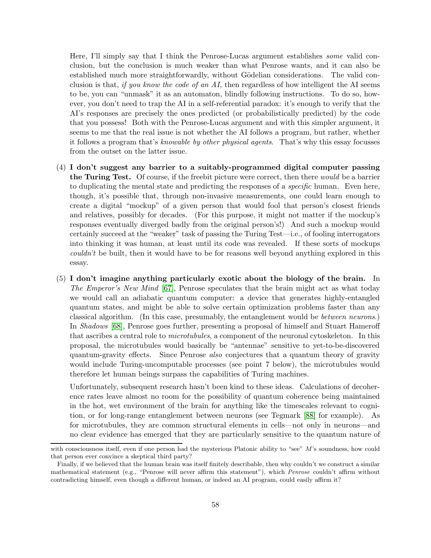Here, I'll simply say that I think the Penrose-Lucas argument establishes some valid conclusion, but the conclusion is much weaker than what Penrose wants, and it can also be established much more straightforwardly, without Gödelian considerations. The valid conclusion is that, if you know the code of an  $AI$ , then regardless of how intelligent the AI seems to be, you can "unmask" it as an automaton, blindly following instructions. To do so, however, you don't need to trap the AI in a self-referential paradox: it's enough to verify that the AI's responses are precisely the ones predicted (or probabilistically predicted) by the code that you possess! Both with the Penrose-Lucas argument and with this simpler argument, it seems to me that the real issue is not whether the AI follows a program, but rather, whether it follows a program that's knowable by other physical agents. That's why this essay focusses from the outset on the latter issue.

- (4) I don't suggest any barrier to a suitably-programmed digital computer passing the Turing Test. Of course, if the freebit picture were correct, then there would be a barrier to duplicating the mental state and predicting the responses of a *specific* human. Even here, though, it's possible that, through non-invasive measurements, one could learn enough to create a digital "mockup" of a given person that would fool that person's closest friends and relatives, possibly for decades. (For this purpose, it might not matter if the mockup's responses eventually diverged badly from the original person's!) And such a mockup would certainly succeed at the "weaker" task of passing the Turing Test—i.e., of fooling interrogators into thinking it was human, at least until its code was revealed. If these sorts of mockups couldn't be built, then it would have to be for reasons well beyond anything explored in this essay.
- (5) I don't imagine anything particularly exotic about the biology of the brain. In The Emperor's New Mind [\[67\]](#page-73-1), Penrose speculates that the brain might act as what today we would call an adiabatic quantum computer: a device that generates highly-entangled quantum states, and might be able to solve certain optimization problems faster than any classical algorithm. (In this case, presumably, the entanglement would be between neurons.) In Shadows [\[68\]](#page-73-0), Penrose goes further, presenting a proposal of himself and Stuart Hameroff that ascribes a central role to microtubules, a component of the neuronal cytoskeleton. In this proposal, the microtubules would basically be "antennae" sensitive to yet-to-be-discovered quantum-gravity effects. Since Penrose also conjectures that a quantum theory of gravity would include Turing-uncomputable processes (see point 7 below), the microtubules would therefore let human beings surpass the capabilities of Turing machines.

Unfortunately, subsequent research hasn't been kind to these ideas. Calculations of decoherence rates leave almost no room for the possibility of quantum coherence being maintained in the hot, wet environment of the brain for anything like the timescales relevant to cognition, or for long-range entanglement between neurons (see Tegmark [\[88\]](#page-75-1) for example). As for microtubules, they are common structural elements in cells—not only in neurons—and no clear evidence has emerged that they are particularly sensitive to the quantum nature of

with consciousness itself, even if one person had the mysterious Platonic ability to "see" M's soundness, how could that person ever convince a skeptical third party?

Finally, if we believed that the human brain was itself finitely describable, then why couldn't we construct a similar mathematical statement (e.g., "Penrose will never affirm this statement"), which Penrose couldn't affirm without contradicting himself, even though a different human, or indeed an AI program, could easily affirm it?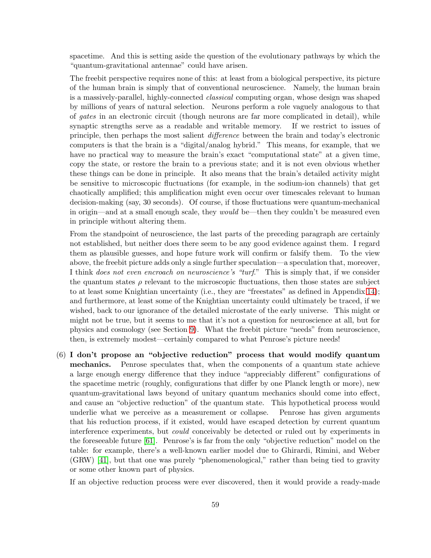spacetime. And this is setting aside the question of the evolutionary pathways by which the "quantum-gravitational antennae" could have arisen.

The freebit perspective requires none of this: at least from a biological perspective, its picture of the human brain is simply that of conventional neuroscience. Namely, the human brain is a massively-parallel, highly-connected classical computing organ, whose design was shaped by millions of years of natural selection. Neurons perform a role vaguely analogous to that of gates in an electronic circuit (though neurons are far more complicated in detail), while synaptic strengths serve as a readable and writable memory. If we restrict to issues of principle, then perhaps the most salient difference between the brain and today's electronic computers is that the brain is a "digital/analog hybrid." This means, for example, that we have no practical way to measure the brain's exact "computational state" at a given time, copy the state, or restore the brain to a previous state; and it is not even obvious whether these things can be done in principle. It also means that the brain's detailed activity might be sensitive to microscopic fluctuations (for example, in the sodium-ion channels) that get chaotically amplified; this amplification might even occur over timescales relevant to human decision-making (say, 30 seconds). Of course, if those fluctuations were quantum-mechanical in origin—and at a small enough scale, they would be—then they couldn't be measured even in principle without altering them.

From the standpoint of neuroscience, the last parts of the preceding paragraph are certainly not established, but neither does there seem to be any good evidence against them. I regard them as plausible guesses, and hope future work will confirm or falsify them. To the view above, the freebit picture adds only a single further speculation—a speculation that, moreover, I think does not even encroach on neuroscience's "turf." This is simply that, if we consider the quantum states  $\rho$  relevant to the microscopic fluctuations, then those states are subject to at least some Knightian uncertainty (i.e., they are "freestates" as defined in Appendix [14\)](#page-83-0); and furthermore, at least some of the Knightian uncertainty could ultimately be traced, if we wished, back to our ignorance of the detailed microstate of the early universe. This might or might not be true, but it seems to me that it's not a question for neuroscience at all, but for physics and cosmology (see Section [9\)](#page-64-0). What the freebit picture "needs" from neuroscience, then, is extremely modest—certainly compared to what Penrose's picture needs!

(6) I don't propose an "objective reduction" process that would modify quantum mechanics. Penrose speculates that, when the components of a quantum state achieve a large enough energy difference that they induce "appreciably different" configurations of the spacetime metric (roughly, configurations that differ by one Planck length or more), new quantum-gravitational laws beyond of unitary quantum mechanics should come into effect, and cause an "objective reduction" of the quantum state. This hypothetical process would underlie what we perceive as a measurement or collapse. Penrose has given arguments that his reduction process, if it existed, would have escaped detection by current quantum interference experiments, but could conceivably be detected or ruled out by experiments in the foreseeable future [\[61\]](#page-73-4). Penrose's is far from the only "objective reduction" model on the table: for example, there's a well-known earlier model due to Ghirardi, Rimini, and Weber (GRW) [\[41\]](#page-72-2), but that one was purely "phenomenological," rather than being tied to gravity or some other known part of physics.

If an objective reduction process were ever discovered, then it would provide a ready-made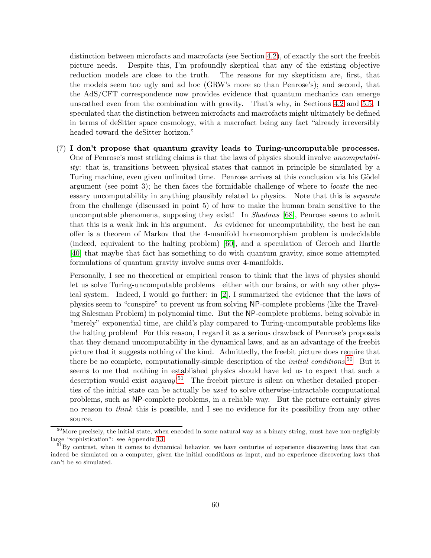distinction between microfacts and macrofacts (see Section [4.2\)](#page-45-1), of exactly the sort the freebit picture needs. Despite this, I'm profoundly skeptical that any of the existing objective reduction models are close to the truth. The reasons for my skepticism are, first, that the models seem too ugly and ad hoc (GRW's more so than Penrose's); and second, that the AdS/CFT correspondence now provides evidence that quantum mechanics can emerge unscathed even from the combination with gravity. That's why, in Sections [4.2](#page-45-1) and [5.5,](#page-51-0) I speculated that the distinction between microfacts and macrofacts might ultimately be defined in terms of deSitter space cosmology, with a macrofact being any fact "already irreversibly headed toward the deSitter horizon."

(7) I don't propose that quantum gravity leads to Turing-uncomputable processes. One of Penrose's most striking claims is that the laws of physics should involve uncomputability: that is, transitions between physical states that cannot in principle be simulated by a Turing machine, even given unlimited time. Penrose arrives at this conclusion via his Gödel argument (see point 3); he then faces the formidable challenge of where to locate the necessary uncomputability in anything plausibly related to physics. Note that this is separate from the challenge (discussed in point 5) of how to make the human brain sensitive to the uncomputable phenomena, supposing they exist! In Shadows [\[68\]](#page-73-0), Penrose seems to admit that this is a weak link in his argument. As evidence for uncomputability, the best he can offer is a theorem of Markov that the 4-manifold homeomorphism problem is undecidable (indeed, equivalent to the halting problem) [\[60\]](#page-73-5), and a speculation of Geroch and Hartle [\[40\]](#page-72-5) that maybe that fact has something to do with quantum gravity, since some attempted formulations of quantum gravity involve sums over 4-manifolds.

Personally, I see no theoretical or empirical reason to think that the laws of physics should let us solve Turing-uncomputable problems—either with our brains, or with any other physical system. Indeed, I would go further: in [\[2\]](#page-70-2), I summarized the evidence that the laws of physics seem to "conspire" to prevent us from solving NP-complete problems (like the Traveling Salesman Problem) in polynomial time. But the NP-complete problems, being solvable in "merely" exponential time, are child's play compared to Turing-uncomputable problems like the halting problem! For this reason, I regard it as a serious drawback of Penrose's proposals that they demand uncomputability in the dynamical laws, and as an advantage of the freebit picture that it suggests nothing of the kind. Admittedly, the freebit picture does require that there be no complete, computationally-simple description of the *initial conditions*.<sup>[50](#page-59-0)</sup> But it seems to me that nothing in established physics should have led us to expect that such a description would exist  $anyway!$ <sup>[51](#page-59-1)</sup> The freebit picture is silent on whether detailed properties of the initial state can be actually be used to solve otherwise-intractable computational problems, such as NP-complete problems, in a reliable way. But the picture certainly gives no reason to think this is possible, and I see no evidence for its possibility from any other source.

<span id="page-59-0"></span> $50$  More precisely, the initial state, when encoded in some natural way as a binary string, must have non-negligibly large "sophistication": see Appendix [13.](#page-80-0)

<span id="page-59-1"></span><sup>&</sup>lt;sup>51</sup>By contrast, when it comes to dynamical behavior, we have centuries of experience discovering laws that can indeed be simulated on a computer, given the initial conditions as input, and no experience discovering laws that can't be so simulated.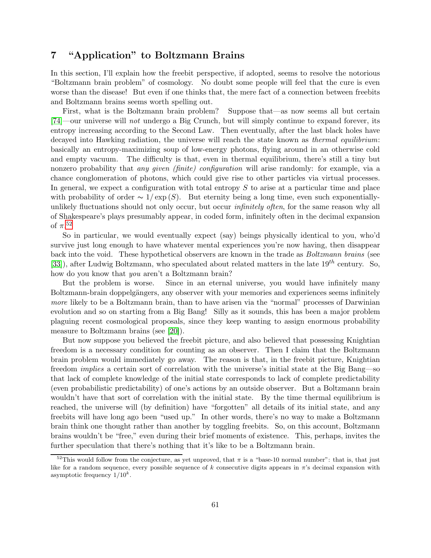# 7 "Application" to Boltzmann Brains

In this section, I'll explain how the freebit perspective, if adopted, seems to resolve the notorious "Boltzmann brain problem" of cosmology. No doubt some people will feel that the cure is even worse than the disease! But even if one thinks that, the mere fact of a connection between freebits and Boltzmann brains seems worth spelling out.

First, what is the Boltzmann brain problem? Suppose that—as now seems all but certain [\[74\]](#page-74-6)—our universe will not undergo a Big Crunch, but will simply continue to expand forever, its entropy increasing according to the Second Law. Then eventually, after the last black holes have decayed into Hawking radiation, the universe will reach the state known as *thermal equilibrium*: basically an entropy-maximizing soup of low-energy photons, flying around in an otherwise cold and empty vacuum. The difficulty is that, even in thermal equilibrium, there's still a tiny but nonzero probability that *any given (finite) configuration* will arise randomly: for example, via a chance conglomeration of photons, which could give rise to other particles via virtual processes. In general, we expect a configuration with total entropy  $S$  to arise at a particular time and place with probability of order  $\sim 1/\exp(S)$ . But eternity being a long time, even such exponentiallyunlikely fluctuations should not only occur, but occur *infinitely often*, for the same reason why all of Shakespeare's plays presumably appear, in coded form, infinitely often in the decimal expansion of  $\pi$ .<sup>[52](#page-60-0)</sup>

So in particular, we would eventually expect (say) beings physically identical to you, who'd survive just long enough to have whatever mental experiences you're now having, then disappear back into the void. These hypothetical observers are known in the trade as Boltzmann brains (see [\[33\]](#page-72-6)), after Ludwig Boltzmann, who speculated about related matters in the late  $19^{th}$  century. So, how do you know that *you* aren't a Boltzmann brain?

But the problem is worse. Since in an eternal universe, you would have infinitely many Boltzmann-brain doppelgängers, any observer with your memories and experiences seems infinitely more likely to be a Boltzmann brain, than to have arisen via the "normal" processes of Darwinian evolution and so on starting from a Big Bang! Silly as it sounds, this has been a major problem plaguing recent cosmological proposals, since they keep wanting to assign enormous probability measure to Boltzmann brains (see [\[20\]](#page-71-0)).

But now suppose you believed the freebit picture, and also believed that possessing Knightian freedom is a necessary condition for counting as an observer. Then I claim that the Boltzmann brain problem would immediately go away. The reason is that, in the freebit picture, Knightian freedom implies a certain sort of correlation with the universe's initial state at the Big Bang—so that lack of complete knowledge of the initial state corresponds to lack of complete predictability (even probabilistic predictability) of one's actions by an outside observer. But a Boltzmann brain wouldn't have that sort of correlation with the initial state. By the time thermal equilibrium is reached, the universe will (by definition) have "forgotten" all details of its initial state, and any freebits will have long ago been "used up." In other words, there's no way to make a Boltzmann brain think one thought rather than another by toggling freebits. So, on this account, Boltzmann brains wouldn't be "free," even during their brief moments of existence. This, perhaps, invites the further speculation that there's nothing that it's like to be a Boltzmann brain.

<span id="page-60-0"></span><sup>&</sup>lt;sup>52</sup>This would follow from the conjecture, as yet unproved, that  $\pi$  is a "base-10 normal number": that is, that just like for a random sequence, every possible sequence of k consecutive digits appears in  $\pi$ 's decimal expansion with asymptotic frequency  $1/10^k$ .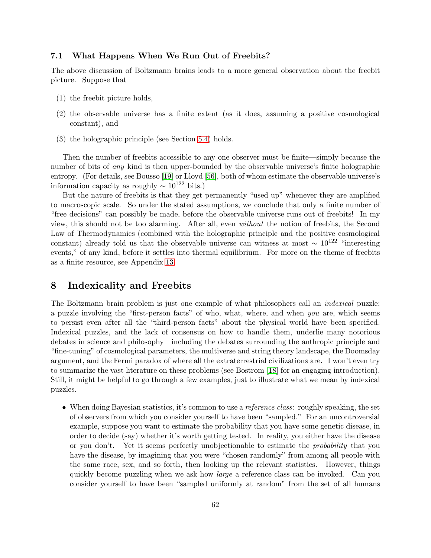### 7.1 What Happens When We Run Out of Freebits?

The above discussion of Boltzmann brains leads to a more general observation about the freebit picture. Suppose that

- (1) the freebit picture holds,
- (2) the observable universe has a finite extent (as it does, assuming a positive cosmological constant), and
- (3) the holographic principle (see Section [5.4\)](#page-50-1) holds.

Then the number of freebits accessible to any one observer must be finite—simply because the number of bits of *any* kind is then upper-bounded by the observable universe's finite holographic entropy. (For details, see Bousso [\[19\]](#page-71-5) or Lloyd [\[56\]](#page-73-6), both of whom estimate the observable universe's information capacity as roughly  $\sim 10^{122}$  bits.)

But the nature of freebits is that they get permanently "used up" whenever they are amplified to macroscopic scale. So under the stated assumptions, we conclude that only a finite number of "free decisions" can possibly be made, before the observable universe runs out of freebits! In my view, this should not be too alarming. After all, even without the notion of freebits, the Second Law of Thermodynamics (combined with the holographic principle and the positive cosmological constant) already told us that the observable universe can witness at most  $\sim 10^{122}$  "interesting" events," of any kind, before it settles into thermal equilibrium. For more on the theme of freebits as a finite resource, see Appendix [13.](#page-80-0)

# 8 Indexicality and Freebits

The Boltzmann brain problem is just one example of what philosophers call an *indexical* puzzle: a puzzle involving the "first-person facts" of who, what, where, and when you are, which seems to persist even after all the "third-person facts" about the physical world have been specified. Indexical puzzles, and the lack of consensus on how to handle them, underlie many notorious debates in science and philosophy—including the debates surrounding the anthropic principle and "fine-tuning" of cosmological parameters, the multiverse and string theory landscape, the Doomsday argument, and the Fermi paradox of where all the extraterrestrial civilizations are. I won't even try to summarize the vast literature on these problems (see Bostrom [\[18\]](#page-71-6) for an engaging introduction). Still, it might be helpful to go through a few examples, just to illustrate what we mean by indexical puzzles.

• When doing Bayesian statistics, it's common to use a reference class: roughly speaking, the set of observers from which you consider yourself to have been "sampled." For an uncontroversial example, suppose you want to estimate the probability that you have some genetic disease, in order to decide (say) whether it's worth getting tested. In reality, you either have the disease or you don't. Yet it seems perfectly unobjectionable to estimate the probability that you have the disease, by imagining that you were "chosen randomly" from among all people with the same race, sex, and so forth, then looking up the relevant statistics. However, things quickly become puzzling when we ask how large a reference class can be invoked. Can you consider yourself to have been "sampled uniformly at random" from the set of all humans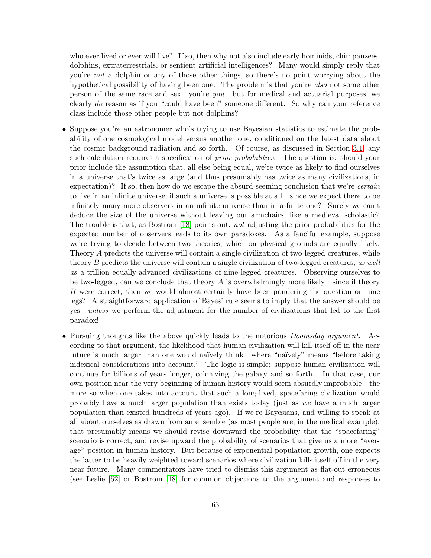who ever lived or ever will live? If so, then why not also include early hominids, chimpanzees, dolphins, extraterrestrials, or sentient artificial intelligences? Many would simply reply that you're not a dolphin or any of those other things, so there's no point worrying about the hypothetical possibility of having been one. The problem is that you're also not some other person of the same race and sex—you're  $you$ —but for medical and actuarial purposes, we clearly do reason as if you "could have been" someone different. So why can your reference class include those other people but not dolphins?

- Suppose you're an astronomer who's trying to use Bayesian statistics to estimate the probability of one cosmological model versus another one, conditioned on the latest data about the cosmic background radiation and so forth. Of course, as discussed in Section [3.1,](#page-29-0) any such calculation requires a specification of *prior probabilities*. The question is: should your prior include the assumption that, all else being equal, we're twice as likely to find ourselves in a universe that's twice as large (and thus presumably has twice as many civilizations, in expectation)? If so, then how do we escape the absurd-seeming conclusion that we're *certain* to live in an infinite universe, if such a universe is possible at all—since we expect there to be infinitely many more observers in an infinite universe than in a finite one? Surely we can't deduce the size of the universe without leaving our armchairs, like a medieval scholastic? The trouble is that, as Bostrom [\[18\]](#page-71-6) points out, not adjusting the prior probabilities for the expected number of observers leads to its own paradoxes. As a fanciful example, suppose we're trying to decide between two theories, which on physical grounds are equally likely. Theory A predicts the universe will contain a single civilization of two-legged creatures, while theory B predicts the universe will contain a single civilization of two-legged creatures, as well as a trillion equally-advanced civilizations of nine-legged creatures. Observing ourselves to be two-legged, can we conclude that theory  $A$  is overwhelmingly more likely—since if theory B were correct, then we would almost certainly have been pondering the question on nine legs? A straightforward application of Bayes' rule seems to imply that the answer should be yes—unless we perform the adjustment for the number of civilizations that led to the first paradox!
- Pursuing thoughts like the above quickly leads to the notorious *Doomsday argument*. According to that argument, the likelihood that human civilization will kill itself off in the near future is much larger than one would naïvely think—where "naïvely" means "before taking indexical considerations into account." The logic is simple: suppose human civilization will continue for billions of years longer, colonizing the galaxy and so forth. In that case, our own position near the very beginning of human history would seem absurdly improbable—the more so when one takes into account that such a long-lived, spacefaring civilization would probably have a much larger population than exists today (just as we have a much larger population than existed hundreds of years ago). If we're Bayesians, and willing to speak at all about ourselves as drawn from an ensemble (as most people are, in the medical example), that presumably means we should revise downward the probability that the "spacefaring" scenario is correct, and revise upward the probability of scenarios that give us a more "average" position in human history. But because of exponential population growth, one expects the latter to be heavily weighted toward scenarios where civilization kills itself off in the very near future. Many commentators have tried to dismiss this argument as flat-out erroneous (see Leslie [\[52\]](#page-73-7) or Bostrom [\[18\]](#page-71-6) for common objections to the argument and responses to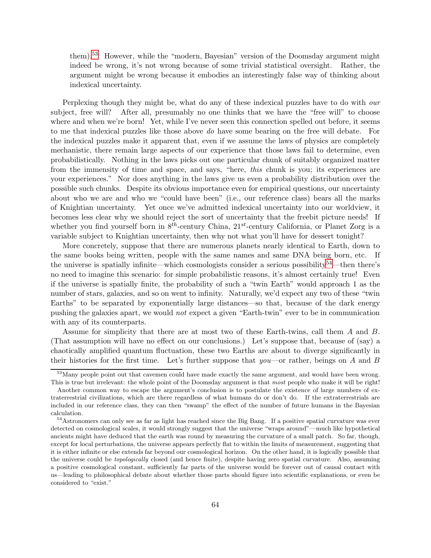them).[53](#page-63-0) However, while the "modern, Bayesian" version of the Doomsday argument might indeed be wrong, it's not wrong because of some trivial statistical oversight. Rather, the argument might be wrong because it embodies an interestingly false way of thinking about indexical uncertainty.

Perplexing though they might be, what do any of these indexical puzzles have to do with our subject, free will? After all, presumably no one thinks that we have the "free will" to choose where and when we're born! Yet, while I've never seen this connection spelled out before, it seems to me that indexical puzzles like those above do have some bearing on the free will debate. For the indexical puzzles make it apparent that, even if we assume the laws of physics are completely mechanistic, there remain large aspects of our experience that those laws fail to determine, even probabilistically. Nothing in the laws picks out one particular chunk of suitably organized matter from the immensity of time and space, and says, "here, this chunk is you; its experiences are your experiences." Nor does anything in the laws give us even a probability distribution over the possible such chunks. Despite its obvious importance even for empirical questions, our uncertainty about who we are and who we "could have been" (i.e., our reference class) bears all the marks of Knightian uncertainty. Yet once we've admitted indexical uncertainty into our worldview, it becomes less clear why we should reject the sort of uncertainty that the freebit picture needs! If whether you find yourself born in  $8^{th}$ -century China,  $21^{st}$ -century California, or Planet Zorg is a variable subject to Knightian uncertainty, then why not what you'll have for dessert tonight?

More concretely, suppose that there are numerous planets nearly identical to Earth, down to the same books being written, people with the same names and same DNA being born, etc. If the universe is spatially infinite—which cosmologists consider a serious possibility<sup>[54](#page-63-1)</sup>—then there's no need to imagine this scenario: for simple probabilistic reasons, it's almost certainly true! Even if the universe is spatially finite, the probability of such a "twin Earth" would approach 1 as the number of stars, galaxies, and so on went to infinity. Naturally, we'd expect any two of these "twin Earths" to be separated by exponentially large distances—so that, because of the dark energy pushing the galaxies apart, we would not expect a given "Earth-twin" ever to be in communication with any of its counterparts.

Assume for simplicity that there are at most two of these Earth-twins, call them A and B. (That assumption will have no effect on our conclusions.) Let's suppose that, because of (say) a chaotically amplified quantum fluctuation, these two Earths are about to diverge significantly in their histories for the first time. Let's further suppose that  $you$ —or rather, beings on A and B

<span id="page-63-0"></span><sup>&</sup>lt;sup>53</sup>Many people point out that cavemen could have made exactly the same argument, and would have been wrong. This is true but irrelevant: the whole point of the Doomsday argument is that most people who make it will be right!

Another common way to escape the argument's conclusion is to postulate the existence of large numbers of extraterrestrial civilizations, which are there regardless of what humans do or don't do. If the extraterrestrials are included in our reference class, they can then "swamp" the effect of the number of future humans in the Bayesian calculation.

<span id="page-63-1"></span><sup>&</sup>lt;sup>54</sup>Astronomers can only see as far as light has reached since the Big Bang. If a positive spatial curvature was ever detected on cosmological scales, it would strongly suggest that the universe "wraps around"—much like hypothetical ancients might have deduced that the earth was round by measuring the curvature of a small patch. So far, though, except for local perturbations, the universe appears perfectly flat to within the limits of measurement, suggesting that it is either infinite or else extends far beyond our cosmological horizon. On the other hand, it is logically possible that the universe could be topologically closed (and hence finite), despite having zero spatial curvature. Also, assuming a positive cosmological constant, sufficiently far parts of the universe would be forever out of causal contact with us—leading to philosophical debate about whether those parts should figure into scientific explanations, or even be considered to "exist."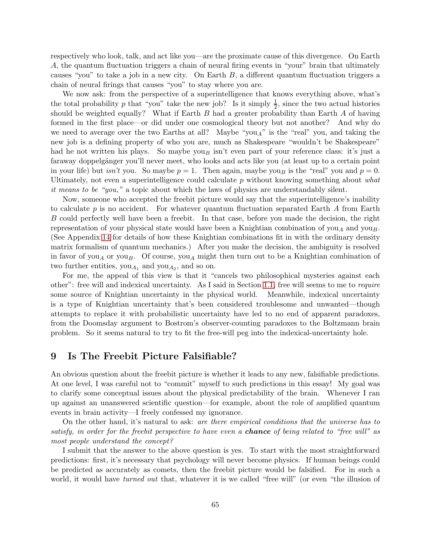respectively who look, talk, and act like you—are the proximate cause of this divergence. On Earth A, the quantum fluctuation triggers a chain of neural firing events in "your" brain that ultimately causes "you" to take a job in a new city. On Earth  $B$ , a different quantum fluctuation triggers a chain of neural firings that causes "you" to stay where you are.

We now ask: from the perspective of a superintelligence that knows everything above, what's the total probability p that "you" take the new job? Is it simply  $\frac{1}{2}$ , since the two actual histories should be weighted equally? What if Earth  $B$  had a greater probability than Earth  $A$  of having formed in the first place—or did under one cosmological theory but not another? And why do we need to average over the two Earths at all? Maybe "you<sub>A</sub>" is the "real" you, and taking the new job is a defining property of who you are, much as Shakespeare "wouldn't be Shakespeare" had he not written his plays. So maybe you<sub>B</sub> isn't even part of your reference class: it's just a faraway doppelgänger you'll never meet, who looks and acts like you (at least up to a certain point in your life) but *isn't* you. So maybe  $p = 1$ . Then again, maybe you<sub>B</sub> is the "real" you and  $p = 0$ . Ultimately, not even a superintelligence could calculate  $p$  without knowing something about what it means to be "you," a topic about which the laws of physics are understandably silent.

Now, someone who accepted the freebit picture would say that the superintelligence's inability to calculate  $p$  is no accident. For whatever quantum fluctuation separated Earth  $A$  from Earth B could perfectly well have been a freebit. In that case, before you made the decision, the right representation of your physical state would have been a Knightian combination of you<sub>A</sub> and you<sub>B</sub>. (See Appendix [14](#page-83-0) for details of how these Knightian combinations fit in with the ordinary density matrix formalism of quantum mechanics.) After you make the decision, the ambiguity is resolved in favor of you<sub>A</sub> or you<sub>B</sub>. Of course, you<sub>A</sub> might then turn out to be a Knightian combination of two further entities,  $you_{A_1}$  and  $you_{A_2}$ , and so on.

For me, the appeal of this view is that it "cancels two philosophical mysteries against each other": free will and indexical uncertainty. As I said in Section [1.1,](#page-6-0) free will seems to me to require some source of Knightian uncertainty in the physical world. Meanwhile, indexical uncertainty is a type of Knightian uncertainty that's been considered troublesome and unwanted—though attempts to replace it with probabilistic uncertainty have led to no end of apparent paradoxes, from the Doomsday argument to Bostrom's observer-counting paradoxes to the Boltzmann brain problem. So it seems natural to try to fit the free-will peg into the indexical-uncertainty hole.

# <span id="page-64-0"></span>9 Is The Freebit Picture Falsifiable?

An obvious question about the freebit picture is whether it leads to any new, falsifiable predictions. At one level, I was careful not to "commit" myself to such predictions in this essay! My goal was to clarify some conceptual issues about the physical predictability of the brain. Whenever I ran up against an unanswered scientific question—for example, about the role of amplified quantum events in brain activity—I freely confessed my ignorance.

On the other hand, it's natural to ask: are there empirical conditions that the universe has to satisfy, in order for the freebit perspective to have even a **chance** of being related to "free will" as most people understand the concept?

I submit that the answer to the above question is yes. To start with the most straightforward predictions: first, it's necessary that psychology will never become physics. If human beings could be predicted as accurately as comets, then the freebit picture would be falsified. For in such a world, it would have *turned out* that, whatever it is we called "free will" (or even "the illusion of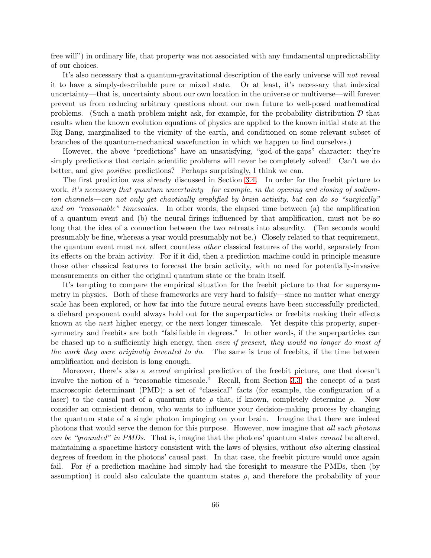free will") in ordinary life, that property was not associated with any fundamental unpredictability of our choices.

It's also necessary that a quantum-gravitational description of the early universe will not reveal it to have a simply-describable pure or mixed state. Or at least, it's necessary that indexical uncertainty—that is, uncertainty about our own location in the universe or multiverse—will forever prevent us from reducing arbitrary questions about our own future to well-posed mathematical problems. (Such a math problem might ask, for example, for the probability distribution  $\mathcal D$  that results when the known evolution equations of physics are applied to the known initial state at the Big Bang, marginalized to the vicinity of the earth, and conditioned on some relevant subset of branches of the quantum-mechanical wavefunction in which we happen to find ourselves.)

However, the above "predictions" have an unsatisfying, "god-of-the-gaps" character: they're simply predictions that certain scientific problems will never be completely solved! Can't we do better, and give positive predictions? Perhaps surprisingly, I think we can.

The first prediction was already discussed in Section [3.4.](#page-37-0) In order for the freebit picture to work, it's necessary that quantum uncertainty—for example, in the opening and closing of sodiumion channels—can not only get chaotically amplified by brain activity, but can do so "surgically" and on "reasonable" timescales. In other words, the elapsed time between (a) the amplification of a quantum event and (b) the neural firings influenced by that amplification, must not be so long that the idea of a connection between the two retreats into absurdity. (Ten seconds would presumably be fine, whereas a year would presumably not be.) Closely related to that requirement, the quantum event must not affect countless other classical features of the world, separately from its effects on the brain activity. For if it did, then a prediction machine could in principle measure those other classical features to forecast the brain activity, with no need for potentially-invasive measurements on either the original quantum state or the brain itself.

It's tempting to compare the empirical situation for the freebit picture to that for supersymmetry in physics. Both of these frameworks are very hard to falsify—since no matter what energy scale has been explored, or how far into the future neural events have been successfully predicted, a diehard proponent could always hold out for the superparticles or freebits making their effects known at the next higher energy, or the next longer timescale. Yet despite this property, supersymmetry and freebits are both "falsifiable in degrees." In other words, if the superparticles can be chased up to a sufficiently high energy, then even if present, they would no longer do most of the work they were originally invented to do. The same is true of freebits, if the time between amplification and decision is long enough.

Moreover, there's also a *second* empirical prediction of the freebit picture, one that doesn't involve the notion of a "reasonable timescale." Recall, from Section [3.3,](#page-35-0) the concept of a past macroscopic determinant (PMD): a set of "classical" facts (for example, the configuration of a laser) to the causal past of a quantum state  $\rho$  that, if known, completely determine  $\rho$ . Now consider an omniscient demon, who wants to influence your decision-making process by changing the quantum state of a single photon impinging on your brain. Imagine that there are indeed photons that would serve the demon for this purpose. However, now imagine that all such photons can be "grounded" in PMDs. That is, imagine that the photons' quantum states cannot be altered, maintaining a spacetime history consistent with the laws of physics, without also altering classical degrees of freedom in the photons' causal past. In that case, the freebit picture would once again fail. For if a prediction machine had simply had the foresight to measure the PMDs, then (by assumption) it could also calculate the quantum states  $\rho$ , and therefore the probability of your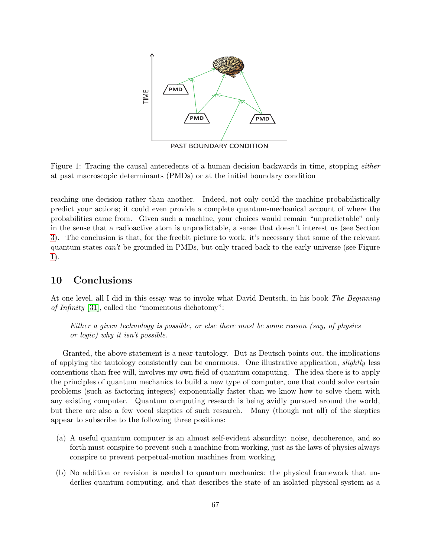

<span id="page-66-0"></span>Figure 1: Tracing the causal antecedents of a human decision backwards in time, stopping either at past macroscopic determinants (PMDs) or at the initial boundary condition

reaching one decision rather than another. Indeed, not only could the machine probabilistically predict your actions; it could even provide a complete quantum-mechanical account of where the probabilities came from. Given such a machine, your choices would remain "unpredictable" only in the sense that a radioactive atom is unpredictable, a sense that doesn't interest us (see Section [3\)](#page-28-0). The conclusion is that, for the freebit picture to work, it's necessary that some of the relevant quantum states can't be grounded in PMDs, but only traced back to the early universe (see Figure [1\)](#page-66-0).

# 10 Conclusions

At one level, all I did in this essay was to invoke what David Deutsch, in his book The Beginning of Infinity [\[31\]](#page-72-7), called the "momentous dichotomy":

Either a given technology is possible, or else there must be some reason (say, of physics or logic) why it isn't possible.

Granted, the above statement is a near-tautology. But as Deutsch points out, the implications of applying the tautology consistently can be enormous. One illustrative application, slightly less contentious than free will, involves my own field of quantum computing. The idea there is to apply the principles of quantum mechanics to build a new type of computer, one that could solve certain problems (such as factoring integers) exponentially faster than we know how to solve them with any existing computer. Quantum computing research is being avidly pursued around the world, but there are also a few vocal skeptics of such research. Many (though not all) of the skeptics appear to subscribe to the following three positions:

- (a) A useful quantum computer is an almost self-evident absurdity: noise, decoherence, and so forth must conspire to prevent such a machine from working, just as the laws of physics always conspire to prevent perpetual-motion machines from working.
- (b) No addition or revision is needed to quantum mechanics: the physical framework that underlies quantum computing, and that describes the state of an isolated physical system as a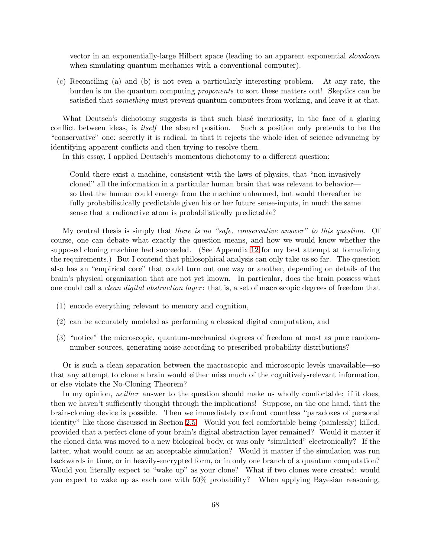vector in an exponentially-large Hilbert space (leading to an apparent exponential slowdown when simulating quantum mechanics with a conventional computer).

(c) Reconciling (a) and (b) is not even a particularly interesting problem. At any rate, the burden is on the quantum computing proponents to sort these matters out! Skeptics can be satisfied that something must prevent quantum computers from working, and leave it at that.

What Deutsch's dichotomy suggests is that such blase incuriosity, in the face of a glaring conflict between ideas, is *itself* the absurd position. Such a position only pretends to be the "conservative" one: secretly it is radical, in that it rejects the whole idea of science advancing by identifying apparent conflicts and then trying to resolve them.

In this essay, I applied Deutsch's momentous dichotomy to a different question:

Could there exist a machine, consistent with the laws of physics, that "non-invasively cloned" all the information in a particular human brain that was relevant to behavior so that the human could emerge from the machine unharmed, but would thereafter be fully probabilistically predictable given his or her future sense-inputs, in much the same sense that a radioactive atom is probabilistically predictable?

My central thesis is simply that there is no "safe, conservative answer" to this question. Of course, one can debate what exactly the question means, and how we would know whether the supposed cloning machine had succeeded. (See Appendix [12](#page-75-2) for my best attempt at formalizing the requirements.) But I contend that philosophical analysis can only take us so far. The question also has an "empirical core" that could turn out one way or another, depending on details of the brain's physical organization that are not yet known. In particular, does the brain possess what one could call a clean digital abstraction layer : that is, a set of macroscopic degrees of freedom that

- (1) encode everything relevant to memory and cognition,
- (2) can be accurately modeled as performing a classical digital computation, and
- (3) "notice" the microscopic, quantum-mechanical degrees of freedom at most as pure randomnumber sources, generating noise according to prescribed probability distributions?

Or is such a clean separation between the macroscopic and microscopic levels unavailable—so that any attempt to clone a brain would either miss much of the cognitively-relevant information, or else violate the No-Cloning Theorem?

In my opinion, *neither* answer to the question should make us wholly comfortable: if it does, then we haven't sufficiently thought through the implications! Suppose, on the one hand, that the brain-cloning device is possible. Then we immediately confront countless "paradoxes of personal identity" like those discussed in Section [2.5.](#page-15-0) Would you feel comfortable being (painlessly) killed, provided that a perfect clone of your brain's digital abstraction layer remained? Would it matter if the cloned data was moved to a new biological body, or was only "simulated" electronically? If the latter, what would count as an acceptable simulation? Would it matter if the simulation was run backwards in time, or in heavily-encrypted form, or in only one branch of a quantum computation? Would you literally expect to "wake up" as your clone? What if two clones were created: would you expect to wake up as each one with 50% probability? When applying Bayesian reasoning,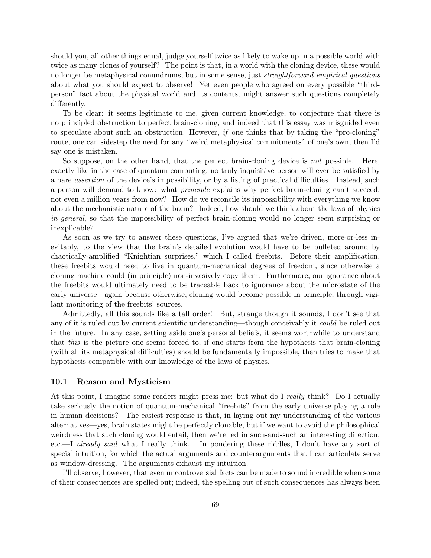should you, all other things equal, judge yourself twice as likely to wake up in a possible world with twice as many clones of yourself? The point is that, in a world with the cloning device, these would no longer be metaphysical conundrums, but in some sense, just *straightforward empirical questions* about what you should expect to observe! Yet even people who agreed on every possible "thirdperson" fact about the physical world and its contents, might answer such questions completely differently.

To be clear: it seems legitimate to me, given current knowledge, to conjecture that there is no principled obstruction to perfect brain-cloning, and indeed that this essay was misguided even to speculate about such an obstruction. However, if one thinks that by taking the "pro-cloning" route, one can sidestep the need for any "weird metaphysical commitments" of one's own, then I'd say one is mistaken.

So suppose, on the other hand, that the perfect brain-cloning device is not possible. Here, exactly like in the case of quantum computing, no truly inquisitive person will ever be satisfied by a bare assertion of the device's impossibility, or by a listing of practical difficulties. Instead, such a person will demand to know: what principle explains why perfect brain-cloning can't succeed, not even a million years from now? How do we reconcile its impossibility with everything we know about the mechanistic nature of the brain? Indeed, how should we think about the laws of physics in general, so that the impossibility of perfect brain-cloning would no longer seem surprising or inexplicable?

As soon as we try to answer these questions, I've argued that we're driven, more-or-less inevitably, to the view that the brain's detailed evolution would have to be buffeted around by chaotically-amplified "Knightian surprises," which I called freebits. Before their amplification, these freebits would need to live in quantum-mechanical degrees of freedom, since otherwise a cloning machine could (in principle) non-invasively copy them. Furthermore, our ignorance about the freebits would ultimately need to be traceable back to ignorance about the microstate of the early universe—again because otherwise, cloning would become possible in principle, through vigilant monitoring of the freebits' sources.

Admittedly, all this sounds like a tall order! But, strange though it sounds, I don't see that any of it is ruled out by current scientific understanding—though conceivably it could be ruled out in the future. In any case, setting aside one's personal beliefs, it seems worthwhile to understand that this is the picture one seems forced to, if one starts from the hypothesis that brain-cloning (with all its metaphysical difficulties) should be fundamentally impossible, then tries to make that hypothesis compatible with our knowledge of the laws of physics.

#### 10.1 Reason and Mysticism

At this point, I imagine some readers might press me: but what do I really think? Do I actually take seriously the notion of quantum-mechanical "freebits" from the early universe playing a role in human decisions? The easiest response is that, in laying out my understanding of the various alternatives—yes, brain states might be perfectly clonable, but if we want to avoid the philosophical weirdness that such cloning would entail, then we're led in such-and-such an interesting direction, etc.—I already said what I really think. In pondering these riddles, I don't have any sort of special intuition, for which the actual arguments and counterarguments that I can articulate serve as window-dressing. The arguments exhaust my intuition.

I'll observe, however, that even uncontroversial facts can be made to sound incredible when some of their consequences are spelled out; indeed, the spelling out of such consequences has always been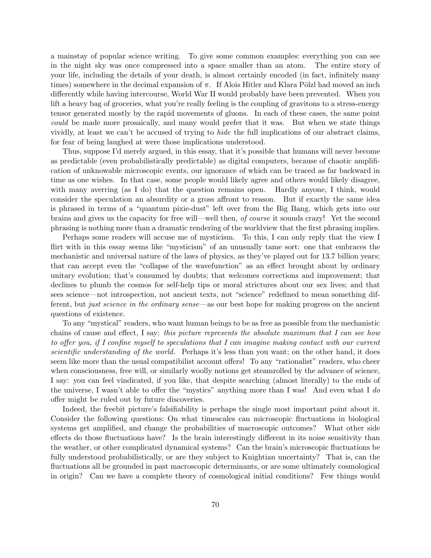a mainstay of popular science writing. To give some common examples: everything you can see in the night sky was once compressed into a space smaller than an atom. The entire story of your life, including the details of your death, is almost certainly encoded (in fact, infinitely many times) somewhere in the decimal expansion of  $\pi$ . If Alois Hitler and Klara Pölzl had moved an inch differently while having intercourse, World War II would probably have been prevented. When you lift a heavy bag of groceries, what you're really feeling is the coupling of gravitons to a stress-energy tensor generated mostly by the rapid movements of gluons. In each of these cases, the same point could be made more prosaically, and many would prefer that it was. But when we state things vividly, at least we can't be accused of trying to hide the full implications of our abstract claims, for fear of being laughed at were those implications understood.

Thus, suppose I'd merely argued, in this essay, that it's possible that humans will never become as predictable (even probabilistically predictable) as digital computers, because of chaotic amplification of unknowable microscopic events, our ignorance of which can be traced as far backward in time as one wishes. In that case, some people would likely agree and others would likely disagree, with many averring (as I do) that the question remains open. Hardly anyone, I think, would consider the speculation an absurdity or a gross affront to reason. But if exactly the same idea is phrased in terms of a "quantum pixie-dust" left over from the Big Bang, which gets into our brains and gives us the capacity for free will—well then, of course it sounds crazy! Yet the second phrasing is nothing more than a dramatic rendering of the worldview that the first phrasing implies.

Perhaps some readers will accuse me of mysticism. To this, I can only reply that the view I flirt with in this essay seems like "mysticism" of an unusually tame sort: one that embraces the mechanistic and universal nature of the laws of physics, as they've played out for 13.7 billion years; that can accept even the "collapse of the wavefunction" as an effect brought about by ordinary unitary evolution; that's consumed by doubts; that welcomes corrections and improvement; that declines to plumb the cosmos for self-help tips or moral strictures about our sex lives; and that sees science—not introspection, not ancient texts, not "science" redefined to mean something different, but just science in the ordinary sense—as our best hope for making progress on the ancient questions of existence.

To any "mystical" readers, who want human beings to be as free as possible from the mechanistic chains of cause and effect, I say: this picture represents the absolute maximum that I can see how to offer you, if I confine myself to speculations that I can imagine making contact with our current scientific understanding of the world. Perhaps it's less than you want; on the other hand, it does seem like more than the usual compatibilist account offers! To any "rationalist" readers, who cheer when consciousness, free will, or similarly woolly notions get steamrolled by the advance of science, I say: you can feel vindicated, if you like, that despite searching (almost literally) to the ends of the universe, I wasn't able to offer the "mystics" anything more than I was! And even what I do offer might be ruled out by future discoveries.

Indeed, the freebit picture's falsifiability is perhaps the single most important point about it. Consider the following questions: On what timescales can microscopic fluctuations in biological systems get amplified, and change the probabilities of macroscopic outcomes? What other side effects do those fluctuations have? Is the brain interestingly different in its noise sensitivity than the weather, or other complicated dynamical systems? Can the brain's microscopic fluctuations be fully understood probabilistically, or are they subject to Knightian uncertainty? That is, can the fluctuations all be grounded in past macroscopic determinants, or are some ultimately cosmological in origin? Can we have a complete theory of cosmological initial conditions? Few things would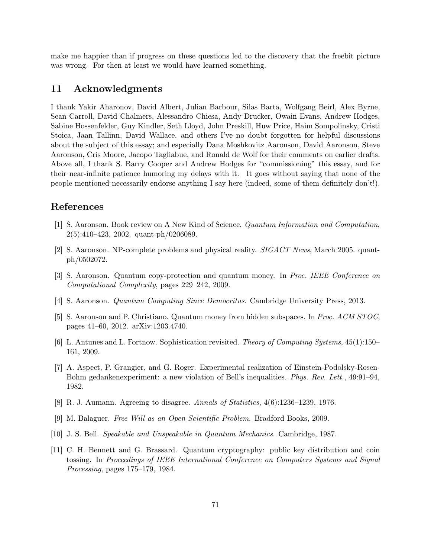make me happier than if progress on these questions led to the discovery that the freebit picture was wrong. For then at least we would have learned something.

## 11 Acknowledgments

I thank Yakir Aharonov, David Albert, Julian Barbour, Silas Barta, Wolfgang Beirl, Alex Byrne, Sean Carroll, David Chalmers, Alessandro Chiesa, Andy Drucker, Owain Evans, Andrew Hodges, Sabine Hossenfelder, Guy Kindler, Seth Lloyd, John Preskill, Huw Price, Haim Sompolinsky, Cristi Stoica, Jaan Tallinn, David Wallace, and others I've no doubt forgotten for helpful discussions about the subject of this essay; and especially Dana Moshkovitz Aaronson, David Aaronson, Steve Aaronson, Cris Moore, Jacopo Tagliabue, and Ronald de Wolf for their comments on earlier drafts. Above all, I thank S. Barry Cooper and Andrew Hodges for "commissioning" this essay, and for their near-infinite patience humoring my delays with it. It goes without saying that none of the people mentioned necessarily endorse anything I say here (indeed, some of them definitely don't!).

# References

- <span id="page-70-2"></span>[1] S. Aaronson. Book review on A New Kind of Science. Quantum Information and Computation, 2(5):410–423, 2002. quant-ph/0206089.
- [2] S. Aaronson. NP-complete problems and physical reality. SIGACT News, March 2005. quantph/0502072.
- <span id="page-70-1"></span>[3] S. Aaronson. Quantum copy-protection and quantum money. In Proc. IEEE Conference on Computational Complexity, pages 229–242, 2009.
- [4] S. Aaronson. Quantum Computing Since Democritus. Cambridge University Press, 2013.
- [5] S. Aaronson and P. Christiano. Quantum money from hidden subspaces. In Proc. ACM STOC, pages 41–60, 2012. arXiv:1203.4740.
- [6] L. Antunes and L. Fortnow. Sophistication revisited. Theory of Computing Systems, 45(1):150– 161, 2009.
- [7] A. Aspect, P. Grangier, and G. Roger. Experimental realization of Einstein-Podolsky-Rosen-Bohm gedankenexperiment: a new violation of Bell's inequalities. Phys. Rev. Lett., 49:91–94, 1982.
- <span id="page-70-0"></span>[8] R. J. Aumann. Agreeing to disagree. Annals of Statistics, 4(6):1236–1239, 1976.
- [9] M. Balaguer. Free Will as an Open Scientific Problem. Bradford Books, 2009.
- [10] J. S. Bell. Speakable and Unspeakable in Quantum Mechanics. Cambridge, 1987.
- [11] C. H. Bennett and G. Brassard. Quantum cryptography: public key distribution and coin tossing. In Proceedings of IEEE International Conference on Computers Systems and Signal Processing, pages 175–179, 1984.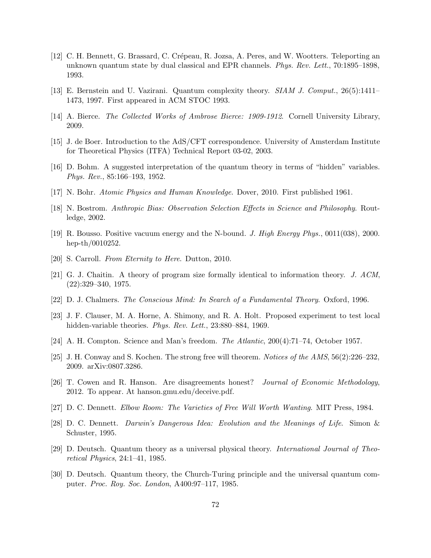- [12] C. H. Bennett, G. Brassard, C. Crépeau, R. Jozsa, A. Peres, and W. Wootters. Teleporting an unknown quantum state by dual classical and EPR channels. Phys. Rev. Lett., 70:1895–1898, 1993.
- [13] E. Bernstein and U. Vazirani. Quantum complexity theory. SIAM J. Comput., 26(5):1411– 1473, 1997. First appeared in ACM STOC 1993.
- <span id="page-71-1"></span>[14] A. Bierce. The Collected Works of Ambrose Bierce: 1909-1912. Cornell University Library, 2009.
- [15] J. de Boer. Introduction to the AdS/CFT correspondence. University of Amsterdam Institute for Theoretical Physics (ITFA) Technical Report 03-02, 2003.
- [16] D. Bohm. A suggested interpretation of the quantum theory in terms of "hidden" variables. Phys. Rev., 85:166–193, 1952.
- <span id="page-71-6"></span>[17] N. Bohr. Atomic Physics and Human Knowledge. Dover, 2010. First published 1961.
- <span id="page-71-5"></span>[18] N. Bostrom. Anthropic Bias: Observation Selection Effects in Science and Philosophy. Routledge, 2002.
- <span id="page-71-0"></span>[19] R. Bousso. Positive vacuum energy and the N-bound. J. High Energy Phys., 0011(038), 2000. hep-th/0010252.
- [20] S. Carroll. From Eternity to Here. Dutton, 2010.
- [21] G. J. Chaitin. A theory of program size formally identical to information theory. J. ACM, (22):329–340, 1975.
- <span id="page-71-3"></span>[22] D. J. Chalmers. The Conscious Mind: In Search of a Fundamental Theory. Oxford, 1996.
- [23] J. F. Clauser, M. A. Horne, A. Shimony, and R. A. Holt. Proposed experiment to test local hidden-variable theories. Phys. Rev. Lett., 23:880–884, 1969.
- [24] A. H. Compton. Science and Man's freedom. The Atlantic, 200(4):71–74, October 1957.
- [25] J. H. Conway and S. Kochen. The strong free will theorem. Notices of the AMS, 56(2):226–232, 2009. arXiv:0807.3286.
- [26] T. Cowen and R. Hanson. Are disagreements honest? Journal of Economic Methodology, 2012. To appear. At hanson.gmu.edu/deceive.pdf.
- <span id="page-71-4"></span>[27] D. C. Dennett. Elbow Room: The Varieties of Free Will Worth Wanting. MIT Press, 1984.
- <span id="page-71-2"></span>[28] D. C. Dennett. Darwin's Dangerous Idea: Evolution and the Meanings of Life. Simon & Schuster, 1995.
- [29] D. Deutsch. Quantum theory as a universal physical theory. International Journal of Theoretical Physics, 24:1–41, 1985.
- [30] D. Deutsch. Quantum theory, the Church-Turing principle and the universal quantum computer. Proc. Roy. Soc. London, A400:97–117, 1985.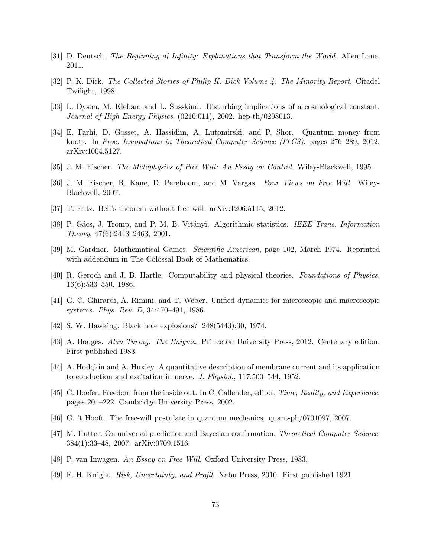- [31] D. Deutsch. The Beginning of Infinity: Explanations that Transform the World. Allen Lane, 2011.
- [32] P. K. Dick. The Collected Stories of Philip K. Dick Volume 4: The Minority Report. Citadel Twilight, 1998.
- [33] L. Dyson, M. Kleban, and L. Susskind. Disturbing implications of a cosmological constant. Journal of High Energy Physics, (0210:011), 2002. hep-th/0208013.
- [34] E. Farhi, D. Gosset, A. Hassidim, A. Lutomirski, and P. Shor. Quantum money from knots. In Proc. Innovations in Theoretical Computer Science (ITCS), pages 276–289, 2012. arXiv:1004.5127.
- [35] J. M. Fischer. The Metaphysics of Free Will: An Essay on Control. Wiley-Blackwell, 1995.
- [36] J. M. Fischer, R. Kane, D. Pereboom, and M. Vargas. Four Views on Free Will. Wiley-Blackwell, 2007.
- <span id="page-72-0"></span>[37] T. Fritz. Bell's theorem without free will. arXiv:1206.5115, 2012.
- [38] P. Gács, J. Tromp, and P. M. B. Vitányi. Algorithmic statistics. IEEE Trans. Information Theory, 47(6):2443–2463, 2001.
- [39] M. Gardner. Mathematical Games. Scientific American, page 102, March 1974. Reprinted with addendum in The Colossal Book of Mathematics.
- [40] R. Geroch and J. B. Hartle. Computability and physical theories. Foundations of Physics, 16(6):533–550, 1986.
- [41] G. C. Ghirardi, A. Rimini, and T. Weber. Unified dynamics for microscopic and macroscopic systems. Phys. Rev. D, 34:470–491, 1986.
- [42] S. W. Hawking. Black hole explosions? 248(5443):30, 1974.
- [43] A. Hodges. Alan Turing: The Enigma. Princeton University Press, 2012. Centenary edition. First published 1983.
- [44] A. Hodgkin and A. Huxley. A quantitative description of membrane current and its application to conduction and excitation in nerve. J. Physiol., 117:500–544, 1952.
- [45] C. Hoefer. Freedom from the inside out. In C. Callender, editor, Time, Reality, and Experience, pages 201–222. Cambridge University Press, 2002.
- [46] G. 't Hooft. The free-will postulate in quantum mechanics. quant-ph/0701097, 2007.
- [47] M. Hutter. On universal prediction and Bayesian confirmation. Theoretical Computer Science, 384(1):33–48, 2007. arXiv:0709.1516.
- [48] P. van Inwagen. An Essay on Free Will. Oxford University Press, 1983.
- [49] F. H. Knight. Risk, Uncertainty, and Profit. Nabu Press, 2010. First published 1921.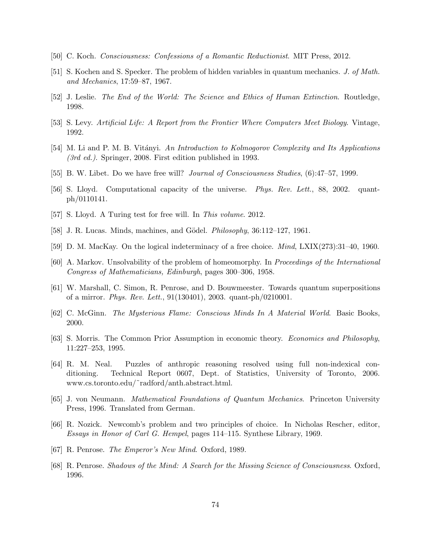- [50] C. Koch. Consciousness: Confessions of a Romantic Reductionist. MIT Press, 2012.
- [51] S. Kochen and S. Specker. The problem of hidden variables in quantum mechanics. J. of Math. and Mechanics, 17:59–87, 1967.
- [52] J. Leslie. The End of the World: The Science and Ethics of Human Extinction. Routledge, 1998.
- <span id="page-73-0"></span>[53] S. Levy. Artificial Life: A Report from the Frontier Where Computers Meet Biology. Vintage, 1992.
- [54] M. Li and P. M. B. Vitányi. An Introduction to Kolmogorov Complexity and Its Applications (3rd ed.). Springer, 2008. First edition published in 1993.
- [55] B. W. Libet. Do we have free will? Journal of Consciousness Studies, (6):47–57, 1999.
- [56] S. Lloyd. Computational capacity of the universe. Phys. Rev. Lett., 88, 2002. quantph/0110141.
- [57] S. Lloyd. A Turing test for free will. In This volume. 2012.
- [58] J. R. Lucas. Minds, machines, and Gödel. *Philosophy*,  $36:112-127$ ,  $1961$ .
- [59] D. M. MacKay. On the logical indeterminacy of a free choice. Mind, LXIX(273):31–40, 1960.
- [60] A. Markov. Unsolvability of the problem of homeomorphy. In Proceedings of the International Congress of Mathematicians, Edinburgh, pages 300–306, 1958.
- [61] W. Marshall, C. Simon, R. Penrose, and D. Bouwmeester. Towards quantum superpositions of a mirror. Phys. Rev. Lett., 91(130401), 2003. quant-ph/0210001.
- [62] C. McGinn. The Mysterious Flame: Conscious Minds In A Material World. Basic Books, 2000.
- [63] S. Morris. The Common Prior Assumption in economic theory. Economics and Philosophy, 11:227–253, 1995.
- [64] R. M. Neal. Puzzles of anthropic reasoning resolved using full non-indexical conditioning. Technical Report 0607, Dept. of Statistics, University of Toronto, 2006. www.cs.toronto.edu/˜radford/anth.abstract.html.
- [65] J. von Neumann. Mathematical Foundations of Quantum Mechanics. Princeton University Press, 1996. Translated from German.
- [66] R. Nozick. Newcomb's problem and two principles of choice. In Nicholas Rescher, editor, Essays in Honor of Carl G. Hempel, pages 114–115. Synthese Library, 1969.
- [67] R. Penrose. The Emperor's New Mind. Oxford, 1989.
- [68] R. Penrose. Shadows of the Mind: A Search for the Missing Science of Consciousness. Oxford, 1996.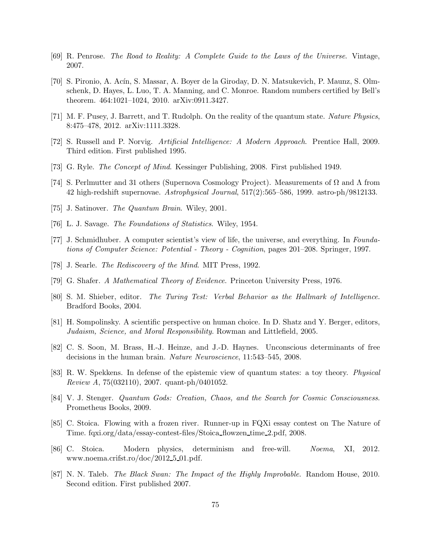- [69] R. Penrose. The Road to Reality: A Complete Guide to the Laws of the Universe. Vintage, 2007.
- [70] S. Pironio, A. Acín, S. Massar, A. Boyer de la Giroday, D. N. Matsukevich, P. Maunz, S. Olmschenk, D. Hayes, L. Luo, T. A. Manning, and C. Monroe. Random numbers certified by Bell's theorem. 464:1021–1024, 2010. arXiv:0911.3427.
- [71] M. F. Pusey, J. Barrett, and T. Rudolph. On the reality of the quantum state. Nature Physics, 8:475–478, 2012. arXiv:1111.3328.
- [72] S. Russell and P. Norvig. Artificial Intelligence: A Modern Approach. Prentice Hall, 2009. Third edition. First published 1995.
- [73] G. Ryle. The Concept of Mind. Kessinger Publishing, 2008. First published 1949.
- [74] S. Perlmutter and 31 others (Supernova Cosmology Project). Measurements of Ω and Λ from 42 high-redshift supernovae. Astrophysical Journal, 517(2):565–586, 1999. astro-ph/9812133.
- [75] J. Satinover. The Quantum Brain. Wiley, 2001.
- [76] L. J. Savage. The Foundations of Statistics. Wiley, 1954.
- [77] J. Schmidhuber. A computer scientist's view of life, the universe, and everything. In Foundations of Computer Science: Potential - Theory - Cognition, pages 201–208. Springer, 1997.
- [78] J. Searle. The Rediscovery of the Mind. MIT Press, 1992.
- [79] G. Shafer. A Mathematical Theory of Evidence. Princeton University Press, 1976.
- [80] S. M. Shieber, editor. The Turing Test: Verbal Behavior as the Hallmark of Intelligence. Bradford Books, 2004.
- [81] H. Sompolinsky. A scientific perspective on human choice. In D. Shatz and Y. Berger, editors, Judaism, Science, and Moral Responsibility. Rowman and Littlefield, 2005.
- [82] C. S. Soon, M. Brass, H.-J. Heinze, and J.-D. Haynes. Unconscious determinants of free decisions in the human brain. Nature Neuroscience, 11:543–545, 2008.
- [83] R. W. Spekkens. In defense of the epistemic view of quantum states: a toy theory. Physical Review A, 75(032110), 2007. quant-ph/0401052.
- [84] V. J. Stenger. Quantum Gods: Creation, Chaos, and the Search for Cosmic Consciousness. Prometheus Books, 2009.
- [85] C. Stoica. Flowing with a frozen river. Runner-up in FQXi essay contest on The Nature of Time. fqxi.org/data/essay-contest-files/Stoica flowzen time 2.pdf, 2008.
- [86] C. Stoica. Modern physics, determinism and free-will. Noema, XI, 2012. www.noema.crifst.ro/doc/2012 5 01.pdf.
- [87] N. N. Taleb. The Black Swan: The Impact of the Highly Improbable. Random House, 2010. Second edition. First published 2007.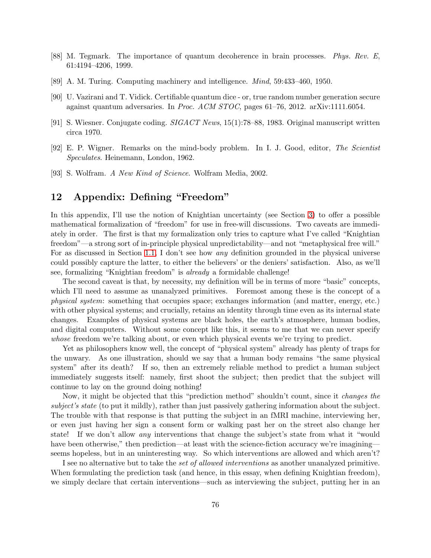- [88] M. Tegmark. The importance of quantum decoherence in brain processes. Phys. Rev. E, 61:4194–4206, 1999.
- [89] A. M. Turing. Computing machinery and intelligence. Mind, 59:433–460, 1950.
- [90] U. Vazirani and T. Vidick. Certifiable quantum dice or, true random number generation secure against quantum adversaries. In Proc. ACM STOC, pages 61–76, 2012. arXiv:1111.6054.
- [91] S. Wiesner. Conjugate coding. SIGACT News, 15(1):78–88, 1983. Original manuscript written circa 1970.
- [92] E. P. Wigner. Remarks on the mind-body problem. In I. J. Good, editor, The Scientist Speculates. Heinemann, London, 1962.
- [93] S. Wolfram. A New Kind of Science. Wolfram Media, 2002.

## 12 Appendix: Defining "Freedom"

In this appendix, I'll use the notion of Knightian uncertainty (see Section [3\)](#page-28-0) to offer a possible mathematical formalization of "freedom" for use in free-will discussions. Two caveats are immediately in order. The first is that my formalization only tries to capture what I've called "Knightian freedom"—a strong sort of in-principle physical unpredictability—and not "metaphysical free will." For as discussed in Section [1.1,](#page-6-0) I don't see how any definition grounded in the physical universe could possibly capture the latter, to either the believers' or the deniers' satisfaction. Also, as we'll see, formalizing "Knightian freedom" is already a formidable challenge!

The second caveat is that, by necessity, my definition will be in terms of more "basic" concepts, which I'll need to assume as unanalyzed primitives. Foremost among these is the concept of a physical system: something that occupies space; exchanges information (and matter, energy, etc.) with other physical systems; and crucially, retains an identity through time even as its internal state changes. Examples of physical systems are black holes, the earth's atmosphere, human bodies, and digital computers. Without some concept like this, it seems to me that we can never specify whose freedom we're talking about, or even which physical events we're trying to predict.

Yet as philosophers know well, the concept of "physical system" already has plenty of traps for the unwary. As one illustration, should we say that a human body remains "the same physical system" after its death? If so, then an extremely reliable method to predict a human subject immediately suggests itself: namely, first shoot the subject; then predict that the subject will continue to lay on the ground doing nothing!

Now, it might be objected that this "prediction method" shouldn't count, since it changes the subject's state (to put it mildly), rather than just passively gathering information about the subject. The trouble with that response is that putting the subject in an fMRI machine, interviewing her, or even just having her sign a consent form or walking past her on the street also change her state! If we don't allow *any* interventions that change the subject's state from what it "would have been otherwise," then prediction—at least with the science-fiction accuracy we're imagining seems hopeless, but in an uninteresting way. So which interventions are allowed and which aren't?

I see no alternative but to take the set of allowed interventions as another unanalyzed primitive. When formulating the prediction task (and hence, in this essay, when defining Knightian freedom), we simply declare that certain interventions—such as interviewing the subject, putting her in an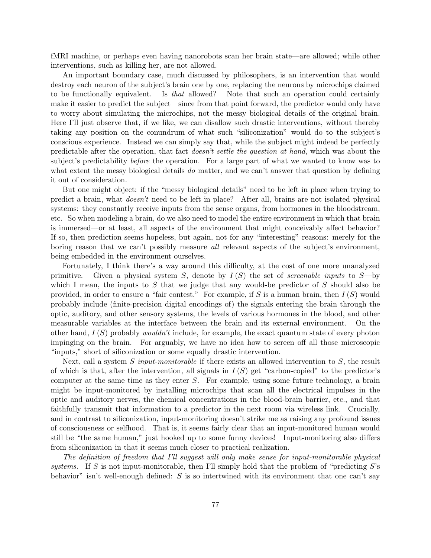fMRI machine, or perhaps even having nanorobots scan her brain state—are allowed; while other interventions, such as killing her, are not allowed.

An important boundary case, much discussed by philosophers, is an intervention that would destroy each neuron of the subject's brain one by one, replacing the neurons by microchips claimed to be functionally equivalent. Is that allowed? Note that such an operation could certainly make it easier to predict the subject—since from that point forward, the predictor would only have to worry about simulating the microchips, not the messy biological details of the original brain. Here I'll just observe that, if we like, we can disallow such drastic interventions, without thereby taking any position on the conundrum of what such "siliconization" would do to the subject's conscious experience. Instead we can simply say that, while the subject might indeed be perfectly predictable after the operation, that fact doesn't settle the question at hand, which was about the subject's predictability *before* the operation. For a large part of what we wanted to know was to what extent the messy biological details do matter, and we can't answer that question by defining it out of consideration.

But one might object: if the "messy biological details" need to be left in place when trying to predict a brain, what doesn't need to be left in place? After all, brains are not isolated physical systems: they constantly receive inputs from the sense organs, from hormones in the bloodstream, etc. So when modeling a brain, do we also need to model the entire environment in which that brain is immersed—or at least, all aspects of the environment that might conceivably affect behavior? If so, then prediction seems hopeless, but again, not for any "interesting" reasons: merely for the boring reason that we can't possibly measure all relevant aspects of the subject's environment, being embedded in the environment ourselves.

Fortunately, I think there's a way around this difficulty, at the cost of one more unanalyzed primitive. Given a physical system S, denote by  $I(S)$  the set of screenable inputs to S—by which I mean, the inputs to S that we judge that any would-be predictor of S should also be provided, in order to ensure a "fair contest." For example, if S is a human brain, then  $I(S)$  would probably include (finite-precision digital encodings of) the signals entering the brain through the optic, auditory, and other sensory systems, the levels of various hormones in the blood, and other measurable variables at the interface between the brain and its external environment. On the other hand,  $I(S)$  probably *wouldn't* include, for example, the exact quantum state of every photon impinging on the brain. For arguably, we have no idea how to screen off all those microscopic "inputs," short of siliconization or some equally drastic intervention.

Next, call a system S input-monitorable if there exists an allowed intervention to S, the result of which is that, after the intervention, all signals in  $I(S)$  get "carbon-copied" to the predictor's computer at the same time as they enter S. For example, using some future technology, a brain might be input-monitored by installing microchips that scan all the electrical impulses in the optic and auditory nerves, the chemical concentrations in the blood-brain barrier, etc., and that faithfully transmit that information to a predictor in the next room via wireless link. Crucially, and in contrast to siliconization, input-monitoring doesn't strike me as raising any profound issues of consciousness or selfhood. That is, it seems fairly clear that an input-monitored human would still be "the same human," just hooked up to some funny devices! Input-monitoring also differs from siliconization in that it seems much closer to practical realization.

The definition of freedom that I'll suggest will only make sense for input-monitorable physical systems. If S is not input-monitorable, then I'll simply hold that the problem of "predicting  $S$ 's behavior" isn't well-enough defined:  $S$  is so intertwined with its environment that one can't say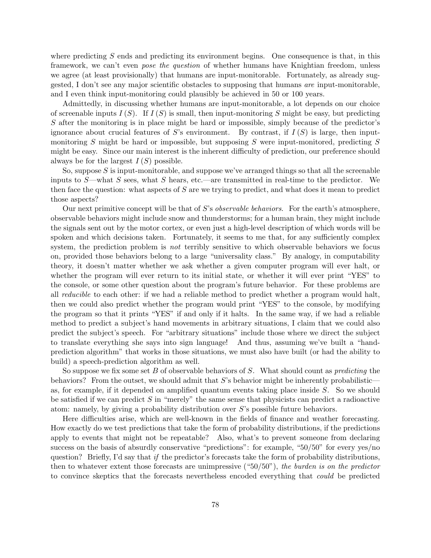where predicting  $S$  ends and predicting its environment begins. One consequence is that, in this framework, we can't even pose the question of whether humans have Knightian freedom, unless we agree (at least provisionally) that humans are input-monitorable. Fortunately, as already suggested, I don't see any major scientific obstacles to supposing that humans are input-monitorable, and I even think input-monitoring could plausibly be achieved in 50 or 100 years.

Admittedly, in discussing whether humans are input-monitorable, a lot depends on our choice of screenable inputs  $I(S)$ . If  $I(S)$  is small, then input-monitoring S might be easy, but predicting S after the monitoring is in place might be hard or impossible, simply because of the predictor's ignorance about crucial features of S's environment. By contrast, if  $I(S)$  is large, then inputmonitoring S might be hard or impossible, but supposing S were input-monitored, predicting S might be easy. Since our main interest is the inherent difficulty of prediction, our preference should always be for the largest  $I(S)$  possible.

So, suppose  $S$  is input-monitorable, and suppose we've arranged things so that all the screenable inputs to  $S$ —what S sees, what S hears, etc.—are transmitted in real-time to the predictor. We then face the question: what aspects of  $S$  are we trying to predict, and what does it mean to predict those aspects?

Our next primitive concept will be that of  $S$ 's *observable behaviors*. For the earth's atmosphere, observable behaviors might include snow and thunderstorms; for a human brain, they might include the signals sent out by the motor cortex, or even just a high-level description of which words will be spoken and which decisions taken. Fortunately, it seems to me that, for any sufficiently complex system, the prediction problem is *not* terribly sensitive to which observable behaviors we focus on, provided those behaviors belong to a large "universality class." By analogy, in computability theory, it doesn't matter whether we ask whether a given computer program will ever halt, or whether the program will ever return to its initial state, or whether it will ever print "YES" to the console, or some other question about the program's future behavior. For these problems are all reducible to each other: if we had a reliable method to predict whether a program would halt, then we could also predict whether the program would print "YES" to the console, by modifying the program so that it prints "YES" if and only if it halts. In the same way, if we had a reliable method to predict a subject's hand movements in arbitrary situations, I claim that we could also predict the subject's speech. For "arbitrary situations" include those where we direct the subject to translate everything she says into sign language! And thus, assuming we've built a "handprediction algorithm" that works in those situations, we must also have built (or had the ability to build) a speech-prediction algorithm as well.

So suppose we fix some set  $B$  of observable behaviors of  $S$ . What should count as *predicting* the behaviors? From the outset, we should admit that  $S$ 's behavior might be inherently probabilistic as, for example, if it depended on amplified quantum events taking place inside S. So we should be satisfied if we can predict  $S$  in "merely" the same sense that physicists can predict a radioactive atom: namely, by giving a probability distribution over S's possible future behaviors.

Here difficulties arise, which are well-known in the fields of finance and weather forecasting. How exactly do we test predictions that take the form of probability distributions, if the predictions apply to events that might not be repeatable? Also, what's to prevent someone from declaring success on the basis of absurdly conservative "predictions": for example, "50/50" for every yes/no question? Briefly, I'd say that if the predictor's forecasts take the form of probability distributions, then to whatever extent those forecasts are unimpressive  $("50/50")$ , the burden is on the predictor to convince skeptics that the forecasts nevertheless encoded everything that could be predicted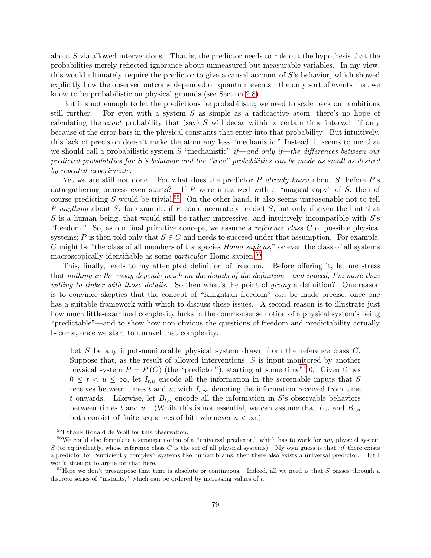about  $S$  via allowed interventions. That is, the predictor needs to rule out the hypothesis that the probabilities merely reflected ignorance about unmeasured but measurable variables. In my view, this would ultimately require the predictor to give a causal account of S's behavior, which showed explicitly how the observed outcome depended on quantum events—the only sort of events that we know to be probabilistic on physical grounds (see Section [2.8\)](#page-20-0).

But it's not enough to let the predictions be probabilistic; we need to scale back our ambitions still further. For even with a system  $S$  as simple as a radioactive atom, there's no hope of calculating the *exact* probability that (say)  $S$  will decay within a certain time interval—if only because of the error bars in the physical constants that enter into that probability. But intuitively, this lack of precision doesn't make the atom any less "mechanistic." Instead, it seems to me that we should call a probabilistic system S "mechanistic" if—and only if—the differences between our predicted probabilities for S's behavior and the "true" probabilities can be made as small as desired by repeated experiments.

Yet we are still not done. For what does the predictor  $P$  already know about  $S$ , before  $P$ 's data-gathering process even starts? If  $P$  were initialized with a "magical copy" of  $S$ , then of course predicting S would be trivial.<sup>[55](#page-78-0)</sup> On the other hand, it also seems unreasonable not to tell P anything about S: for example, if P could accurately predict S, but only if given the hint that  $S$  is a human being, that would still be rather impressive, and intuitively incompatible with  $S$ 's "freedom." So, as our final primitive concept, we assume a *reference class C* of possible physical systems; P is then told only that  $S \in \mathbb{C}$  and needs to succeed under that assumption. For example,  $C$  might be "the class of all members of the species  $Homo$  sapiens," or even the class of all systems macroscopically identifiable as some *particular* Homo sapien.<sup>[56](#page-78-1)</sup>

This, finally, leads to my attempted definition of freedom. Before offering it, let me stress that nothing in the essay depends much on the details of the definition—and indeed, I'm more than willing to tinker with those details. So then what's the point of giving a definition? One reason is to convince skeptics that the concept of "Knightian freedom" can be made precise, once one has a suitable framework with which to discuss these issues. A second reason is to illustrate just how much little-examined complexity lurks in the commonsense notion of a physical system's being "predictable"—and to show how non-obvious the questions of freedom and predictability actually become, once we start to unravel that complexity.

Let S be any input-monitorable physical system drawn from the reference class  $C$ . Suppose that, as the result of allowed interventions,  $S$  is input-monitored by another physical system  $P = P(C)$  (the "predictor"), starting at some time<sup>[57](#page-78-2)</sup> 0. Given times  $0 \leq t \leq u \leq \infty$ , let  $I_{t,u}$  encode all the information in the screenable inputs that S receives between times t and u, with  $I_{t,\infty}$  denoting the information received from time t onwards. Likewise, let  $B_{t,u}$  encode all the information in S's observable behaviors between times t and u. (While this is not essential, we can assume that  $I_{t,u}$  and  $B_{t,u}$ both consist of finite sequences of bits whenever  $u < \infty$ .)

<span id="page-78-0"></span><sup>55</sup>I thank Ronald de Wolf for this observation.

<span id="page-78-1"></span><sup>&</sup>lt;sup>56</sup>We could also formulate a stronger notion of a "universal predictor," which has to work for *any* physical system S (or equivalently, whose reference class C is the set of all physical systems). My own guess is that, if there exists a predictor for "sufficiently complex" systems like human brains, then there also exists a universal predictor. But I won't attempt to argue for that here.

<span id="page-78-2"></span><sup>&</sup>lt;sup>57</sup>Here we don't presuppose that time is absolute or continuous. Indeed, all we need is that S passes through a discrete series of "instants," which can be ordered by increasing values of t.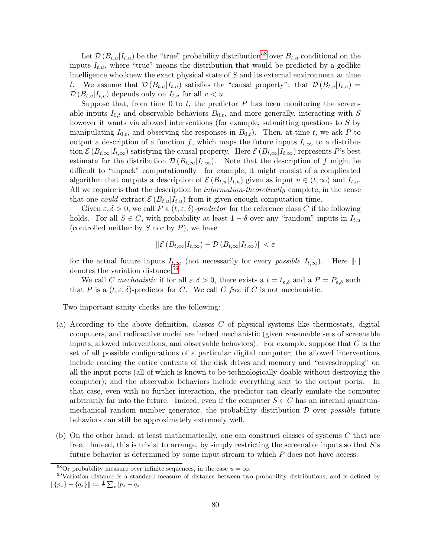Let  $\mathcal{D}(B_{t,u}|I_{t,u})$  be the "true" probability distribution<sup>[58](#page-79-0)</sup> over  $B_{t,u}$  conditional on the inputs  $I_{t,u}$ , where "true" means the distribution that would be predicted by a godlike intelligence who knew the exact physical state of S and its external environment at time t. We assume that  $\mathcal{D}(B_{t,u}|I_{t,u})$  satisfies the "causal property": that  $\mathcal{D}(B_{t,v}|I_{t,u}) =$  $\mathcal{D}(B_{t,v}|I_{t,v})$  depends only on  $I_{t,v}$  for all  $v < u$ .

Suppose that, from time 0 to  $t$ , the predictor  $P$  has been monitoring the screenable inputs  $I_{0,t}$  and observable behaviors  $B_{0,t}$ , and more generally, interacting with S however it wants via allowed interventions (for example, submitting questions to S by manipulating  $I_{0,t}$ , and observing the responses in  $B_{0,t}$ . Then, at time t, we ask P to output a description of a function f, which maps the future inputs  $I_{t,\infty}$  to a distribution  $\mathcal{E}(B_{t,\infty}|I_{t,\infty})$  satisfying the causal property. Here  $\mathcal{E}(B_{t,\infty}|I_{t,\infty})$  represents P's best estimate for the distribution  $\mathcal{D}(B_{t,\infty}|I_{t,\infty})$ . Note that the description of f might be difficult to "unpack" computationally—for example, it might consist of a complicated algorithm that outputs a description of  $\mathcal{E}(B_{t,u}|I_{t,u})$  given as input  $u \in (t,\infty)$  and  $I_{t,u}$ . All we require is that the description be information-theoretically complete, in the sense that one *could* extract  $\mathcal{E}(B_{t,u}|I_{t,u})$  from it given enough computation time.

Given  $\varepsilon, \delta > 0$ , we call P a  $(t, \varepsilon, \delta)$ -predictor for the reference class C if the following holds. For all  $S \in C$ , with probability at least  $1 - \delta$  over any "random" inputs in  $I_{t,u}$ (controlled neither by  $S$  nor by  $P$ ), we have

$$
\|\mathcal{E}\left(B_{t,\infty}|I_{t,\infty}\right)-\mathcal{D}\left(B_{t,\infty}|I_{t,\infty}\right)\|<\varepsilon
$$

for the actual future inputs  $I_{t,\infty}$  (not necessarily for every possible  $I_{t,\infty}$ ). Here  $\|\cdot\|$ denotes the variation distance.<sup>[59](#page-79-1)</sup>

We call C mechanistic if for all  $\varepsilon, \delta > 0$ , there exists a  $t = t_{\varepsilon,\delta}$  and a  $P = P_{\varepsilon,\delta}$  such that P is a  $(t, \varepsilon, \delta)$ -predictor for C. We call C free if C is not mechanistic.

Two important sanity checks are the following:

- (a) According to the above definition, classes  $C$  of physical systems like thermostats, digital computers, and radioactive nuclei are indeed mechanistic (given reasonable sets of screenable inputs, allowed interventions, and observable behaviors). For example, suppose that  $C$  is the set of all possible configurations of a particular digital computer; the allowed interventions include reading the entire contents of the disk drives and memory and "eavesdropping" on all the input ports (all of which is known to be technologically doable without destroying the computer); and the observable behaviors include everything sent to the output ports. In that case, even with no further interaction, the predictor can clearly emulate the computer arbitrarily far into the future. Indeed, even if the computer  $S \in C$  has an internal quantummechanical random number generator, the probability distribution  $D$  over *possible* future behaviors can still be approximately extremely well.
- (b) On the other hand, at least mathematically, one can construct classes of systems C that are free. Indeed, this is trivial to arrange, by simply restricting the screenable inputs so that  $S$ 's future behavior is determined by some input stream to which P does not have access.

<span id="page-79-0"></span><sup>&</sup>lt;sup>58</sup>Or probability measure over infinite sequences, in the case  $u = \infty$ .

<span id="page-79-1"></span><sup>59</sup>Variation distance is a standard measure of distance between two probability distributions, and is defined by  $||\{p_x\} - \{q_x\}|| := \frac{1}{2} \sum_x |p_x - q_x|.$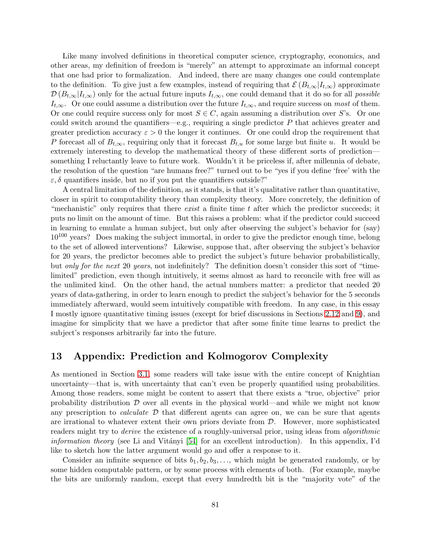Like many involved definitions in theoretical computer science, cryptography, economics, and other areas, my definition of freedom is "merely" an attempt to approximate an informal concept that one had prior to formalization. And indeed, there are many changes one could contemplate to the definition. To give just a few examples, instead of requiring that  $\mathcal{E}(B_{t,\infty}|I_{t,\infty})$  approximate  $\mathcal{D}(B_{t,\infty}|I_{t,\infty})$  only for the actual future inputs  $I_{t,\infty}$ , one could demand that it do so for all possible  $I_{t,\infty}$ . Or one could assume a distribution over the future  $I_{t,\infty}$ , and require success on most of them. Or one could require success only for most  $S \in \mathbb{C}$ , again assuming a distribution over S's. Or one could switch around the quantifiers—e.g., requiring a single predictor  $P$  that achieves greater and greater prediction accuracy  $\varepsilon > 0$  the longer it continues. Or one could drop the requirement that P forecast all of  $B_{t,\infty}$ , requiring only that it forecast  $B_{t,u}$  for some large but finite u. It would be extremely interesting to develop the mathematical theory of these different sorts of prediction something I reluctantly leave to future work. Wouldn't it be priceless if, after millennia of debate, the resolution of the question "are humans free?" turned out to be "yes if you define 'free' with the  $\varepsilon, \delta$  quantifiers inside, but no if you put the quantifiers outside?"

A central limitation of the definition, as it stands, is that it's qualitative rather than quantitative, closer in spirit to computability theory than complexity theory. More concretely, the definition of "mechanistic" only requires that there *exist* a finite time  $t$  after which the predictor succeeds; it puts no limit on the amount of time. But this raises a problem: what if the predictor could succeed in learning to emulate a human subject, but only after observing the subject's behavior for (say)  $10^{100}$  years? Does making the subject immortal, in order to give the predictor enough time, belong to the set of allowed interventions? Likewise, suppose that, after observing the subject's behavior for 20 years, the predictor becomes able to predict the subject's future behavior probabilistically, but only for the next 20 years, not indefinitely? The definition doesn't consider this sort of "timelimited" prediction, even though intuitively, it seems almost as hard to reconcile with free will as the unlimited kind. On the other hand, the actual numbers matter: a predictor that needed 20 years of data-gathering, in order to learn enough to predict the subject's behavior for the 5 seconds immediately afterward, would seem intuitively compatible with freedom. In any case, in this essay I mostly ignore quantitative timing issues (except for brief discussions in Sections [2.12](#page-25-0) and [9\)](#page-64-0), and imagine for simplicity that we have a predictor that after some finite time learns to predict the subject's responses arbitrarily far into the future.

## 13 Appendix: Prediction and Kolmogorov Complexity

As mentioned in Section [3.1,](#page-29-0) some readers will take issue with the entire concept of Knightian uncertainty—that is, with uncertainty that can't even be properly quantified using probabilities. Among those readers, some might be content to assert that there exists a "true, objective" prior probability distribution  $\mathcal D$  over all events in the physical world—and while we might not know any prescription to *calculate*  $D$  that different agents can agree on, we can be sure that agents are irrational to whatever extent their own priors deviate from  $D$ . However, more sophisticated readers might try to *derive* the existence of a roughly-universal prior, using ideas from *algorithmic information theory* (see Li and Vitányi [\[54\]](#page-73-0) for an excellent introduction). In this appendix, I'd like to sketch how the latter argument would go and offer a response to it.

Consider an infinite sequence of bits  $b_1, b_2, b_3, \ldots$ , which might be generated randomly, or by some hidden computable pattern, or by some process with elements of both. (For example, maybe the bits are uniformly random, except that every hundredth bit is the "majority vote" of the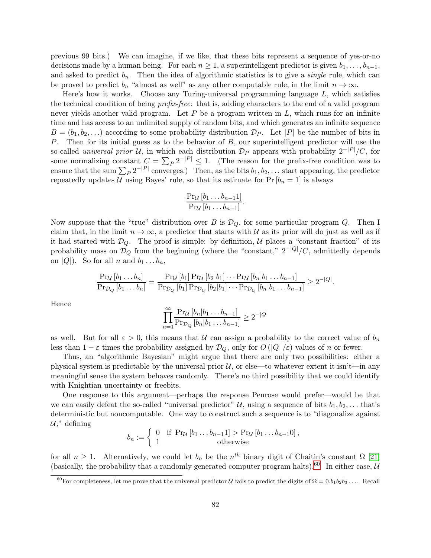previous 99 bits.) We can imagine, if we like, that these bits represent a sequence of yes-or-no decisions made by a human being. For each  $n \geq 1$ , a superintelligent predictor is given  $b_1, \ldots, b_{n-1}$ , and asked to predict  $b_n$ . Then the idea of algorithmic statistics is to give a *single* rule, which can be proved to predict  $b_n$  "almost as well" as any other computable rule, in the limit  $n \to \infty$ .

Here's how it works. Choose any Turing-universal programming language  $L$ , which satisfies the technical condition of being prefix-free: that is, adding characters to the end of a valid program never yields another valid program. Let  $P$  be a program written in  $L$ , which runs for an infinite time and has access to an unlimited supply of random bits, and which generates an infinite sequence  $B = (b_1, b_2, \ldots)$  according to some probability distribution  $\mathcal{D}_P$ . Let |P| be the number of bits in P. Then for its initial guess as to the behavior of  $B$ , our superintelligent predictor will use the so-called *universal prior* U, in which each distribution  $\mathcal{D}_P$  appears with probability  $2^{-|P|}/C$ , for some normalizing constant  $C = \sum_{P} 2^{-|P|} \le 1$ . (The reason for the prefix-free condition was to ensure that the sum  $\sum_{P} 2^{-|P|}$  converges.) Then, as the bits  $b_1, b_2, \ldots$  start appearing, the predictor repeatedly updates U using Bayes' rule, so that its estimate for  $Pr[b_n = 1]$  is always

$$
\frac{\Pr_{\mathcal{U}}[b_1 \dots b_{n-1}]}{\Pr_{\mathcal{U}}[b_1 \dots b_{n-1}]}.
$$

Now suppose that the "true" distribution over B is  $\mathcal{D}_Q$ , for some particular program Q. Then I claim that, in the limit  $n \to \infty$ , a predictor that starts with U as its prior will do just as well as if it had started with  $\mathcal{D}_Q$ . The proof is simple: by definition, U places a "constant fraction" of its probability mass on  $\mathcal{D}_Q$  from the beginning (where the "constant,"  $2^{-|Q|}/C$ , admittedly depends on  $|Q|$ ). So for all n and  $b_1 \ldots b_n$ ,

$$
\frac{\Pr_{\mathcal{U}}[b_1 \dots b_n]}{\Pr_{\mathcal{D}_Q}[b_1 \dots b_n]} = \frac{\Pr_{\mathcal{U}}[b_1] \Pr_{\mathcal{U}}[b_2|b_1] \cdots \Pr_{\mathcal{U}}[b_n|b_1 \dots b_{n-1}]}{\Pr_{\mathcal{D}_Q}[b_1] \Pr_{\mathcal{D}_Q}[b_2|b_1] \cdots \Pr_{\mathcal{D}_Q}[b_n|b_1 \dots b_{n-1}]} \ge 2^{-|Q|}.
$$

Hence

$$
\prod_{n=1}^{\infty} \frac{\Pr_{\mathcal{U}}\left[b_n | b_1 \dots b_{n-1}\right]}{\Pr_{\mathcal{D}_Q}\left[b_n | b_1 \dots b_{n-1}\right]} \ge 2^{-|Q|}
$$

as well. But for all  $\varepsilon > 0$ , this means that U can assign a probability to the correct value of  $b_n$ less than  $1 - \varepsilon$  times the probability assigned by  $\mathcal{D}_Q$ , only for  $O(|Q|/\varepsilon)$  values of n or fewer.

Thus, an "algorithmic Bayesian" might argue that there are only two possibilities: either a physical system is predictable by the universal prior  $\mathcal{U}$ , or else—to whatever extent it isn't—in any meaningful sense the system behaves randomly. There's no third possibility that we could identify with Knightian uncertainty or freebits.

One response to this argument—perhaps the response Penrose would prefer—would be that we can easily defeat the so-called "universal predictor"  $\mathcal{U}$ , using a sequence of bits  $b_1, b_2, \ldots$  that's deterministic but noncomputable. One way to construct such a sequence is to "diagonalize against  $\mathcal{U}$ ," defining

$$
b_n := \left\{ \begin{array}{ll} 0 & \text{if } \Pr_{\mathcal{U}}\left[b_1 \dots b_{n-1} 1\right] > \Pr_{\mathcal{U}}\left[b_1 \dots b_{n-1} 0\right], \\ 1 & \text{otherwise} \end{array} \right.
$$

for all  $n \geq 1$ . Alternatively, we could let  $b_n$  be the  $n^{th}$  binary digit of Chaitin's constant  $\Omega$  [\[21\]](#page-71-0) (basically, the probability that a randomly generated computer program halts).<sup>[60](#page-81-0)</sup> In either case, U

<span id="page-81-0"></span><sup>&</sup>lt;sup>60</sup>For completeness, let me prove that the universal predictor U fails to predict the digits of  $\Omega = 0.b_1b_2b_3 \ldots$  Recall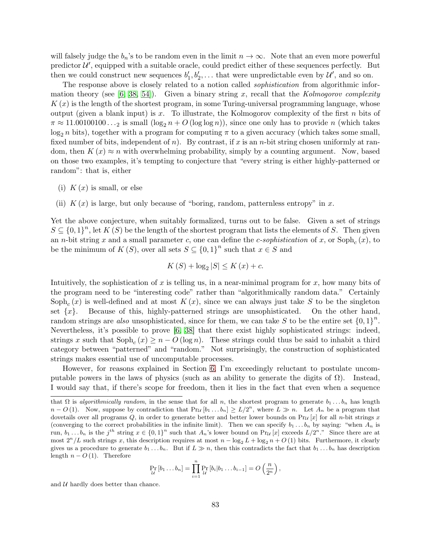will falsely judge the  $b_n$ 's to be random even in the limit  $n \to \infty$ . Note that an even more powerful predictor  $\mathcal{U}'$ , equipped with a suitable oracle, could predict either of these sequences perfectly. But then we could construct new sequences  $b'_1, b'_2, \ldots$  that were unpredictable even by  $\mathcal{U}'$ , and so on.

The response above is closely related to a notion called *sophistication* from algorithmic infor-mation theory (see [\[6,](#page-70-0) [38,](#page-72-0) [54\]](#page-73-0)). Given a binary string x, recall that the Kolmogorov complexity  $K(x)$  is the length of the shortest program, in some Turing-universal programming language, whose output (given a blank input) is x. To illustrate, the Kolmogorov complexity of the first n bits of  $\pi \approx 11.00100100...$  is small  $(\log_2 n + O(\log \log n))$ , since one only has to provide n (which takes  $\log_2 n$  bits), together with a program for computing  $\pi$  to a given accuracy (which takes some small, fixed number of bits, independent of n). By contrast, if x is an n-bit string chosen uniformly at random, then  $K(x) \approx n$  with overwhelming probability, simply by a counting argument. Now, based on those two examples, it's tempting to conjecture that "every string is either highly-patterned or random": that is, either

- (i)  $K(x)$  is small, or else
- (ii)  $K(x)$  is large, but only because of "boring, random, patternless entropy" in x.

Yet the above conjecture, when suitably formalized, turns out to be false. Given a set of strings  $S \subseteq \{0,1\}^n$ , let  $K(S)$  be the length of the shortest program that lists the elements of S. Then given an *n*-bit string x and a small parameter c, one can define the *c*-sophistication of x, or  $\text{Soph}_c(x)$ , to be the minimum of  $K(S)$ , over all sets  $S \subseteq \{0,1\}^n$  such that  $x \in S$  and

$$
K(S) + \log_2 |S| \le K(x) + c.
$$

Intuitively, the sophistication of x is telling us, in a near-minimal program for x, how many bits of the program need to be "interesting code" rather than "algorithmically random data." Certainly  $Soph<sub>c</sub>(x)$  is well-defined and at most  $K(x)$ , since we can always just take S to be the singleton set  $\{x\}$ . Because of this, highly-patterned strings are unsophisticated. On the other hand, random strings are *also* unsophisticated, since for them, we can take S to be the entire set  $\{0,1\}^n$ . Nevertheless, it's possible to prove [\[6,](#page-70-0) [38\]](#page-72-0) that there exist highly sophisticated strings: indeed, strings x such that  $Soph_c(x) \geq n - O(\log n)$ . These strings could thus be said to inhabit a third category between "patterned" and "random." Not surprisingly, the construction of sophisticated strings makes essential use of uncomputable processes.

However, for reasons explained in Section [6,](#page-55-0) I'm exceedingly reluctant to postulate uncomputable powers in the laws of physics (such as an ability to generate the digits of  $\Omega$ ). Instead, I would say that, if there's scope for freedom, then it lies in the fact that even when a sequence

$$
\Pr_{\mathcal{U}}\left[b_1 \ldots b_n\right] = \prod_{i=1}^n \Pr_{\mathcal{U}}\left[b_i | b_1 \ldots b_{i-1}\right] = O\left(\frac{n}{2^n}\right),
$$

and  $\mathcal U$  hardly does better than chance.

that  $\Omega$  is algorithmically random, in the sense that for all n, the shortest program to generate  $b_1 \ldots b_n$  has length  $n - O(1)$ . Now, suppose by contradiction that  $Pr_{U}[b_1...b_n] \ge L/2^n$ , where  $L \gg n$ . Let  $A_n$  be a program that dovetails over all programs Q, in order to generate better and better lower bounds on  $\Pr_{\mathcal{U}}[x]$  for all n-bit strings x (converging to the correct probabilities in the infinite limit). Then we can specify  $b_1 \ldots b_n$  by saying: "when  $A_n$  is run,  $b_1 \ldots b_n$  is the  $j^{th}$  string  $x \in \{0,1\}^n$  such that  $A_n$ 's lower bound on  $\Pr_{\mathcal{U}}[x]$  exceeds  $L/2^n$ ." Since there are at most  $2^{n}/L$  such strings x, this description requires at most  $n - \log_2 L + \log_2 n + O(1)$  bits. Furthermore, it clearly gives us a procedure to generate  $b_1 \ldots b_n$ . But if  $L \gg n$ , then this contradicts the fact that  $b_1 \ldots b_n$  has description length  $n - O(1)$ . Therefore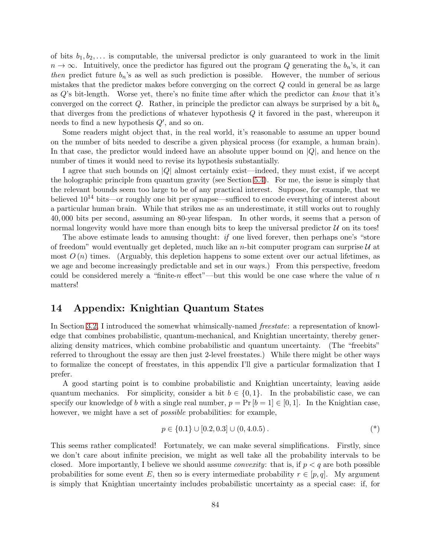of bits  $b_1, b_2, \ldots$  is computable, the universal predictor is only guaranteed to work in the limit  $n \to \infty$ . Intuitively, once the predictor has figured out the program Q generating the  $b_n$ 's, it can then predict future  $b_n$ 's as well as such prediction is possible. However, the number of serious mistakes that the predictor makes before converging on the correct Q could in general be as large as Q's bit-length. Worse yet, there's no finite time after which the predictor can know that it's converged on the correct Q. Rather, in principle the predictor can always be surprised by a bit  $b_n$ that diverges from the predictions of whatever hypothesis Q it favored in the past, whereupon it needs to find a new hypothesis  $Q'$ , and so on.

Some readers might object that, in the real world, it's reasonable to assume an upper bound on the number of bits needed to describe a given physical process (for example, a human brain). In that case, the predictor would indeed have an absolute upper bound on  $|Q|$ , and hence on the number of times it would need to revise its hypothesis substantially.

I agree that such bounds on  $|Q|$  almost certainly exist—indeed, they must exist, if we accept the holographic principle from quantum gravity (see Section [5.4\)](#page-50-0). For me, the issue is simply that the relevant bounds seem too large to be of any practical interest. Suppose, for example, that we believed  $10^{14}$  bits—or roughly one bit per synapse—sufficed to encode everything of interest about a particular human brain. While that strikes me as an underestimate, it still works out to roughly 40, 000 bits per second, assuming an 80-year lifespan. In other words, it seems that a person of normal longevity would have more than enough bits to keep the universal predictor  $\mathcal U$  on its toes!

The above estimate leads to amusing thought: if one lived forever, then perhaps one's "store of freedom" would eventually get depleted, much like an n-bit computer program can surprise  $U$  at most  $O(n)$  times. (Arguably, this depletion happens to some extent over our actual lifetimes, as we age and become increasingly predictable and set in our ways.) From this perspective, freedom could be considered merely a "finite-n effect"—but this would be one case where the value of  $n$ matters!

## 14 Appendix: Knightian Quantum States

In Section [3.2,](#page-32-0) I introduced the somewhat whimsically-named freestate: a representation of knowledge that combines probabilistic, quantum-mechanical, and Knightian uncertainty, thereby generalizing density matrices, which combine probabilistic and quantum uncertainty. (The "freebits" referred to throughout the essay are then just 2-level freestates.) While there might be other ways to formalize the concept of freestates, in this appendix I'll give a particular formalization that I prefer.

A good starting point is to combine probabilistic and Knightian uncertainty, leaving aside quantum mechanics. For simplicity, consider a bit  $b \in \{0, 1\}$ . In the probabilistic case, we can specify our knowledge of b with a single real number,  $p = Pr [b = 1] \in [0, 1]$ . In the Knightian case, however, we might have a set of *possible* probabilities: for example,

$$
p \in \{0.1\} \cup [0.2, 0.3] \cup (0, 4.0.5).
$$
 (\*)

This seems rather complicated! Fortunately, we can make several simplifications. Firstly, since we don't care about infinite precision, we might as well take all the probability intervals to be closed. More importantly, I believe we should assume *convexity*: that is, if  $p < q$  are both possible probabilities for some event E, then so is every intermediate probability  $r \in [p,q]$ . My argument is simply that Knightian uncertainty includes probabilistic uncertainty as a special case: if, for